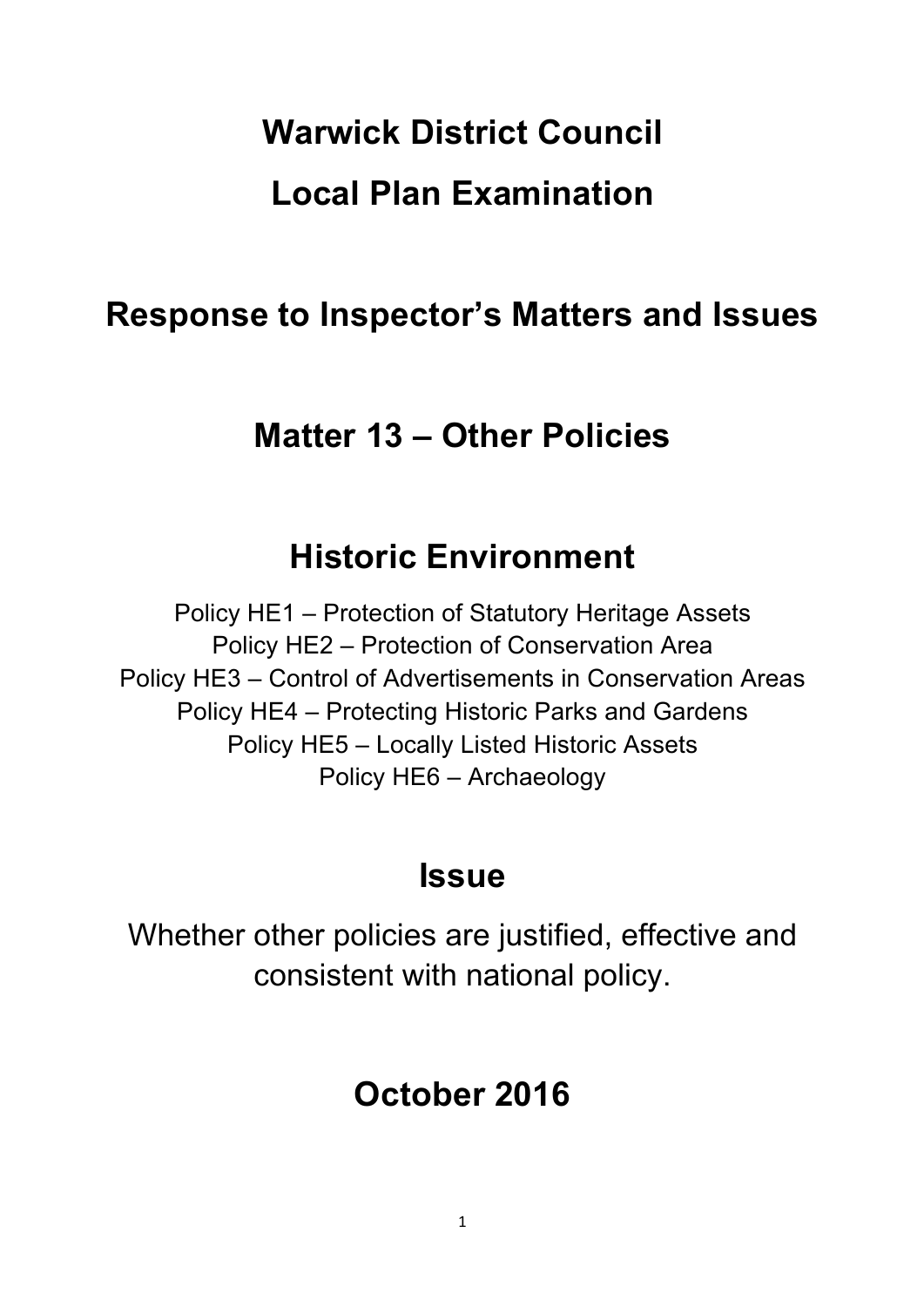# **Warwick District Council Local Plan Examination**

# **Response to Inspector's Matters and Issues**

# **Matter 13 – Other Policies**

# **Historic Environment**

Policy HE1 – Protection of Statutory Heritage Assets Policy HE2 – Protection of Conservation Area Policy HE3 – Control of Advertisements in Conservation Areas Policy HE4 – Protecting Historic Parks and Gardens Policy HE5 – Locally Listed Historic Assets Policy HE6 – Archaeology

# **Issue**

Whether other policies are justified, effective and consistent with national policy.

# **October 2016**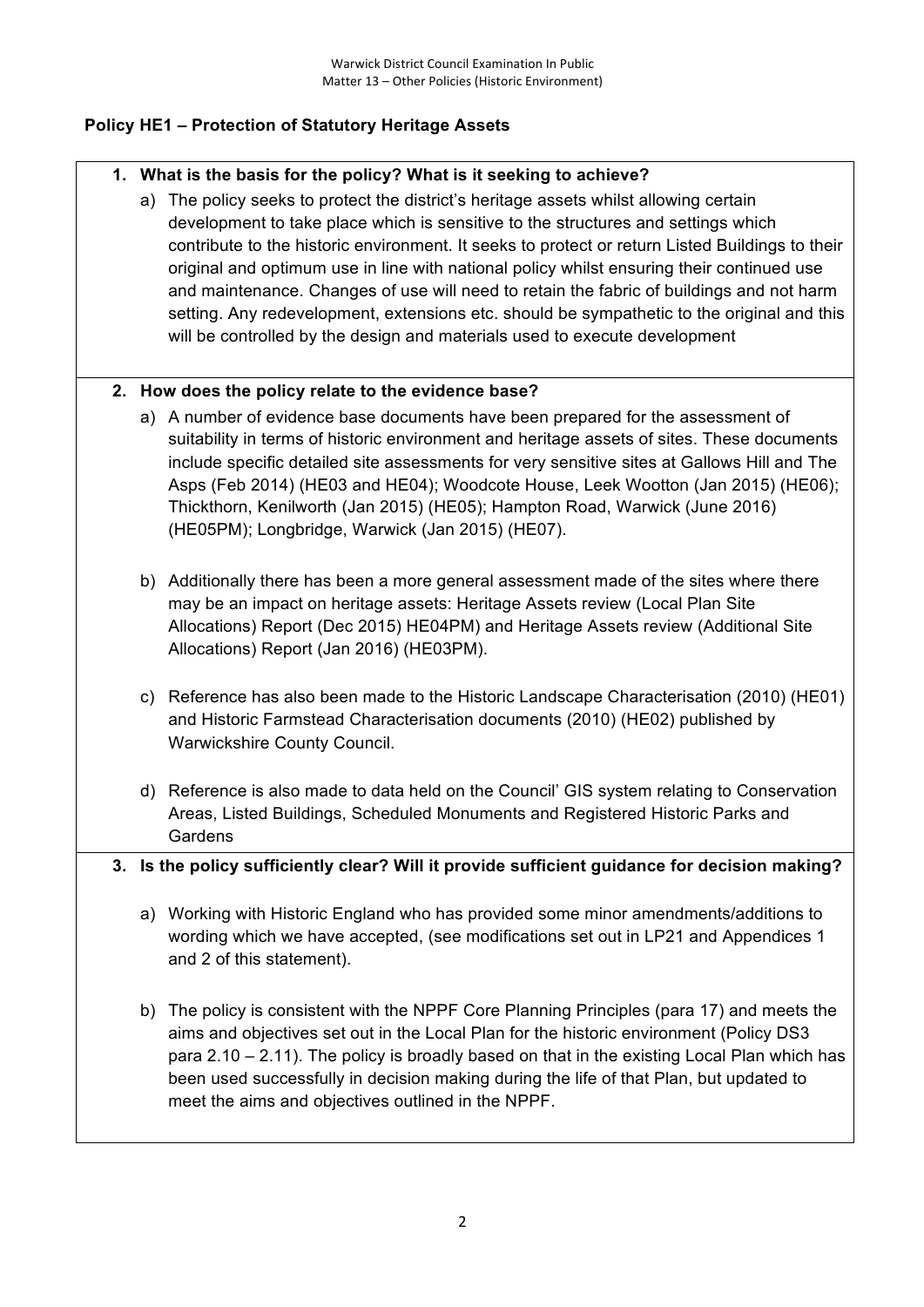# **Policy HE1 – Protection of Statutory Heritage Assets**

## **1. What is the basis for the policy? What is it seeking to achieve?**

a) The policy seeks to protect the district's heritage assets whilst allowing certain development to take place which is sensitive to the structures and settings which contribute to the historic environment. It seeks to protect or return Listed Buildings to their original and optimum use in line with national policy whilst ensuring their continued use and maintenance. Changes of use will need to retain the fabric of buildings and not harm setting. Any redevelopment, extensions etc. should be sympathetic to the original and this will be controlled by the design and materials used to execute development

## **2. How does the policy relate to the evidence base?**

- a) A number of evidence base documents have been prepared for the assessment of suitability in terms of historic environment and heritage assets of sites. These documents include specific detailed site assessments for very sensitive sites at Gallows Hill and The Asps (Feb 2014) (HE03 and HE04); Woodcote House, Leek Wootton (Jan 2015) (HE06); Thickthorn, Kenilworth (Jan 2015) (HE05); Hampton Road, Warwick (June 2016) (HE05PM); Longbridge, Warwick (Jan 2015) (HE07).
- b) Additionally there has been a more general assessment made of the sites where there may be an impact on heritage assets: Heritage Assets review (Local Plan Site Allocations) Report (Dec 2015) HE04PM) and Heritage Assets review (Additional Site Allocations) Report (Jan 2016) (HE03PM).
- c) Reference has also been made to the Historic Landscape Characterisation (2010) (HE01) and Historic Farmstead Characterisation documents (2010) (HE02) published by Warwickshire County Council.
- d) Reference is also made to data held on the Council' GIS system relating to Conservation Areas, Listed Buildings, Scheduled Monuments and Registered Historic Parks and Gardens

## **3. Is the policy sufficiently clear? Will it provide sufficient guidance for decision making?**

- a) Working with Historic England who has provided some minor amendments/additions to wording which we have accepted, (see modifications set out in LP21 and Appendices 1 and 2 of this statement).
- b) The policy is consistent with the NPPF Core Planning Principles (para 17) and meets the aims and objectives set out in the Local Plan for the historic environment (Policy DS3 para 2.10 – 2.11). The policy is broadly based on that in the existing Local Plan which has been used successfully in decision making during the life of that Plan, but updated to meet the aims and objectives outlined in the NPPF.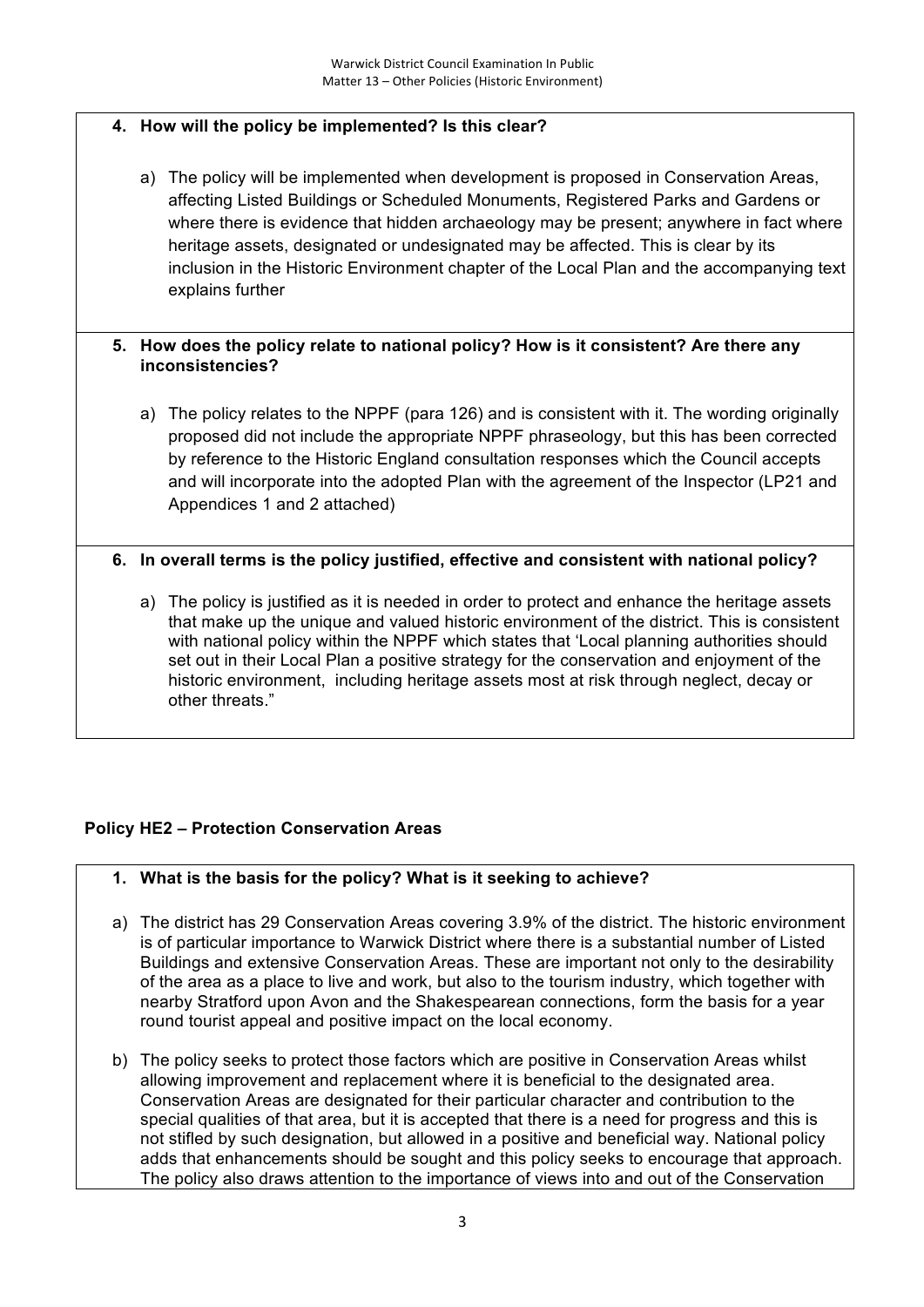# **4. How will the policy be implemented? Is this clear?**

a) The policy will be implemented when development is proposed in Conservation Areas, affecting Listed Buildings or Scheduled Monuments, Registered Parks and Gardens or where there is evidence that hidden archaeology may be present; anywhere in fact where heritage assets, designated or undesignated may be affected. This is clear by its inclusion in the Historic Environment chapter of the Local Plan and the accompanying text explains further

#### **5. How does the policy relate to national policy? How is it consistent? Are there any inconsistencies?**

a) The policy relates to the NPPF (para 126) and is consistent with it. The wording originally proposed did not include the appropriate NPPF phraseology, but this has been corrected by reference to the Historic England consultation responses which the Council accepts and will incorporate into the adopted Plan with the agreement of the Inspector (LP21 and Appendices 1 and 2 attached)

## **6. In overall terms is the policy justified, effective and consistent with national policy?**

a) The policy is justified as it is needed in order to protect and enhance the heritage assets that make up the unique and valued historic environment of the district. This is consistent with national policy within the NPPF which states that 'Local planning authorities should set out in their Local Plan a positive strategy for the conservation and enjoyment of the historic environment, including heritage assets most at risk through neglect, decay or other threats."

## **Policy HE2 – Protection Conservation Areas**

## **1. What is the basis for the policy? What is it seeking to achieve?**

- a) The district has 29 Conservation Areas covering 3.9% of the district. The historic environment is of particular importance to Warwick District where there is a substantial number of Listed Buildings and extensive Conservation Areas. These are important not only to the desirability of the area as a place to live and work, but also to the tourism industry, which together with nearby Stratford upon Avon and the Shakespearean connections, form the basis for a year round tourist appeal and positive impact on the local economy.
- b) The policy seeks to protect those factors which are positive in Conservation Areas whilst allowing improvement and replacement where it is beneficial to the designated area. Conservation Areas are designated for their particular character and contribution to the special qualities of that area, but it is accepted that there is a need for progress and this is not stifled by such designation, but allowed in a positive and beneficial way. National policy adds that enhancements should be sought and this policy seeks to encourage that approach. The policy also draws attention to the importance of views into and out of the Conservation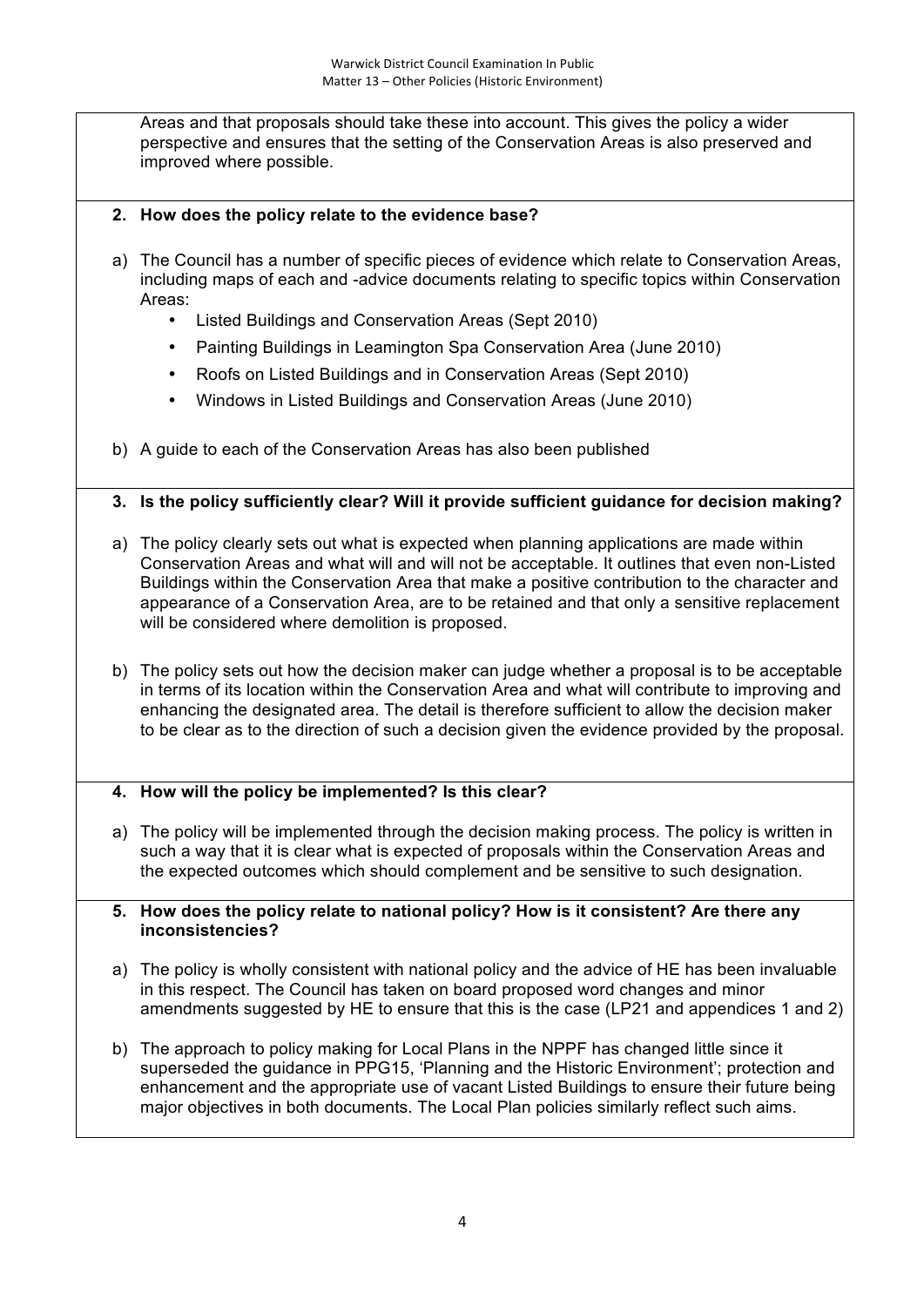Areas and that proposals should take these into account. This gives the policy a wider perspective and ensures that the setting of the Conservation Areas is also preserved and improved where possible.

#### **2. How does the policy relate to the evidence base?**

- a) The Council has a number of specific pieces of evidence which relate to Conservation Areas, including maps of each and -advice documents relating to specific topics within Conservation Areas:
	- Listed Buildings and Conservation Areas (Sept 2010)
	- Painting Buildings in Leamington Spa Conservation Area (June 2010)
	- Roofs on Listed Buildings and in Conservation Areas (Sept 2010)
	- Windows in Listed Buildings and Conservation Areas (June 2010)
- b) A guide to each of the Conservation Areas has also been published

#### **3. Is the policy sufficiently clear? Will it provide sufficient guidance for decision making?**

- a) The policy clearly sets out what is expected when planning applications are made within Conservation Areas and what will and will not be acceptable. It outlines that even non-Listed Buildings within the Conservation Area that make a positive contribution to the character and appearance of a Conservation Area, are to be retained and that only a sensitive replacement will be considered where demolition is proposed.
- b) The policy sets out how the decision maker can judge whether a proposal is to be acceptable in terms of its location within the Conservation Area and what will contribute to improving and enhancing the designated area. The detail is therefore sufficient to allow the decision maker to be clear as to the direction of such a decision given the evidence provided by the proposal.

#### **4. How will the policy be implemented? Is this clear?**

a) The policy will be implemented through the decision making process. The policy is written in such a way that it is clear what is expected of proposals within the Conservation Areas and the expected outcomes which should complement and be sensitive to such designation.

#### **5. How does the policy relate to national policy? How is it consistent? Are there any inconsistencies?**

- a) The policy is wholly consistent with national policy and the advice of HE has been invaluable in this respect. The Council has taken on board proposed word changes and minor amendments suggested by HE to ensure that this is the case (LP21 and appendices 1 and 2)
- b) The approach to policy making for Local Plans in the NPPF has changed little since it superseded the guidance in PPG15, 'Planning and the Historic Environment'; protection and enhancement and the appropriate use of vacant Listed Buildings to ensure their future being major objectives in both documents. The Local Plan policies similarly reflect such aims.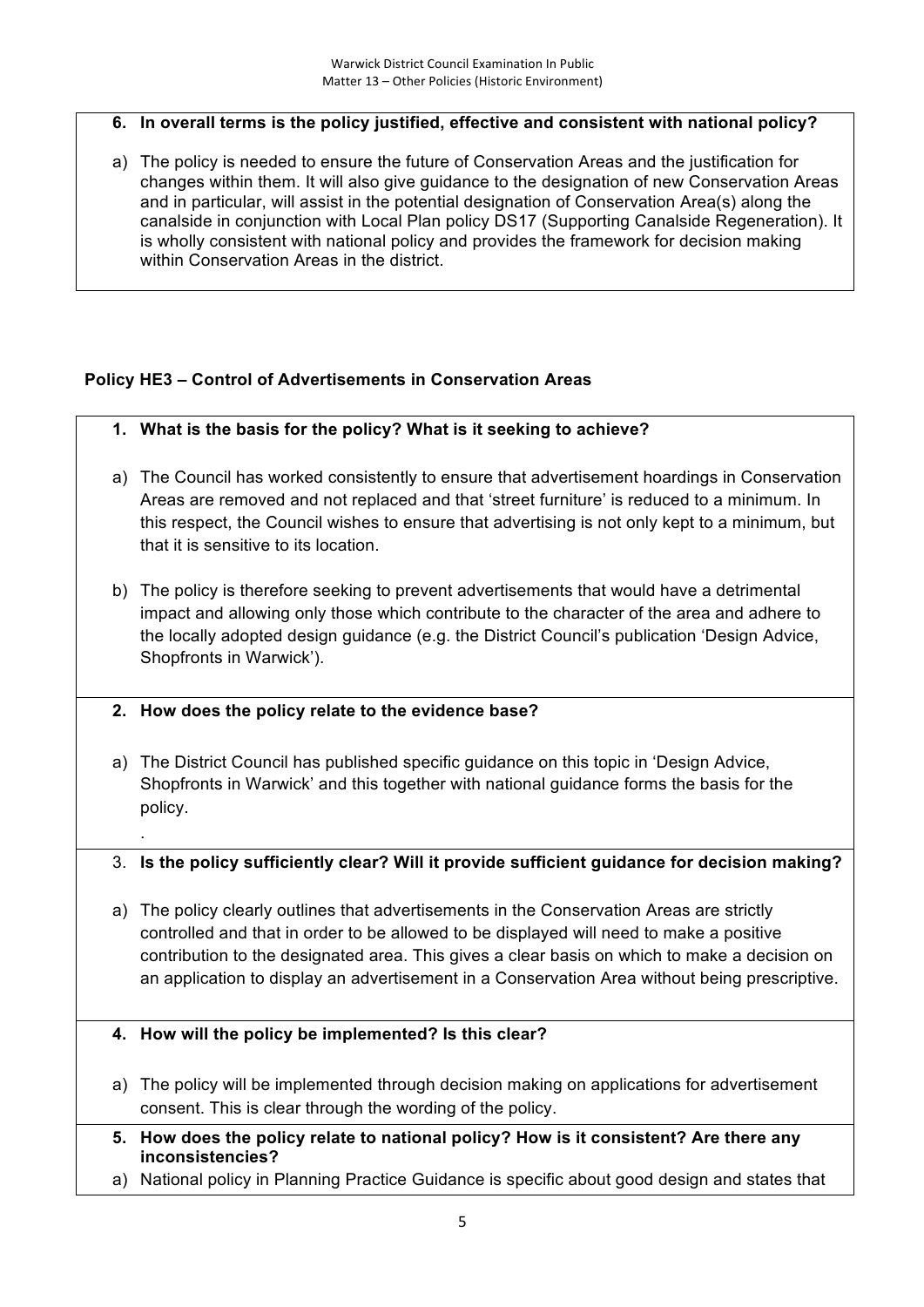#### **6. In overall terms is the policy justified, effective and consistent with national policy?**

a) The policy is needed to ensure the future of Conservation Areas and the justification for changes within them. It will also give guidance to the designation of new Conservation Areas and in particular, will assist in the potential designation of Conservation Area(s) along the canalside in conjunction with Local Plan policy DS17 (Supporting Canalside Regeneration). It is wholly consistent with national policy and provides the framework for decision making within Conservation Areas in the district.

#### **Policy HE3 – Control of Advertisements in Conservation Areas**

- **1. What is the basis for the policy? What is it seeking to achieve?**
- a) The Council has worked consistently to ensure that advertisement hoardings in Conservation Areas are removed and not replaced and that 'street furniture' is reduced to a minimum. In this respect, the Council wishes to ensure that advertising is not only kept to a minimum, but that it is sensitive to its location.
- b) The policy is therefore seeking to prevent advertisements that would have a detrimental impact and allowing only those which contribute to the character of the area and adhere to the locally adopted design guidance (e.g. the District Council's publication 'Design Advice, Shopfronts in Warwick').
- **2. How does the policy relate to the evidence base?**

.

a) The District Council has published specific guidance on this topic in 'Design Advice, Shopfronts in Warwick' and this together with national guidance forms the basis for the policy.

#### 3. **Is the policy sufficiently clear? Will it provide sufficient guidance for decision making?**

a) The policy clearly outlines that advertisements in the Conservation Areas are strictly controlled and that in order to be allowed to be displayed will need to make a positive contribution to the designated area. This gives a clear basis on which to make a decision on an application to display an advertisement in a Conservation Area without being prescriptive.

#### **4. How will the policy be implemented? Is this clear?**

- a) The policy will be implemented through decision making on applications for advertisement consent. This is clear through the wording of the policy.
- **5. How does the policy relate to national policy? How is it consistent? Are there any inconsistencies?**
- a) National policy in Planning Practice Guidance is specific about good design and states that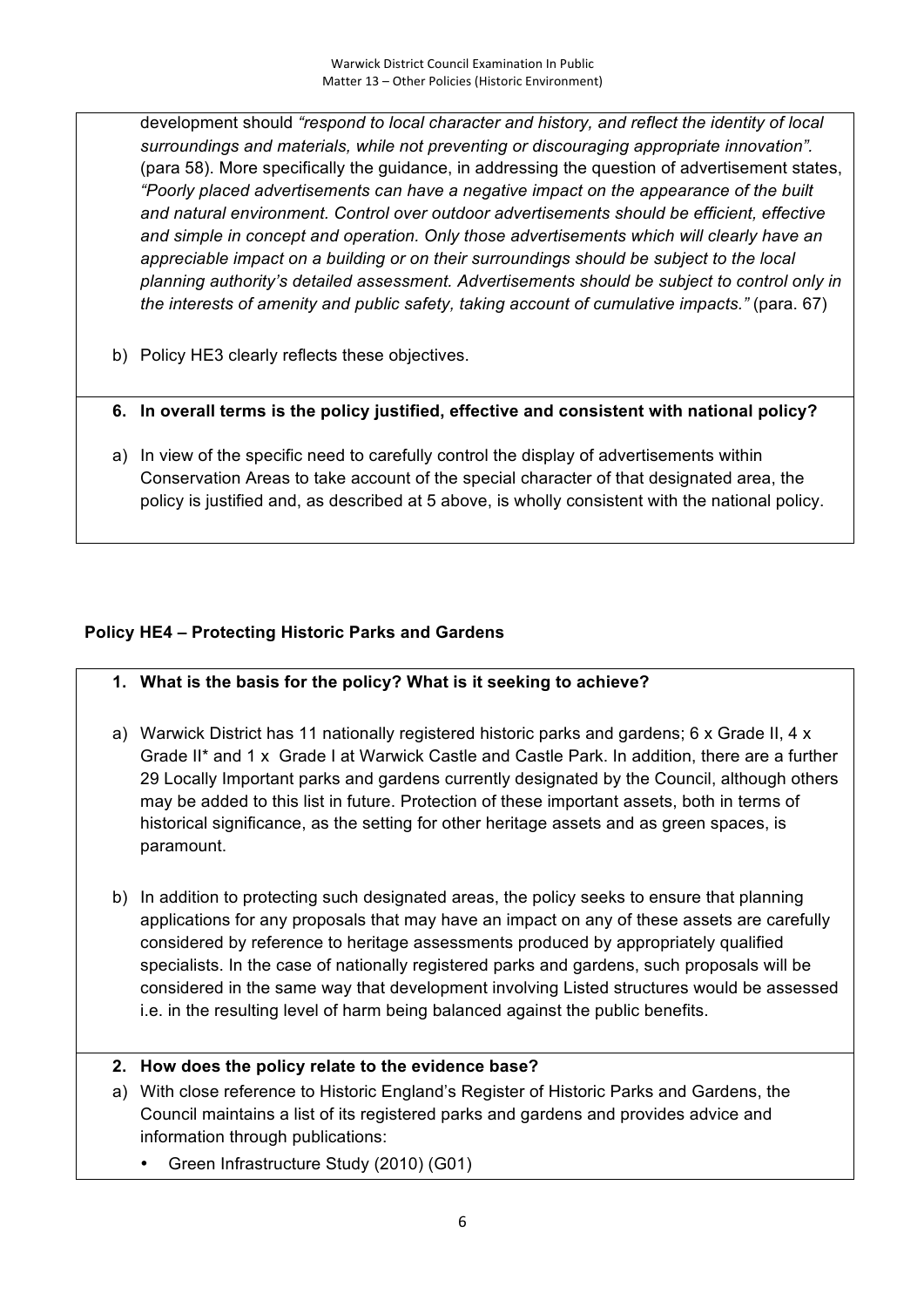development should *"respond to local character and history, and reflect the identity of local surroundings and materials, while not preventing or discouraging appropriate innovation".* (para 58). More specifically the guidance, in addressing the question of advertisement states, *"Poorly placed advertisements can have a negative impact on the appearance of the built and natural environment. Control over outdoor advertisements should be efficient, effective and simple in concept and operation. Only those advertisements which will clearly have an appreciable impact on a building or on their surroundings should be subject to the local planning authority's detailed assessment. Advertisements should be subject to control only in the interests of amenity and public safety, taking account of cumulative impacts."* (para. 67)

- b) Policy HE3 clearly reflects these objectives.
- **6. In overall terms is the policy justified, effective and consistent with national policy?**
- a) In view of the specific need to carefully control the display of advertisements within Conservation Areas to take account of the special character of that designated area, the policy is justified and, as described at 5 above, is wholly consistent with the national policy.

## **Policy HE4 – Protecting Historic Parks and Gardens**

- **1. What is the basis for the policy? What is it seeking to achieve?**
- a) Warwick District has 11 nationally registered historic parks and gardens; 6 x Grade II, 4 x Grade II\* and 1 x Grade I at Warwick Castle and Castle Park. In addition, there are a further 29 Locally Important parks and gardens currently designated by the Council, although others may be added to this list in future. Protection of these important assets, both in terms of historical significance, as the setting for other heritage assets and as green spaces, is paramount.
- b) In addition to protecting such designated areas, the policy seeks to ensure that planning applications for any proposals that may have an impact on any of these assets are carefully considered by reference to heritage assessments produced by appropriately qualified specialists. In the case of nationally registered parks and gardens, such proposals will be considered in the same way that development involving Listed structures would be assessed i.e. in the resulting level of harm being balanced against the public benefits.

#### **2. How does the policy relate to the evidence base?**

- a) With close reference to Historic England's Register of Historic Parks and Gardens, the Council maintains a list of its registered parks and gardens and provides advice and information through publications:
	- Green Infrastructure Study (2010) (G01)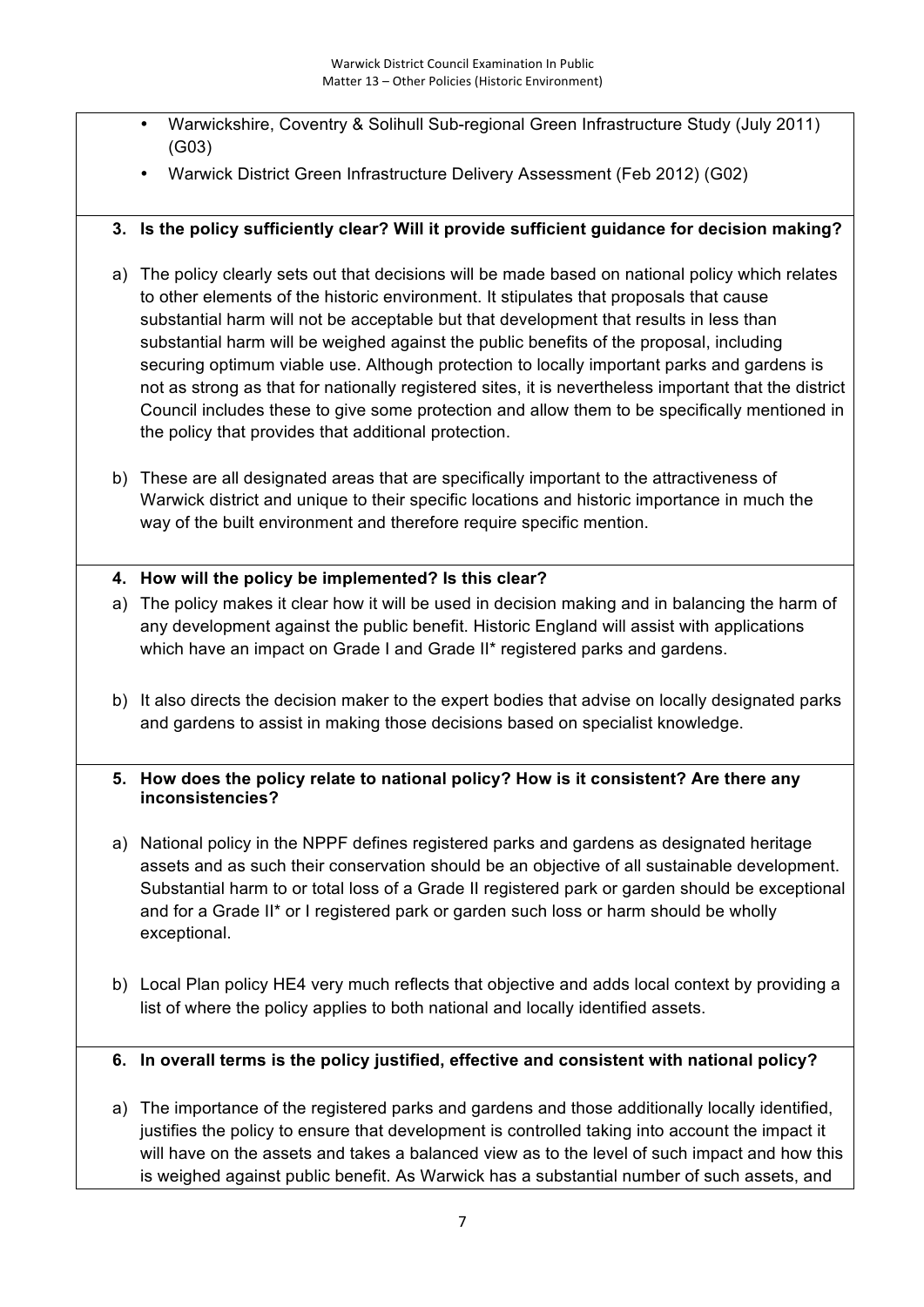- Warwickshire, Coventry & Solihull Sub-regional Green Infrastructure Study (July 2011) (G03)
- Warwick District Green Infrastructure Delivery Assessment (Feb 2012) (G02)

# **3. Is the policy sufficiently clear? Will it provide sufficient guidance for decision making?**

- a) The policy clearly sets out that decisions will be made based on national policy which relates to other elements of the historic environment. It stipulates that proposals that cause substantial harm will not be acceptable but that development that results in less than substantial harm will be weighed against the public benefits of the proposal, including securing optimum viable use. Although protection to locally important parks and gardens is not as strong as that for nationally registered sites, it is nevertheless important that the district Council includes these to give some protection and allow them to be specifically mentioned in the policy that provides that additional protection.
- b) These are all designated areas that are specifically important to the attractiveness of Warwick district and unique to their specific locations and historic importance in much the way of the built environment and therefore require specific mention.

## **4. How will the policy be implemented? Is this clear?**

- a) The policy makes it clear how it will be used in decision making and in balancing the harm of any development against the public benefit. Historic England will assist with applications which have an impact on Grade I and Grade II\* registered parks and gardens.
- b) It also directs the decision maker to the expert bodies that advise on locally designated parks and gardens to assist in making those decisions based on specialist knowledge.

## **5. How does the policy relate to national policy? How is it consistent? Are there any inconsistencies?**

- a) National policy in the NPPF defines registered parks and gardens as designated heritage assets and as such their conservation should be an objective of all sustainable development. Substantial harm to or total loss of a Grade II registered park or garden should be exceptional and for a Grade II\* or I registered park or garden such loss or harm should be wholly exceptional.
- b) Local Plan policy HE4 very much reflects that objective and adds local context by providing a list of where the policy applies to both national and locally identified assets.

# **6. In overall terms is the policy justified, effective and consistent with national policy?**

a) The importance of the registered parks and gardens and those additionally locally identified, justifies the policy to ensure that development is controlled taking into account the impact it will have on the assets and takes a balanced view as to the level of such impact and how this is weighed against public benefit. As Warwick has a substantial number of such assets, and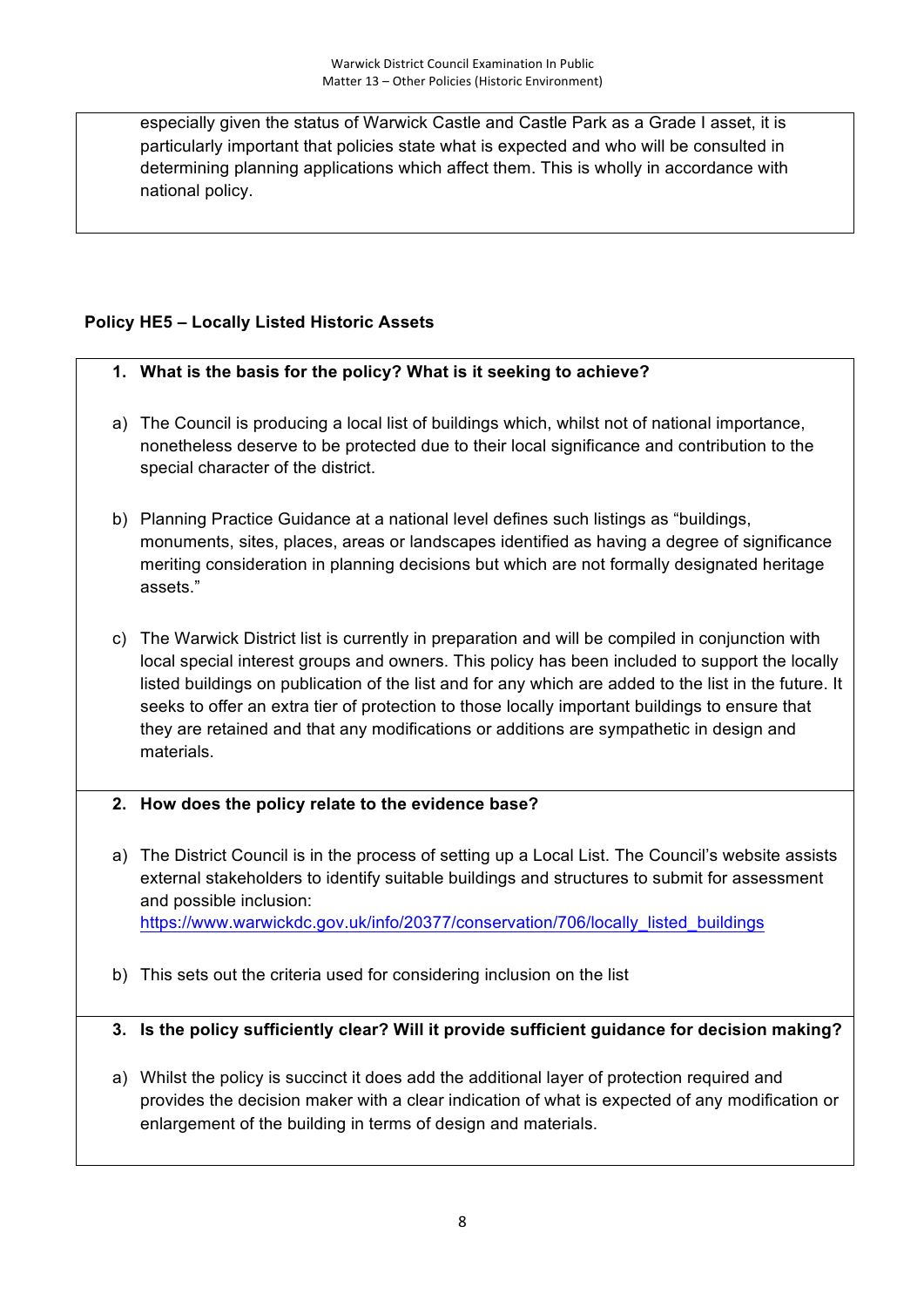especially given the status of Warwick Castle and Castle Park as a Grade I asset, it is particularly important that policies state what is expected and who will be consulted in determining planning applications which affect them. This is wholly in accordance with national policy.

# **Policy HE5 – Locally Listed Historic Assets**

## **1. What is the basis for the policy? What is it seeking to achieve?**

- a) The Council is producing a local list of buildings which, whilst not of national importance, nonetheless deserve to be protected due to their local significance and contribution to the special character of the district.
- b) Planning Practice Guidance at a national level defines such listings as "buildings, monuments, sites, places, areas or landscapes identified as having a degree of significance meriting consideration in planning decisions but which are not formally designated heritage assets."
- c) The Warwick District list is currently in preparation and will be compiled in conjunction with local special interest groups and owners. This policy has been included to support the locally listed buildings on publication of the list and for any which are added to the list in the future. It seeks to offer an extra tier of protection to those locally important buildings to ensure that they are retained and that any modifications or additions are sympathetic in design and materials.

## **2. How does the policy relate to the evidence base?**

- a) The District Council is in the process of setting up a Local List. The Council's website assists external stakeholders to identify suitable buildings and structures to submit for assessment and possible inclusion: https://www.warwickdc.gov.uk/info/20377/conservation/706/locally\_listed\_buildings
- b) This sets out the criteria used for considering inclusion on the list

## **3. Is the policy sufficiently clear? Will it provide sufficient guidance for decision making?**

a) Whilst the policy is succinct it does add the additional layer of protection required and provides the decision maker with a clear indication of what is expected of any modification or enlargement of the building in terms of design and materials.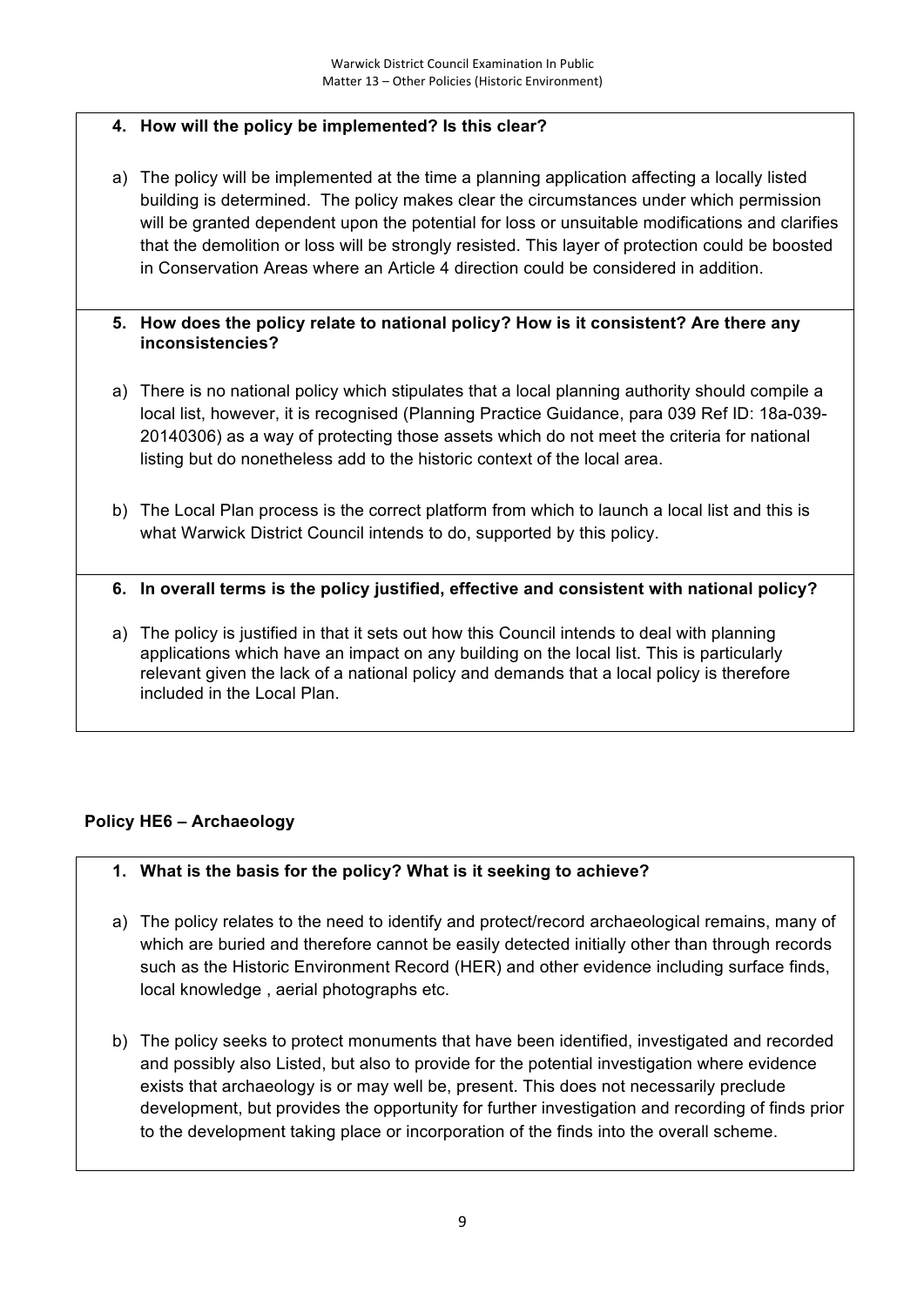# **4. How will the policy be implemented? Is this clear?**

a) The policy will be implemented at the time a planning application affecting a locally listed building is determined. The policy makes clear the circumstances under which permission will be granted dependent upon the potential for loss or unsuitable modifications and clarifies that the demolition or loss will be strongly resisted. This layer of protection could be boosted in Conservation Areas where an Article 4 direction could be considered in addition.

#### **5. How does the policy relate to national policy? How is it consistent? Are there any inconsistencies?**

- a) There is no national policy which stipulates that a local planning authority should compile a local list, however, it is recognised (Planning Practice Guidance, para 039 Ref ID: 18a-039- 20140306) as a way of protecting those assets which do not meet the criteria for national listing but do nonetheless add to the historic context of the local area.
- b) The Local Plan process is the correct platform from which to launch a local list and this is what Warwick District Council intends to do, supported by this policy.

## **6. In overall terms is the policy justified, effective and consistent with national policy?**

a) The policy is justified in that it sets out how this Council intends to deal with planning applications which have an impact on any building on the local list. This is particularly relevant given the lack of a national policy and demands that a local policy is therefore included in the Local Plan.

## **Policy HE6 – Archaeology**

## **1. What is the basis for the policy? What is it seeking to achieve?**

- a) The policy relates to the need to identify and protect/record archaeological remains, many of which are buried and therefore cannot be easily detected initially other than through records such as the Historic Environment Record (HER) and other evidence including surface finds, local knowledge , aerial photographs etc.
- b) The policy seeks to protect monuments that have been identified, investigated and recorded and possibly also Listed, but also to provide for the potential investigation where evidence exists that archaeology is or may well be, present. This does not necessarily preclude development, but provides the opportunity for further investigation and recording of finds prior to the development taking place or incorporation of the finds into the overall scheme.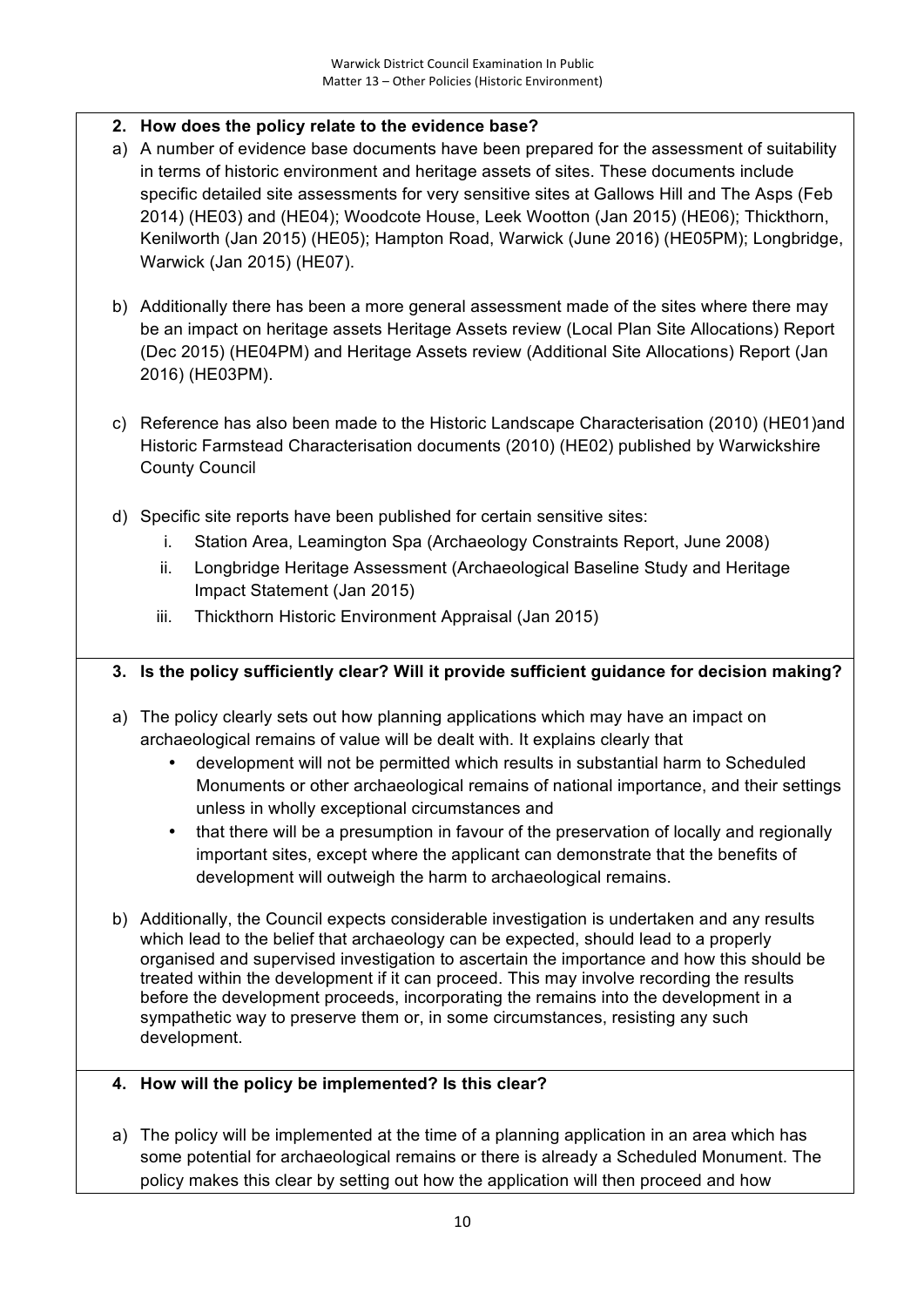# **2. How does the policy relate to the evidence base?**

- a) A number of evidence base documents have been prepared for the assessment of suitability in terms of historic environment and heritage assets of sites. These documents include specific detailed site assessments for very sensitive sites at Gallows Hill and The Asps (Feb 2014) (HE03) and (HE04); Woodcote House, Leek Wootton (Jan 2015) (HE06); Thickthorn, Kenilworth (Jan 2015) (HE05); Hampton Road, Warwick (June 2016) (HE05PM); Longbridge, Warwick (Jan 2015) (HE07).
- b) Additionally there has been a more general assessment made of the sites where there may be an impact on heritage assets Heritage Assets review (Local Plan Site Allocations) Report (Dec 2015) (HE04PM) and Heritage Assets review (Additional Site Allocations) Report (Jan 2016) (HE03PM).
- c) Reference has also been made to the Historic Landscape Characterisation (2010) (HE01)and Historic Farmstead Characterisation documents (2010) (HE02) published by Warwickshire County Council
- d) Specific site reports have been published for certain sensitive sites:
	- i. Station Area, Leamington Spa (Archaeology Constraints Report, June 2008)
	- ii. Longbridge Heritage Assessment (Archaeological Baseline Study and Heritage Impact Statement (Jan 2015)
	- iii. Thickthorn Historic Environment Appraisal (Jan 2015)

## **3. Is the policy sufficiently clear? Will it provide sufficient guidance for decision making?**

- a) The policy clearly sets out how planning applications which may have an impact on archaeological remains of value will be dealt with. It explains clearly that
	- development will not be permitted which results in substantial harm to Scheduled Monuments or other archaeological remains of national importance, and their settings unless in wholly exceptional circumstances and
	- that there will be a presumption in favour of the preservation of locally and regionally important sites, except where the applicant can demonstrate that the benefits of development will outweigh the harm to archaeological remains.
- b) Additionally, the Council expects considerable investigation is undertaken and any results which lead to the belief that archaeology can be expected, should lead to a properly organised and supervised investigation to ascertain the importance and how this should be treated within the development if it can proceed. This may involve recording the results before the development proceeds, incorporating the remains into the development in a sympathetic way to preserve them or, in some circumstances, resisting any such development.

## **4. How will the policy be implemented? Is this clear?**

a) The policy will be implemented at the time of a planning application in an area which has some potential for archaeological remains or there is already a Scheduled Monument. The policy makes this clear by setting out how the application will then proceed and how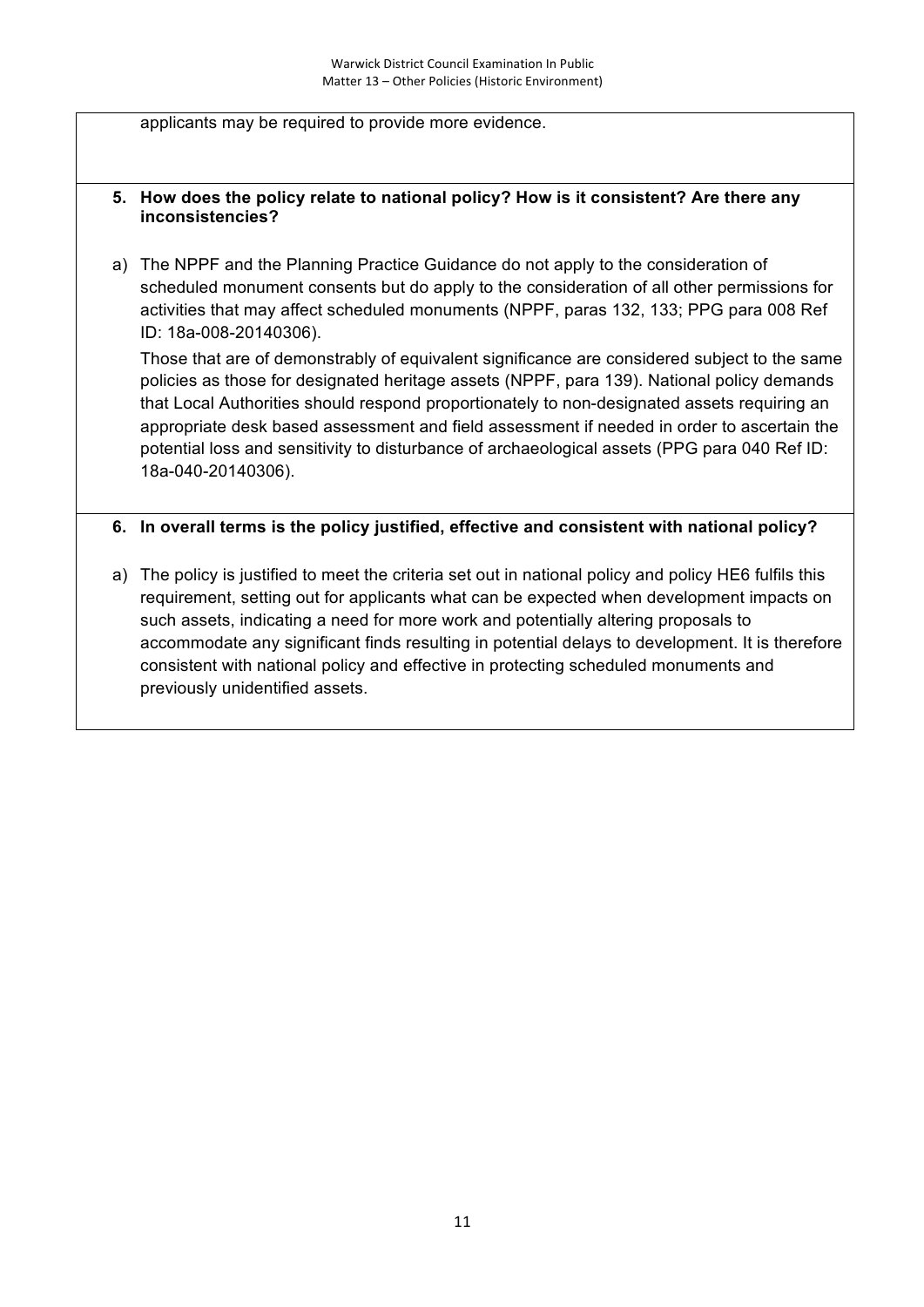applicants may be required to provide more evidence.

#### **5. How does the policy relate to national policy? How is it consistent? Are there any inconsistencies?**

a) The NPPF and the Planning Practice Guidance do not apply to the consideration of scheduled monument consents but do apply to the consideration of all other permissions for activities that may affect scheduled monuments (NPPF, paras 132, 133; PPG para 008 Ref ID: 18a-008-20140306).

Those that are of demonstrably of equivalent significance are considered subject to the same policies as those for designated heritage assets (NPPF, para 139). National policy demands that Local Authorities should respond proportionately to non-designated assets requiring an appropriate desk based assessment and field assessment if needed in order to ascertain the potential loss and sensitivity to disturbance of archaeological assets (PPG para 040 Ref ID: 18a-040-20140306).

#### **6. In overall terms is the policy justified, effective and consistent with national policy?**

a) The policy is justified to meet the criteria set out in national policy and policy HE6 fulfils this requirement, setting out for applicants what can be expected when development impacts on such assets, indicating a need for more work and potentially altering proposals to accommodate any significant finds resulting in potential delays to development. It is therefore consistent with national policy and effective in protecting scheduled monuments and previously unidentified assets.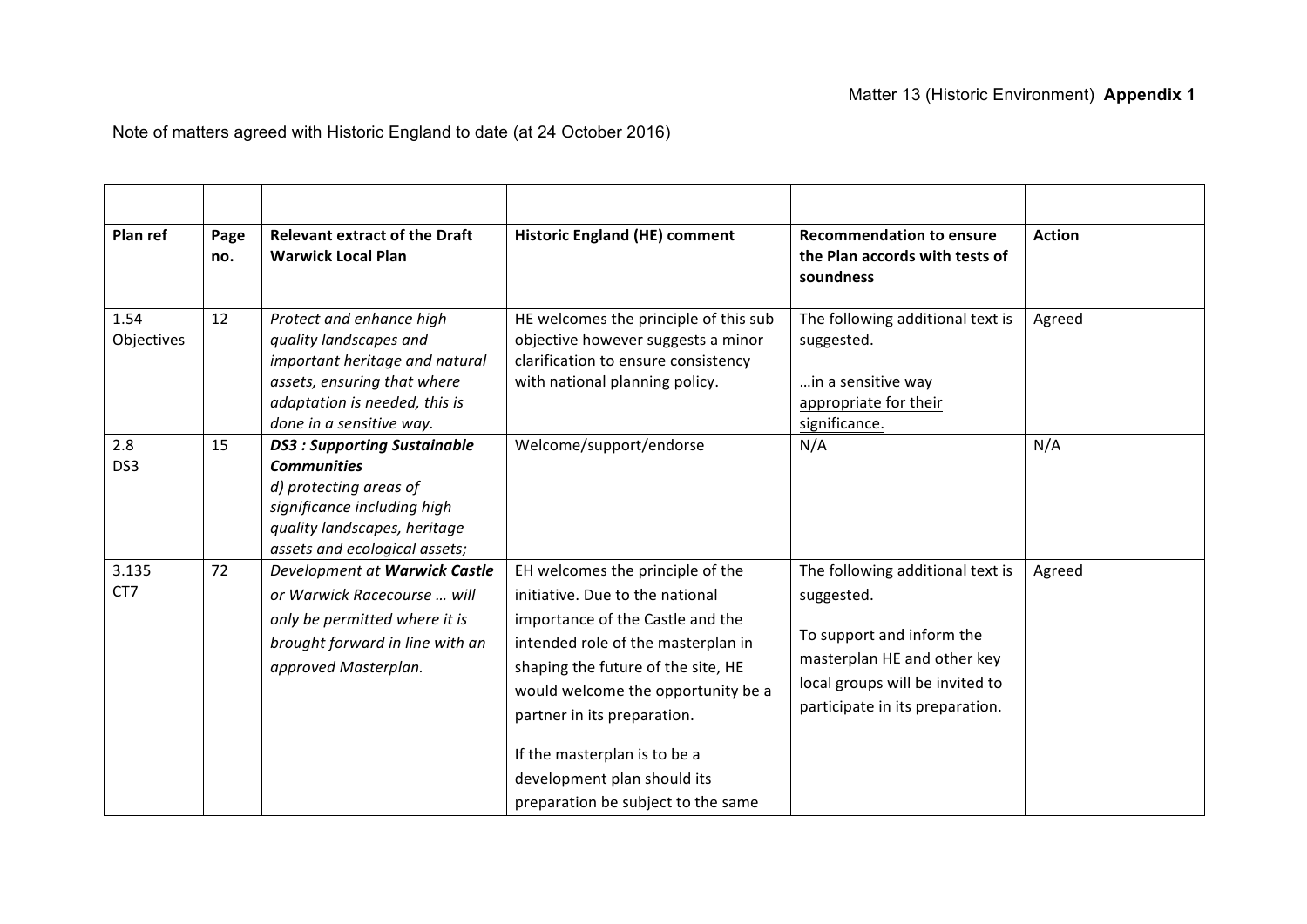# Matter 13 (Historic Environment) **Appendix 1**

Note of matters agreed with Historic England to date (at 24 October 2016)

| Plan ref           | Page<br>no. | <b>Relevant extract of the Draft</b><br><b>Warwick Local Plan</b>                                                                                                                  | <b>Historic England (HE) comment</b>                                                                                                                                                                                                                                                                                                                          | <b>Recommendation to ensure</b><br>the Plan accords with tests of<br>soundness                                                                                                   | <b>Action</b> |
|--------------------|-------------|------------------------------------------------------------------------------------------------------------------------------------------------------------------------------------|---------------------------------------------------------------------------------------------------------------------------------------------------------------------------------------------------------------------------------------------------------------------------------------------------------------------------------------------------------------|----------------------------------------------------------------------------------------------------------------------------------------------------------------------------------|---------------|
| 1.54<br>Objectives | 12          | Protect and enhance high<br>quality landscapes and<br>important heritage and natural<br>assets, ensuring that where<br>adaptation is needed, this is<br>done in a sensitive way.   | HE welcomes the principle of this sub<br>objective however suggests a minor<br>clarification to ensure consistency<br>with national planning policy.                                                                                                                                                                                                          | The following additional text is<br>suggested.<br>in a sensitive way<br>appropriate for their<br>significance.                                                                   | Agreed        |
| 2.8<br>DS3         | 15          | <b>DS3: Supporting Sustainable</b><br><b>Communities</b><br>d) protecting areas of<br>significance including high<br>quality landscapes, heritage<br>assets and ecological assets; | Welcome/support/endorse                                                                                                                                                                                                                                                                                                                                       | N/A                                                                                                                                                                              | N/A           |
| 3.135<br>CT7       | 72          | Development at Warwick Castle<br>or Warwick Racecourse  will<br>only be permitted where it is<br>brought forward in line with an<br>approved Masterplan.                           | EH welcomes the principle of the<br>initiative. Due to the national<br>importance of the Castle and the<br>intended role of the masterplan in<br>shaping the future of the site, HE<br>would welcome the opportunity be a<br>partner in its preparation.<br>If the masterplan is to be a<br>development plan should its<br>preparation be subject to the same | The following additional text is<br>suggested.<br>To support and inform the<br>masterplan HE and other key<br>local groups will be invited to<br>participate in its preparation. | Agreed        |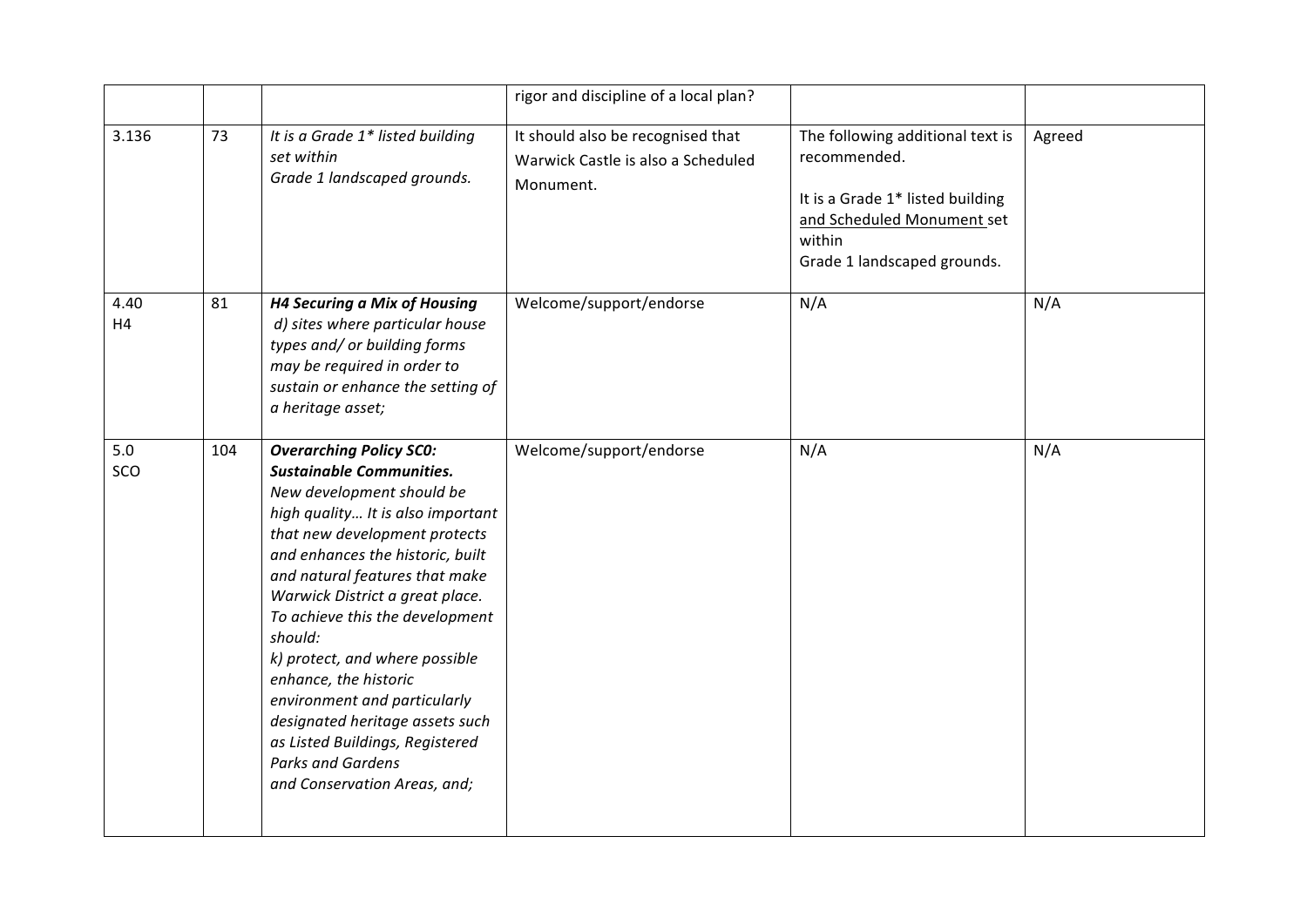|            |     |                                                                                                                                                                                                                                                                                                                                                                                                                                                                                                                                                          | rigor and discipline of a local plan?                                                |                                                                                                                                                             |        |
|------------|-----|----------------------------------------------------------------------------------------------------------------------------------------------------------------------------------------------------------------------------------------------------------------------------------------------------------------------------------------------------------------------------------------------------------------------------------------------------------------------------------------------------------------------------------------------------------|--------------------------------------------------------------------------------------|-------------------------------------------------------------------------------------------------------------------------------------------------------------|--------|
| 3.136      | 73  | It is a Grade 1* listed building<br>set within<br>Grade 1 landscaped grounds.                                                                                                                                                                                                                                                                                                                                                                                                                                                                            | It should also be recognised that<br>Warwick Castle is also a Scheduled<br>Monument. | The following additional text is<br>recommended.<br>It is a Grade 1* listed building<br>and Scheduled Monument set<br>within<br>Grade 1 landscaped grounds. | Agreed |
| 4.40<br>H4 | 81  | <b>H4 Securing a Mix of Housing</b><br>d) sites where particular house<br>types and/ or building forms<br>may be required in order to<br>sustain or enhance the setting of<br>a heritage asset;                                                                                                                                                                                                                                                                                                                                                          | Welcome/support/endorse                                                              | N/A                                                                                                                                                         | N/A    |
| 5.0<br>SCO | 104 | <b>Overarching Policy SCO:</b><br><b>Sustainable Communities.</b><br>New development should be<br>high quality It is also important<br>that new development protects<br>and enhances the historic, built<br>and natural features that make<br>Warwick District a great place.<br>To achieve this the development<br>should:<br>k) protect, and where possible<br>enhance, the historic<br>environment and particularly<br>designated heritage assets such<br>as Listed Buildings, Registered<br><b>Parks and Gardens</b><br>and Conservation Areas, and; | Welcome/support/endorse                                                              | N/A                                                                                                                                                         | N/A    |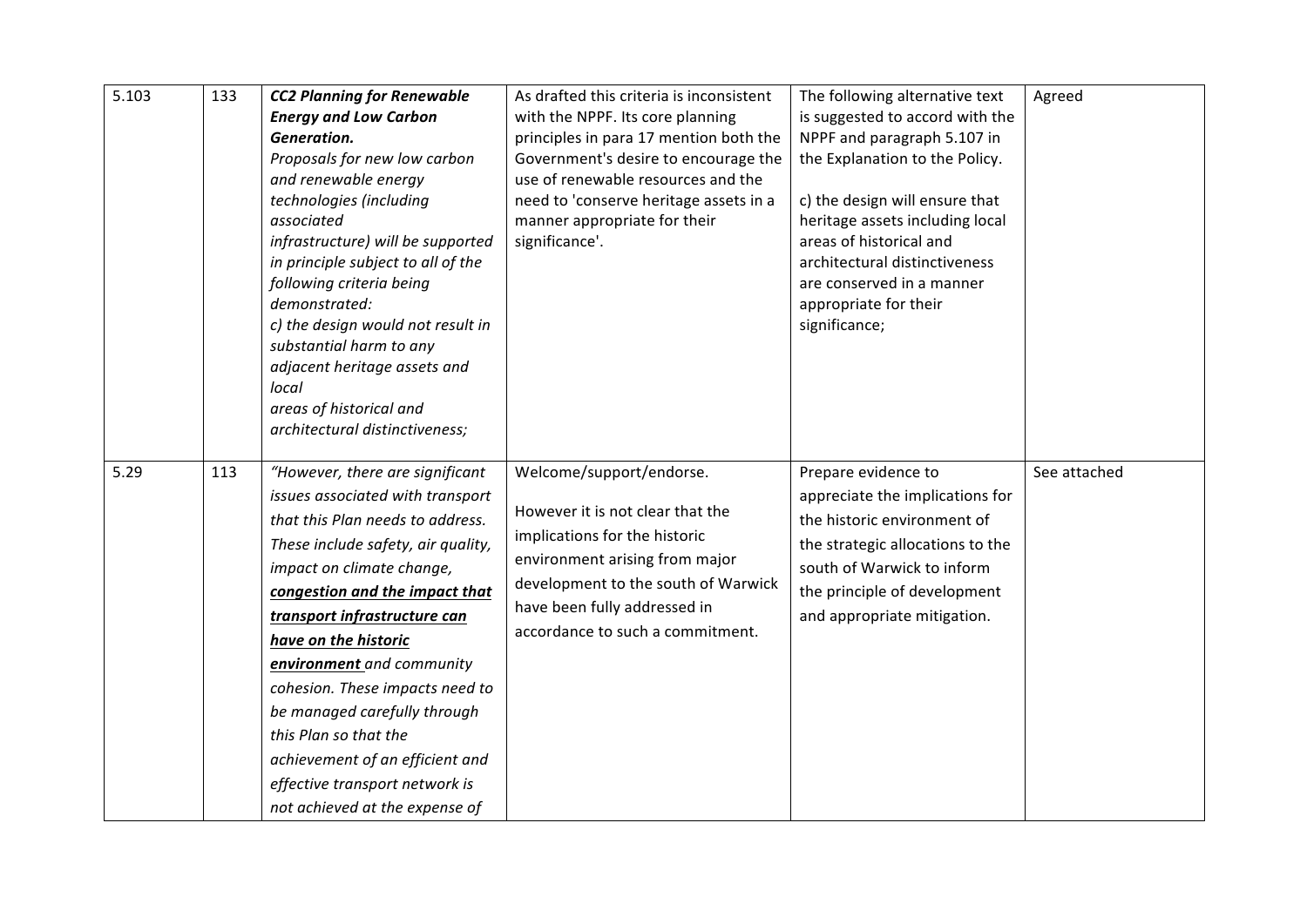| 5.103 | 133 | <b>CC2 Planning for Renewable</b><br><b>Energy and Low Carbon</b><br>Generation.<br>Proposals for new low carbon<br>and renewable energy<br>technologies (including<br>associated<br>infrastructure) will be supported<br>in principle subject to all of the<br>following criteria being<br>demonstrated:<br>c) the design would not result in<br>substantial harm to any<br>adjacent heritage assets and<br>local<br>areas of historical and<br>architectural distinctiveness;                      | As drafted this criteria is inconsistent<br>with the NPPF. Its core planning<br>principles in para 17 mention both the<br>Government's desire to encourage the<br>use of renewable resources and the<br>need to 'conserve heritage assets in a<br>manner appropriate for their<br>significance'. | The following alternative text<br>is suggested to accord with the<br>NPPF and paragraph 5.107 in<br>the Explanation to the Policy.<br>c) the design will ensure that<br>heritage assets including local<br>areas of historical and<br>architectural distinctiveness<br>are conserved in a manner<br>appropriate for their<br>significance; | Agreed       |
|-------|-----|------------------------------------------------------------------------------------------------------------------------------------------------------------------------------------------------------------------------------------------------------------------------------------------------------------------------------------------------------------------------------------------------------------------------------------------------------------------------------------------------------|--------------------------------------------------------------------------------------------------------------------------------------------------------------------------------------------------------------------------------------------------------------------------------------------------|--------------------------------------------------------------------------------------------------------------------------------------------------------------------------------------------------------------------------------------------------------------------------------------------------------------------------------------------|--------------|
| 5.29  | 113 | "However, there are significant<br>issues associated with transport<br>that this Plan needs to address.<br>These include safety, air quality,<br>impact on climate change,<br>congestion and the impact that<br>transport infrastructure can<br>have on the historic<br>environment and community<br>cohesion. These impacts need to<br>be managed carefully through<br>this Plan so that the<br>achievement of an efficient and<br>effective transport network is<br>not achieved at the expense of | Welcome/support/endorse.<br>However it is not clear that the<br>implications for the historic<br>environment arising from major<br>development to the south of Warwick<br>have been fully addressed in<br>accordance to such a commitment.                                                       | Prepare evidence to<br>appreciate the implications for<br>the historic environment of<br>the strategic allocations to the<br>south of Warwick to inform<br>the principle of development<br>and appropriate mitigation.                                                                                                                     | See attached |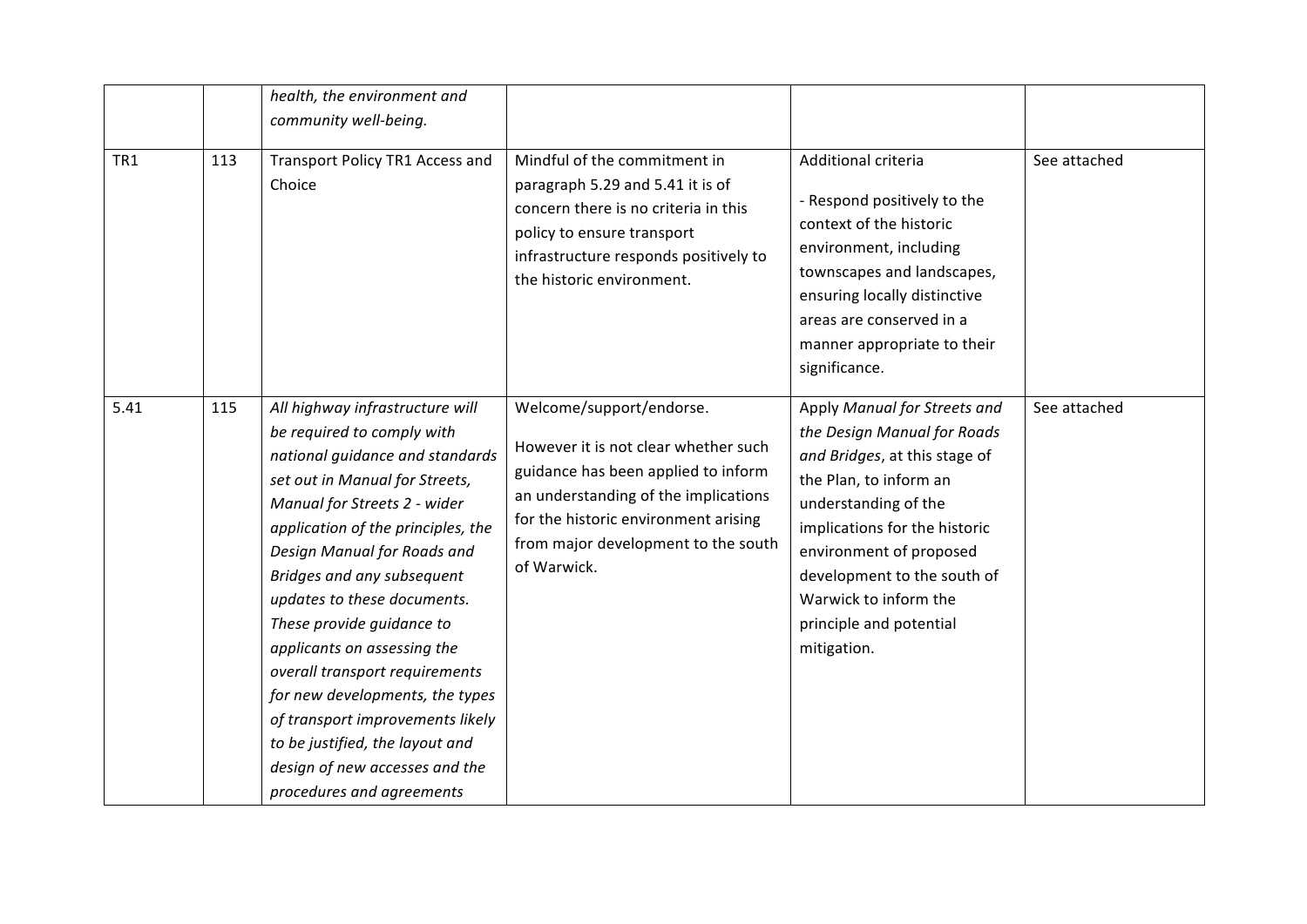|                 |     | health, the environment and<br>community well-being.                                                                                                                                                                                                                                                                                                                                                                                                                                                                                                                        |                                                                                                                                                                                                                                               |                                                                                                                                                                                                                                                                                                              |              |
|-----------------|-----|-----------------------------------------------------------------------------------------------------------------------------------------------------------------------------------------------------------------------------------------------------------------------------------------------------------------------------------------------------------------------------------------------------------------------------------------------------------------------------------------------------------------------------------------------------------------------------|-----------------------------------------------------------------------------------------------------------------------------------------------------------------------------------------------------------------------------------------------|--------------------------------------------------------------------------------------------------------------------------------------------------------------------------------------------------------------------------------------------------------------------------------------------------------------|--------------|
| TR <sub>1</sub> | 113 | Transport Policy TR1 Access and<br>Choice                                                                                                                                                                                                                                                                                                                                                                                                                                                                                                                                   | Mindful of the commitment in<br>paragraph 5.29 and 5.41 it is of<br>concern there is no criteria in this<br>policy to ensure transport<br>infrastructure responds positively to<br>the historic environment.                                  | Additional criteria<br>- Respond positively to the<br>context of the historic<br>environment, including<br>townscapes and landscapes,<br>ensuring locally distinctive<br>areas are conserved in a<br>manner appropriate to their<br>significance.                                                            | See attached |
| 5.41            | 115 | All highway infrastructure will<br>be required to comply with<br>national guidance and standards<br>set out in Manual for Streets,<br>Manual for Streets 2 - wider<br>application of the principles, the<br>Design Manual for Roads and<br>Bridges and any subsequent<br>updates to these documents.<br>These provide guidance to<br>applicants on assessing the<br>overall transport requirements<br>for new developments, the types<br>of transport improvements likely<br>to be justified, the layout and<br>design of new accesses and the<br>procedures and agreements | Welcome/support/endorse.<br>However it is not clear whether such<br>guidance has been applied to inform<br>an understanding of the implications<br>for the historic environment arising<br>from major development to the south<br>of Warwick. | Apply Manual for Streets and<br>the Design Manual for Roads<br>and Bridges, at this stage of<br>the Plan, to inform an<br>understanding of the<br>implications for the historic<br>environment of proposed<br>development to the south of<br>Warwick to inform the<br>principle and potential<br>mitigation. | See attached |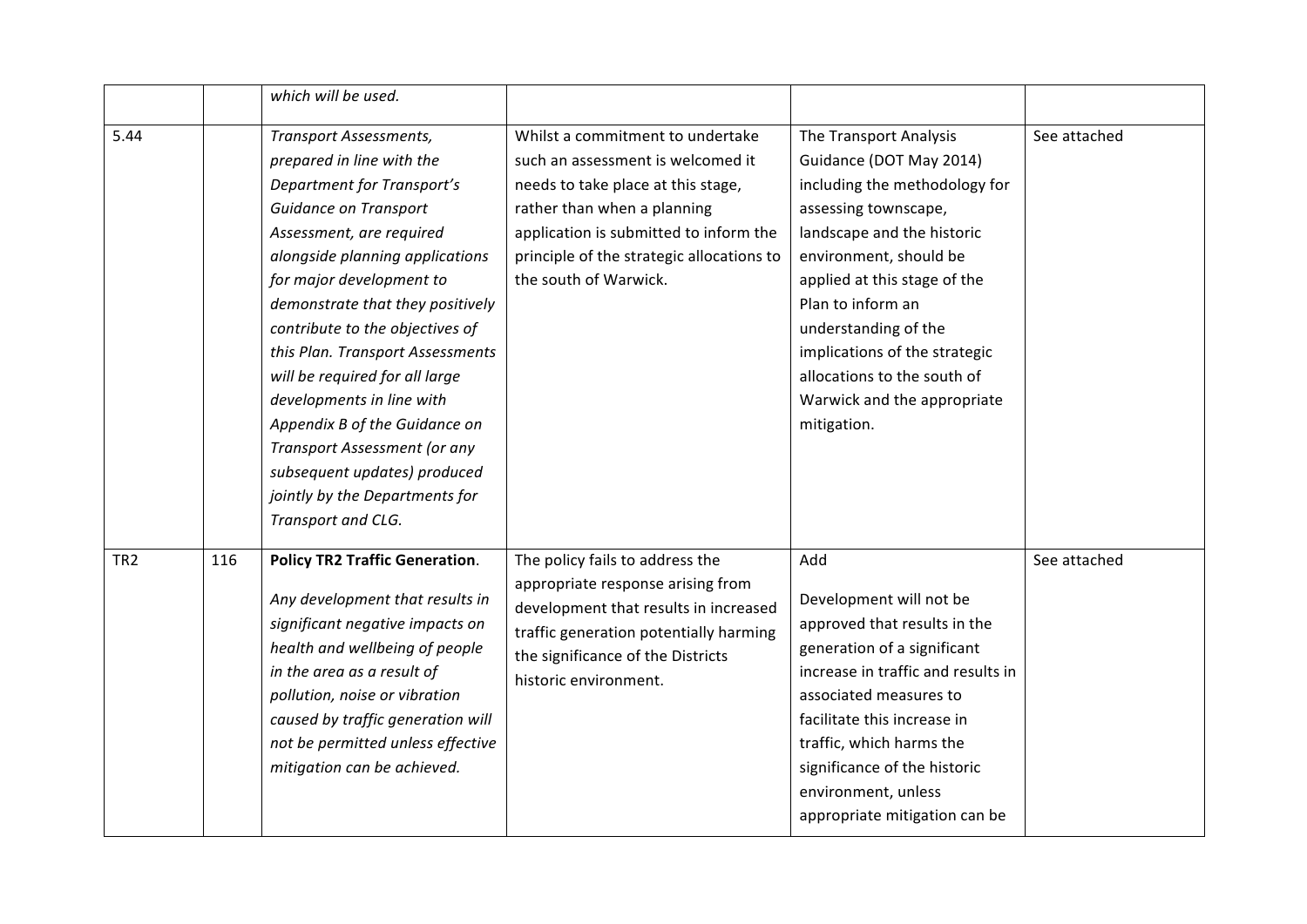|                 |     | which will be used.                                                                                                                                                                                                                                                                                                                                                                                                                                                                                                                                    |                                                                                                                                                                                                                                                            |                                                                                                                                                                                                                                                                                                                                                               |              |
|-----------------|-----|--------------------------------------------------------------------------------------------------------------------------------------------------------------------------------------------------------------------------------------------------------------------------------------------------------------------------------------------------------------------------------------------------------------------------------------------------------------------------------------------------------------------------------------------------------|------------------------------------------------------------------------------------------------------------------------------------------------------------------------------------------------------------------------------------------------------------|---------------------------------------------------------------------------------------------------------------------------------------------------------------------------------------------------------------------------------------------------------------------------------------------------------------------------------------------------------------|--------------|
| 5.44            |     | <b>Transport Assessments,</b><br>prepared in line with the<br><b>Department for Transport's</b><br>Guidance on Transport<br>Assessment, are required<br>alongside planning applications<br>for major development to<br>demonstrate that they positively<br>contribute to the objectives of<br>this Plan. Transport Assessments<br>will be required for all large<br>developments in line with<br>Appendix B of the Guidance on<br>Transport Assessment (or any<br>subsequent updates) produced<br>jointly by the Departments for<br>Transport and CLG. | Whilst a commitment to undertake<br>such an assessment is welcomed it<br>needs to take place at this stage,<br>rather than when a planning<br>application is submitted to inform the<br>principle of the strategic allocations to<br>the south of Warwick. | The Transport Analysis<br>Guidance (DOT May 2014)<br>including the methodology for<br>assessing townscape,<br>landscape and the historic<br>environment, should be<br>applied at this stage of the<br>Plan to inform an<br>understanding of the<br>implications of the strategic<br>allocations to the south of<br>Warwick and the appropriate<br>mitigation. | See attached |
| TR <sub>2</sub> | 116 | <b>Policy TR2 Traffic Generation.</b><br>Any development that results in<br>significant negative impacts on<br>health and wellbeing of people<br>in the area as a result of<br>pollution, noise or vibration<br>caused by traffic generation will<br>not be permitted unless effective<br>mitigation can be achieved.                                                                                                                                                                                                                                  | The policy fails to address the<br>appropriate response arising from<br>development that results in increased<br>traffic generation potentially harming<br>the significance of the Districts<br>historic environment.                                      | Add<br>Development will not be<br>approved that results in the<br>generation of a significant<br>increase in traffic and results in<br>associated measures to<br>facilitate this increase in<br>traffic, which harms the<br>significance of the historic<br>environment, unless<br>appropriate mitigation can be                                              | See attached |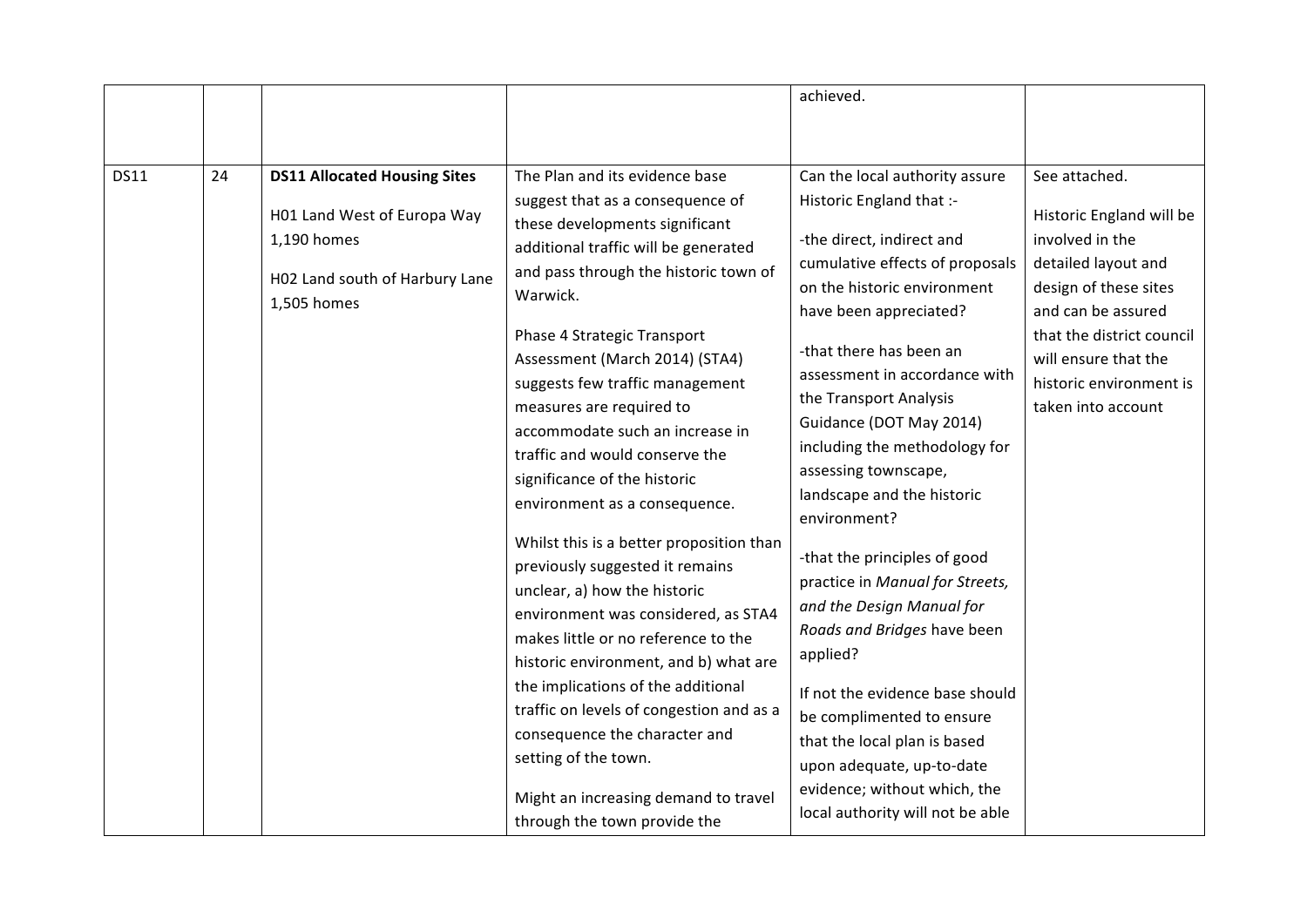|             |    |                                                                                                                                    |                                                                                                                                                                                                                                                                                                                                                                                                                                                                                                                                                                                                                                                                                                                                                                                                                                                          | achieved.                                                                                                                                                                                                                                                                                                                                                                                                                                                                                                                                                                                                                                                                                                           |                                                                                                                                                                                                                                          |
|-------------|----|------------------------------------------------------------------------------------------------------------------------------------|----------------------------------------------------------------------------------------------------------------------------------------------------------------------------------------------------------------------------------------------------------------------------------------------------------------------------------------------------------------------------------------------------------------------------------------------------------------------------------------------------------------------------------------------------------------------------------------------------------------------------------------------------------------------------------------------------------------------------------------------------------------------------------------------------------------------------------------------------------|---------------------------------------------------------------------------------------------------------------------------------------------------------------------------------------------------------------------------------------------------------------------------------------------------------------------------------------------------------------------------------------------------------------------------------------------------------------------------------------------------------------------------------------------------------------------------------------------------------------------------------------------------------------------------------------------------------------------|------------------------------------------------------------------------------------------------------------------------------------------------------------------------------------------------------------------------------------------|
|             |    |                                                                                                                                    |                                                                                                                                                                                                                                                                                                                                                                                                                                                                                                                                                                                                                                                                                                                                                                                                                                                          |                                                                                                                                                                                                                                                                                                                                                                                                                                                                                                                                                                                                                                                                                                                     |                                                                                                                                                                                                                                          |
| <b>DS11</b> | 24 | <b>DS11 Allocated Housing Sites</b><br>H01 Land West of Europa Way<br>1,190 homes<br>H02 Land south of Harbury Lane<br>1,505 homes | The Plan and its evidence base<br>suggest that as a consequence of<br>these developments significant<br>additional traffic will be generated<br>and pass through the historic town of<br>Warwick.<br>Phase 4 Strategic Transport<br>Assessment (March 2014) (STA4)<br>suggests few traffic management<br>measures are required to<br>accommodate such an increase in<br>traffic and would conserve the<br>significance of the historic<br>environment as a consequence.<br>Whilst this is a better proposition than<br>previously suggested it remains<br>unclear, a) how the historic<br>environment was considered, as STA4<br>makes little or no reference to the<br>historic environment, and b) what are<br>the implications of the additional<br>traffic on levels of congestion and as a<br>consequence the character and<br>setting of the town. | Can the local authority assure<br>Historic England that :-<br>-the direct, indirect and<br>cumulative effects of proposals<br>on the historic environment<br>have been appreciated?<br>-that there has been an<br>assessment in accordance with<br>the Transport Analysis<br>Guidance (DOT May 2014)<br>including the methodology for<br>assessing townscape,<br>landscape and the historic<br>environment?<br>-that the principles of good<br>practice in Manual for Streets,<br>and the Design Manual for<br>Roads and Bridges have been<br>applied?<br>If not the evidence base should<br>be complimented to ensure<br>that the local plan is based<br>upon adequate, up-to-date<br>evidence; without which, the | See attached.<br>Historic England will be<br>involved in the<br>detailed layout and<br>design of these sites<br>and can be assured<br>that the district council<br>will ensure that the<br>historic environment is<br>taken into account |
|             |    |                                                                                                                                    | Might an increasing demand to travel<br>through the town provide the                                                                                                                                                                                                                                                                                                                                                                                                                                                                                                                                                                                                                                                                                                                                                                                     | local authority will not be able                                                                                                                                                                                                                                                                                                                                                                                                                                                                                                                                                                                                                                                                                    |                                                                                                                                                                                                                                          |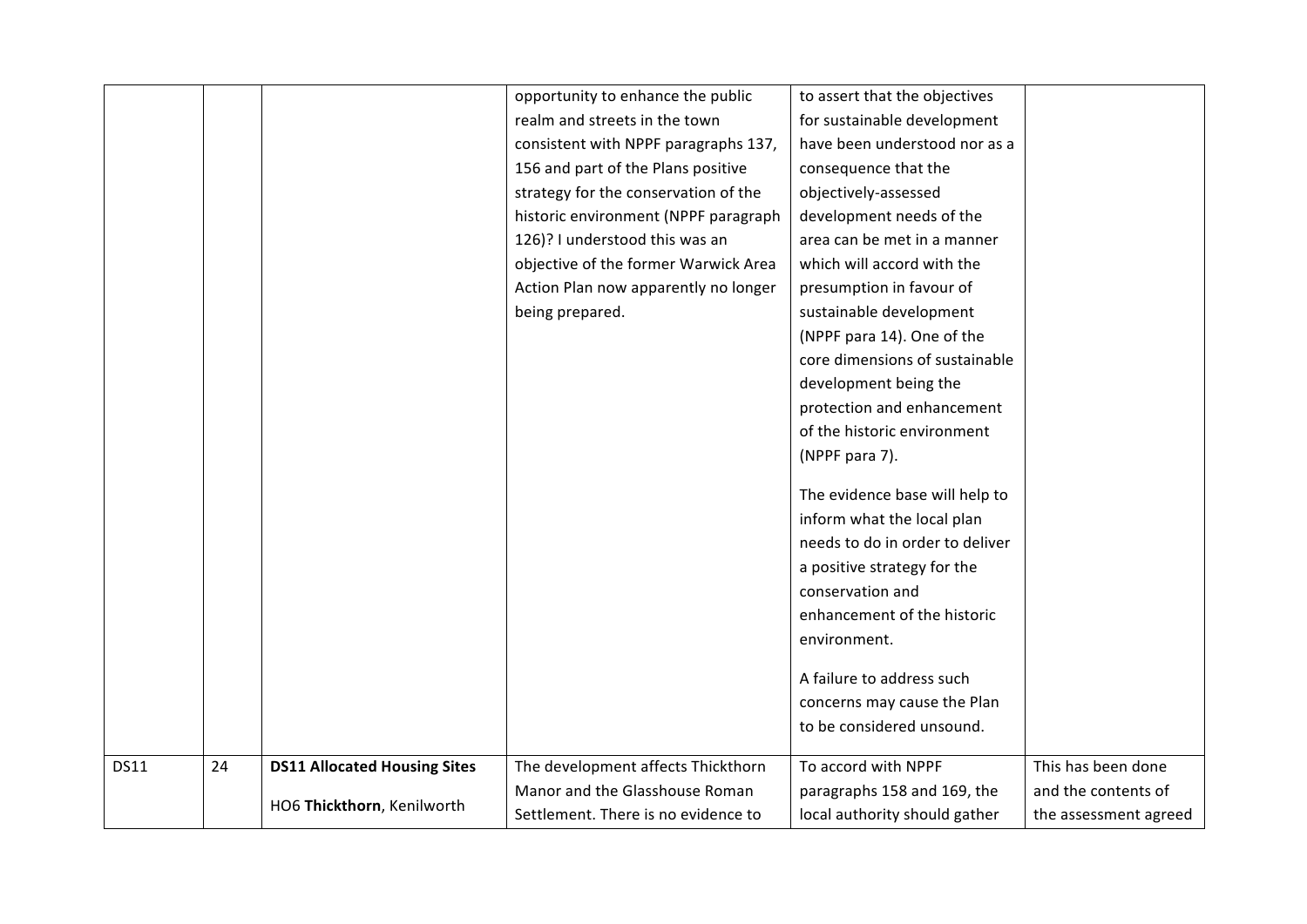|             |    |                                     | opportunity to enhance the public    | to assert that the objectives   |                       |
|-------------|----|-------------------------------------|--------------------------------------|---------------------------------|-----------------------|
|             |    |                                     | realm and streets in the town        | for sustainable development     |                       |
|             |    |                                     | consistent with NPPF paragraphs 137, | have been understood nor as a   |                       |
|             |    |                                     | 156 and part of the Plans positive   | consequence that the            |                       |
|             |    |                                     | strategy for the conservation of the | objectively-assessed            |                       |
|             |    |                                     | historic environment (NPPF paragraph | development needs of the        |                       |
|             |    |                                     | 126)? I understood this was an       | area can be met in a manner     |                       |
|             |    |                                     | objective of the former Warwick Area | which will accord with the      |                       |
|             |    |                                     | Action Plan now apparently no longer | presumption in favour of        |                       |
|             |    |                                     | being prepared.                      | sustainable development         |                       |
|             |    |                                     |                                      | (NPPF para 14). One of the      |                       |
|             |    |                                     |                                      | core dimensions of sustainable  |                       |
|             |    |                                     |                                      | development being the           |                       |
|             |    |                                     |                                      | protection and enhancement      |                       |
|             |    |                                     |                                      | of the historic environment     |                       |
|             |    |                                     |                                      | (NPPF para 7).                  |                       |
|             |    |                                     |                                      |                                 |                       |
|             |    |                                     |                                      | The evidence base will help to  |                       |
|             |    |                                     |                                      | inform what the local plan      |                       |
|             |    |                                     |                                      | needs to do in order to deliver |                       |
|             |    |                                     |                                      | a positive strategy for the     |                       |
|             |    |                                     |                                      | conservation and                |                       |
|             |    |                                     |                                      | enhancement of the historic     |                       |
|             |    |                                     |                                      | environment.                    |                       |
|             |    |                                     |                                      | A failure to address such       |                       |
|             |    |                                     |                                      | concerns may cause the Plan     |                       |
|             |    |                                     |                                      | to be considered unsound.       |                       |
|             |    |                                     |                                      |                                 |                       |
| <b>DS11</b> | 24 | <b>DS11 Allocated Housing Sites</b> | The development affects Thickthorn   | To accord with NPPF             | This has been done    |
|             |    |                                     | Manor and the Glasshouse Roman       | paragraphs 158 and 169, the     | and the contents of   |
|             |    | HO6 Thickthorn, Kenilworth          | Settlement. There is no evidence to  | local authority should gather   | the assessment agreed |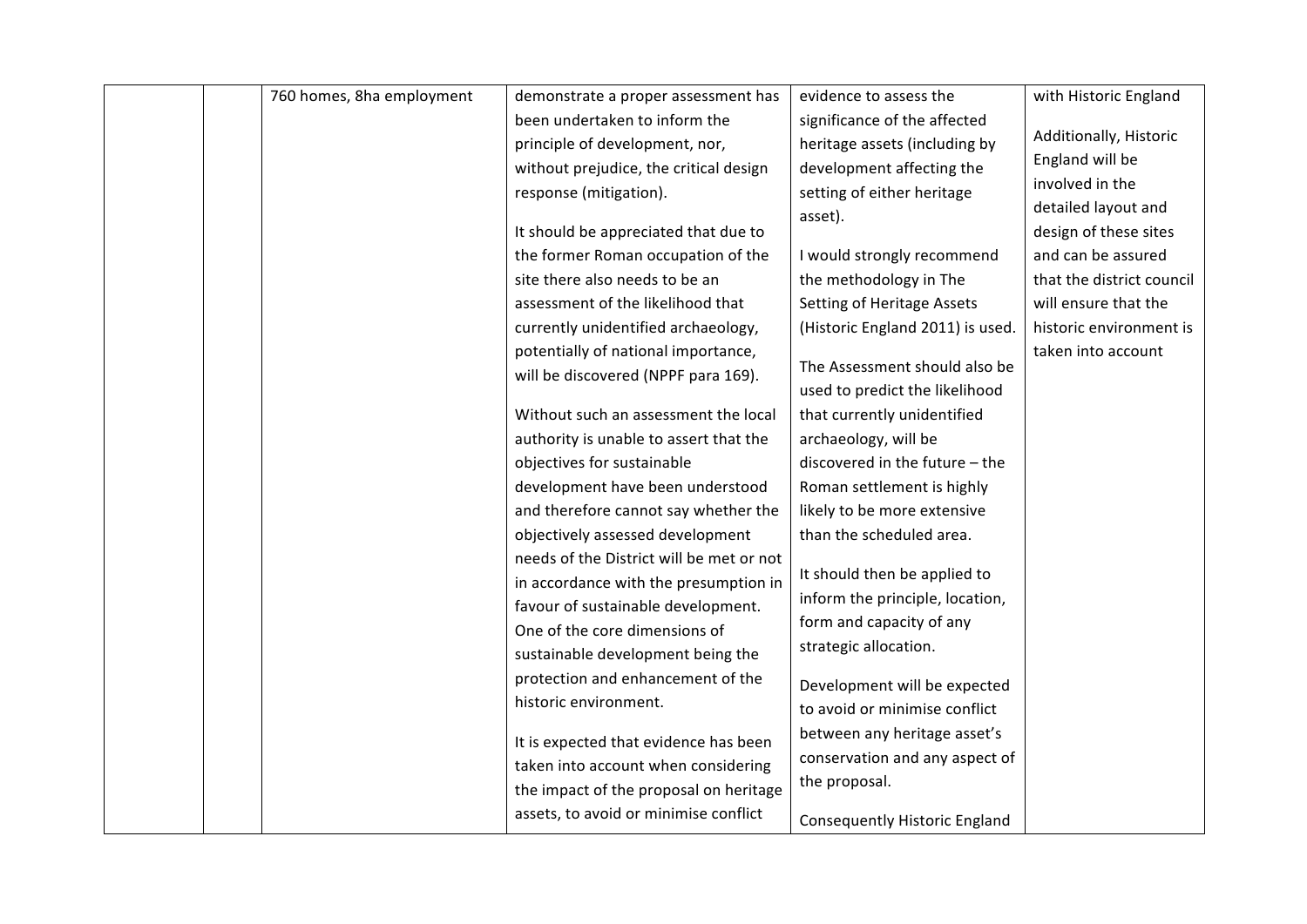| 760 homes, 8ha employment | demonstrate a proper assessment has      | evidence to assess the               | with Historic England     |
|---------------------------|------------------------------------------|--------------------------------------|---------------------------|
|                           | been undertaken to inform the            | significance of the affected         |                           |
|                           | principle of development, nor,           | heritage assets (including by        | Additionally, Historic    |
|                           | without prejudice, the critical design   | development affecting the            | England will be           |
|                           | response (mitigation).                   | setting of either heritage           | involved in the           |
|                           |                                          | asset).                              | detailed layout and       |
|                           | It should be appreciated that due to     |                                      | design of these sites     |
|                           | the former Roman occupation of the       | I would strongly recommend           | and can be assured        |
|                           | site there also needs to be an           | the methodology in The               | that the district council |
|                           | assessment of the likelihood that        | <b>Setting of Heritage Assets</b>    | will ensure that the      |
|                           | currently unidentified archaeology,      | (Historic England 2011) is used.     | historic environment is   |
|                           | potentially of national importance,      |                                      | taken into account        |
|                           | will be discovered (NPPF para 169).      | The Assessment should also be        |                           |
|                           |                                          | used to predict the likelihood       |                           |
|                           | Without such an assessment the local     | that currently unidentified          |                           |
|                           | authority is unable to assert that the   | archaeology, will be                 |                           |
|                           | objectives for sustainable               | discovered in the future - the       |                           |
|                           | development have been understood         | Roman settlement is highly           |                           |
|                           | and therefore cannot say whether the     | likely to be more extensive          |                           |
|                           | objectively assessed development         | than the scheduled area.             |                           |
|                           | needs of the District will be met or not |                                      |                           |
|                           | in accordance with the presumption in    | It should then be applied to         |                           |
|                           | favour of sustainable development.       | inform the principle, location,      |                           |
|                           | One of the core dimensions of            | form and capacity of any             |                           |
|                           | sustainable development being the        | strategic allocation.                |                           |
|                           | protection and enhancement of the        | Development will be expected         |                           |
|                           | historic environment.                    | to avoid or minimise conflict        |                           |
|                           |                                          |                                      |                           |
|                           | It is expected that evidence has been    | between any heritage asset's         |                           |
|                           | taken into account when considering      | conservation and any aspect of       |                           |
|                           | the impact of the proposal on heritage   | the proposal.                        |                           |
|                           | assets, to avoid or minimise conflict    | <b>Consequently Historic England</b> |                           |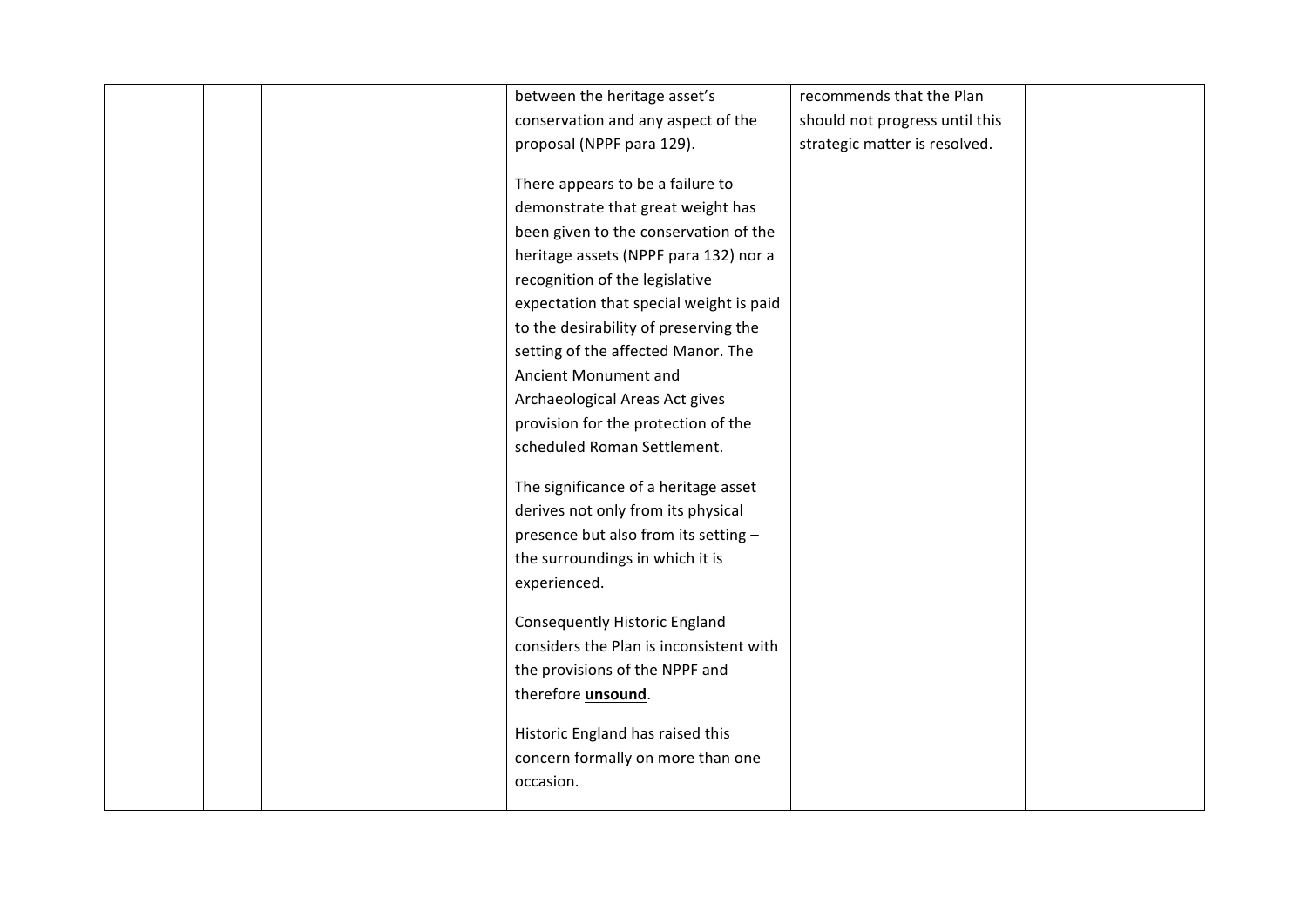|  | between the heritage asset's            | recommends that the Plan       |  |
|--|-----------------------------------------|--------------------------------|--|
|  | conservation and any aspect of the      | should not progress until this |  |
|  | proposal (NPPF para 129).               |                                |  |
|  |                                         | strategic matter is resolved.  |  |
|  | There appears to be a failure to        |                                |  |
|  | demonstrate that great weight has       |                                |  |
|  | been given to the conservation of the   |                                |  |
|  | heritage assets (NPPF para 132) nor a   |                                |  |
|  | recognition of the legislative          |                                |  |
|  | expectation that special weight is paid |                                |  |
|  | to the desirability of preserving the   |                                |  |
|  | setting of the affected Manor. The      |                                |  |
|  | Ancient Monument and                    |                                |  |
|  | Archaeological Areas Act gives          |                                |  |
|  | provision for the protection of the     |                                |  |
|  | scheduled Roman Settlement.             |                                |  |
|  |                                         |                                |  |
|  | The significance of a heritage asset    |                                |  |
|  | derives not only from its physical      |                                |  |
|  | presence but also from its setting -    |                                |  |
|  | the surroundings in which it is         |                                |  |
|  | experienced.                            |                                |  |
|  | <b>Consequently Historic England</b>    |                                |  |
|  | considers the Plan is inconsistent with |                                |  |
|  | the provisions of the NPPF and          |                                |  |
|  | therefore <i>unsound</i> .              |                                |  |
|  |                                         |                                |  |
|  | Historic England has raised this        |                                |  |
|  | concern formally on more than one       |                                |  |
|  | occasion.                               |                                |  |
|  |                                         |                                |  |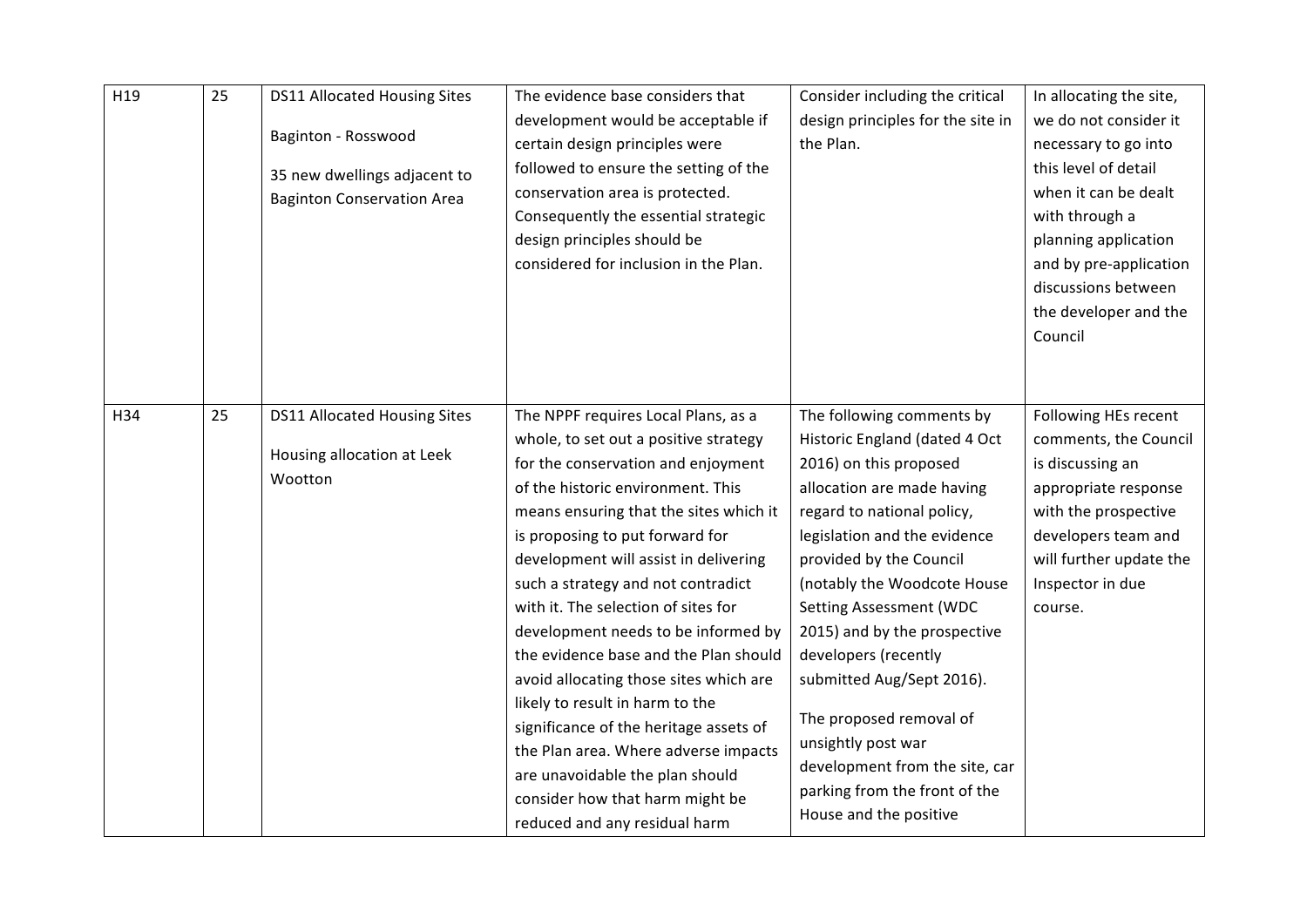| H19 | 25 | <b>DS11 Allocated Housing Sites</b><br>Baginton - Rosswood<br>35 new dwellings adjacent to<br><b>Baginton Conservation Area</b> | The evidence base considers that<br>development would be acceptable if<br>certain design principles were<br>followed to ensure the setting of the<br>conservation area is protected.<br>Consequently the essential strategic<br>design principles should be<br>considered for inclusion in the Plan.                                                                                                                                                                                                                                                                                                                                                                                                             | Consider including the critical<br>design principles for the site in<br>the Plan.                                                                                                                                                                                                                                                                                                                                                                                                                               | In allocating the site,<br>we do not consider it<br>necessary to go into<br>this level of detail<br>when it can be dealt<br>with through a<br>planning application<br>and by pre-application<br>discussions between<br>the developer and the<br>Council |
|-----|----|---------------------------------------------------------------------------------------------------------------------------------|------------------------------------------------------------------------------------------------------------------------------------------------------------------------------------------------------------------------------------------------------------------------------------------------------------------------------------------------------------------------------------------------------------------------------------------------------------------------------------------------------------------------------------------------------------------------------------------------------------------------------------------------------------------------------------------------------------------|-----------------------------------------------------------------------------------------------------------------------------------------------------------------------------------------------------------------------------------------------------------------------------------------------------------------------------------------------------------------------------------------------------------------------------------------------------------------------------------------------------------------|---------------------------------------------------------------------------------------------------------------------------------------------------------------------------------------------------------------------------------------------------------|
| H34 | 25 | <b>DS11 Allocated Housing Sites</b><br>Housing allocation at Leek<br>Wootton                                                    | The NPPF requires Local Plans, as a<br>whole, to set out a positive strategy<br>for the conservation and enjoyment<br>of the historic environment. This<br>means ensuring that the sites which it<br>is proposing to put forward for<br>development will assist in delivering<br>such a strategy and not contradict<br>with it. The selection of sites for<br>development needs to be informed by<br>the evidence base and the Plan should<br>avoid allocating those sites which are<br>likely to result in harm to the<br>significance of the heritage assets of<br>the Plan area. Where adverse impacts<br>are unavoidable the plan should<br>consider how that harm might be<br>reduced and any residual harm | The following comments by<br>Historic England (dated 4 Oct<br>2016) on this proposed<br>allocation are made having<br>regard to national policy,<br>legislation and the evidence<br>provided by the Council<br>(notably the Woodcote House<br><b>Setting Assessment (WDC</b><br>2015) and by the prospective<br>developers (recently<br>submitted Aug/Sept 2016).<br>The proposed removal of<br>unsightly post war<br>development from the site, car<br>parking from the front of the<br>House and the positive | Following HEs recent<br>comments, the Council<br>is discussing an<br>appropriate response<br>with the prospective<br>developers team and<br>will further update the<br>Inspector in due<br>course.                                                      |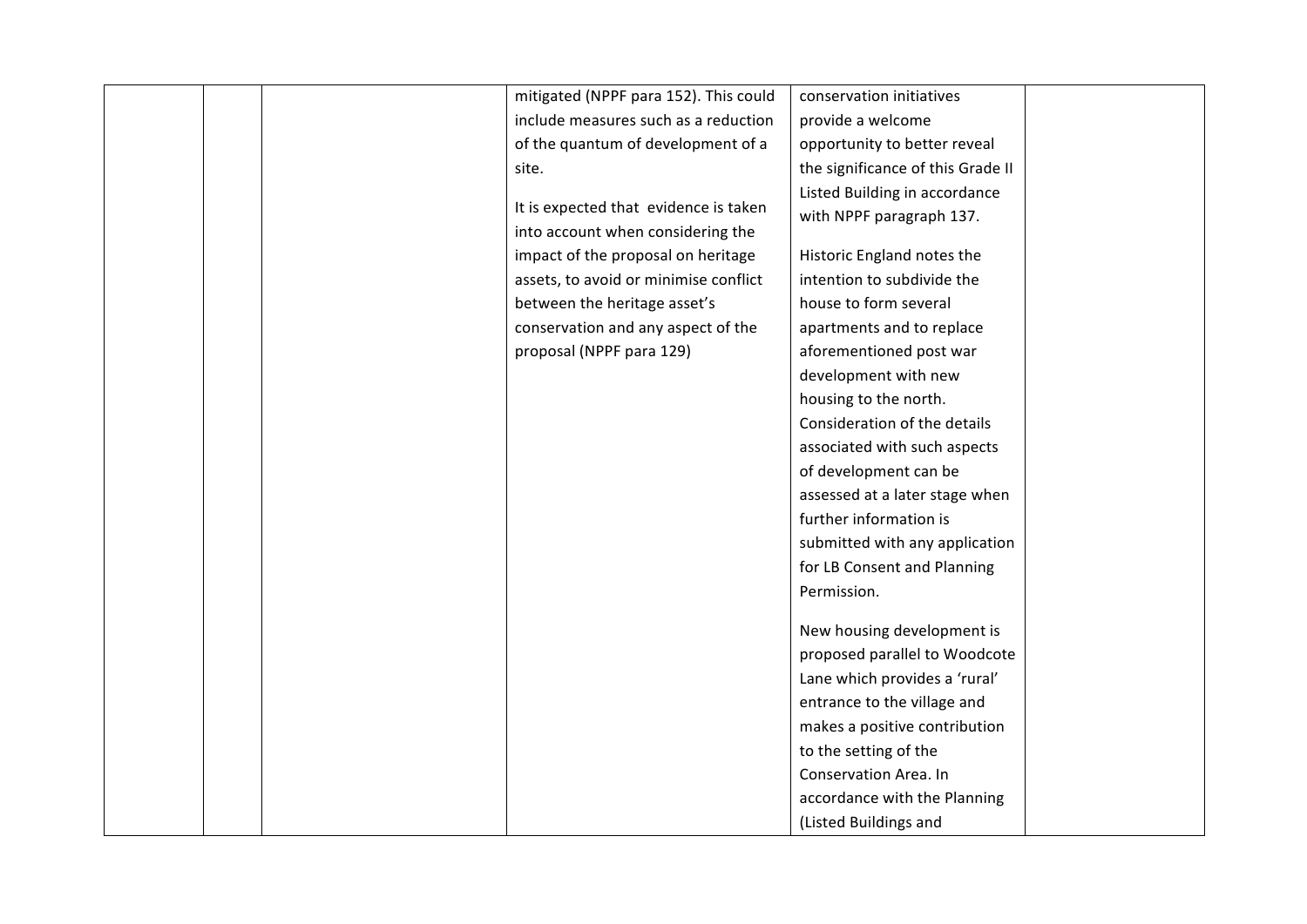| mitigated (NPPF para 152). This could | conservation initiatives          |  |
|---------------------------------------|-----------------------------------|--|
| include measures such as a reduction  | provide a welcome                 |  |
| of the quantum of development of a    | opportunity to better reveal      |  |
| site.                                 | the significance of this Grade II |  |
|                                       | Listed Building in accordance     |  |
| It is expected that evidence is taken | with NPPF paragraph 137.          |  |
| into account when considering the     |                                   |  |
| impact of the proposal on heritage    | Historic England notes the        |  |
| assets, to avoid or minimise conflict | intention to subdivide the        |  |
| between the heritage asset's          | house to form several             |  |
| conservation and any aspect of the    | apartments and to replace         |  |
| proposal (NPPF para 129)              | aforementioned post war           |  |
|                                       | development with new              |  |
|                                       | housing to the north.             |  |
|                                       | Consideration of the details      |  |
|                                       | associated with such aspects      |  |
|                                       | of development can be             |  |
|                                       | assessed at a later stage when    |  |
|                                       | further information is            |  |
|                                       | submitted with any application    |  |
|                                       | for LB Consent and Planning       |  |
|                                       | Permission.                       |  |
|                                       |                                   |  |
|                                       | New housing development is        |  |
|                                       | proposed parallel to Woodcote     |  |
|                                       | Lane which provides a 'rural'     |  |
|                                       | entrance to the village and       |  |
|                                       | makes a positive contribution     |  |
|                                       | to the setting of the             |  |
|                                       | Conservation Area. In             |  |
|                                       | accordance with the Planning      |  |
|                                       | (Listed Buildings and             |  |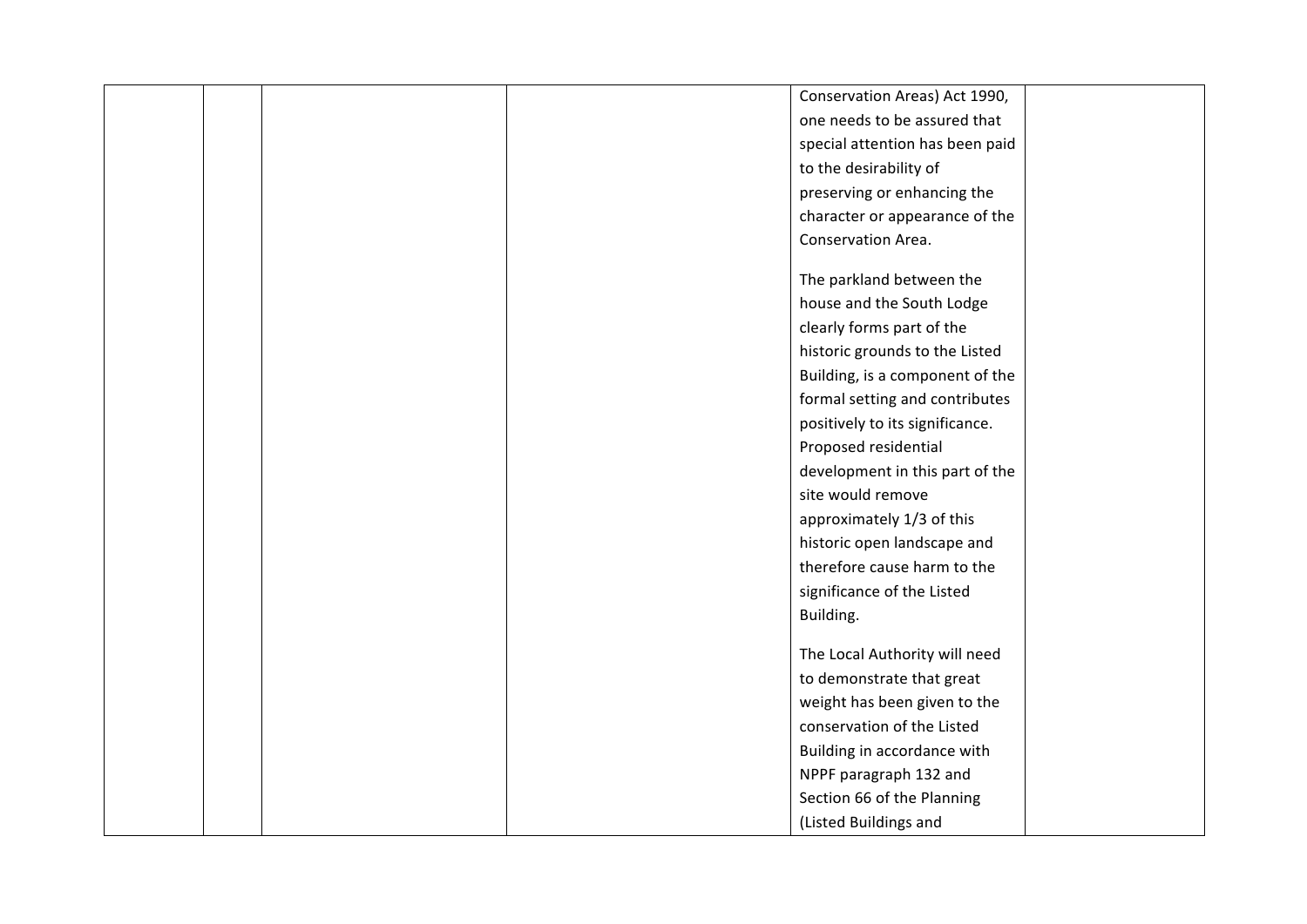|  | Conservation Areas) Act 1990,   |  |
|--|---------------------------------|--|
|  | one needs to be assured that    |  |
|  | special attention has been paid |  |
|  | to the desirability of          |  |
|  | preserving or enhancing the     |  |
|  | character or appearance of the  |  |
|  | Conservation Area.              |  |
|  |                                 |  |
|  | The parkland between the        |  |
|  | house and the South Lodge       |  |
|  | clearly forms part of the       |  |
|  | historic grounds to the Listed  |  |
|  | Building, is a component of the |  |
|  | formal setting and contributes  |  |
|  | positively to its significance. |  |
|  | Proposed residential            |  |
|  | development in this part of the |  |
|  | site would remove               |  |
|  | approximately 1/3 of this       |  |
|  | historic open landscape and     |  |
|  | therefore cause harm to the     |  |
|  | significance of the Listed      |  |
|  | Building.                       |  |
|  |                                 |  |
|  | The Local Authority will need   |  |
|  | to demonstrate that great       |  |
|  | weight has been given to the    |  |
|  | conservation of the Listed      |  |
|  | Building in accordance with     |  |
|  | NPPF paragraph 132 and          |  |
|  | Section 66 of the Planning      |  |
|  | (Listed Buildings and           |  |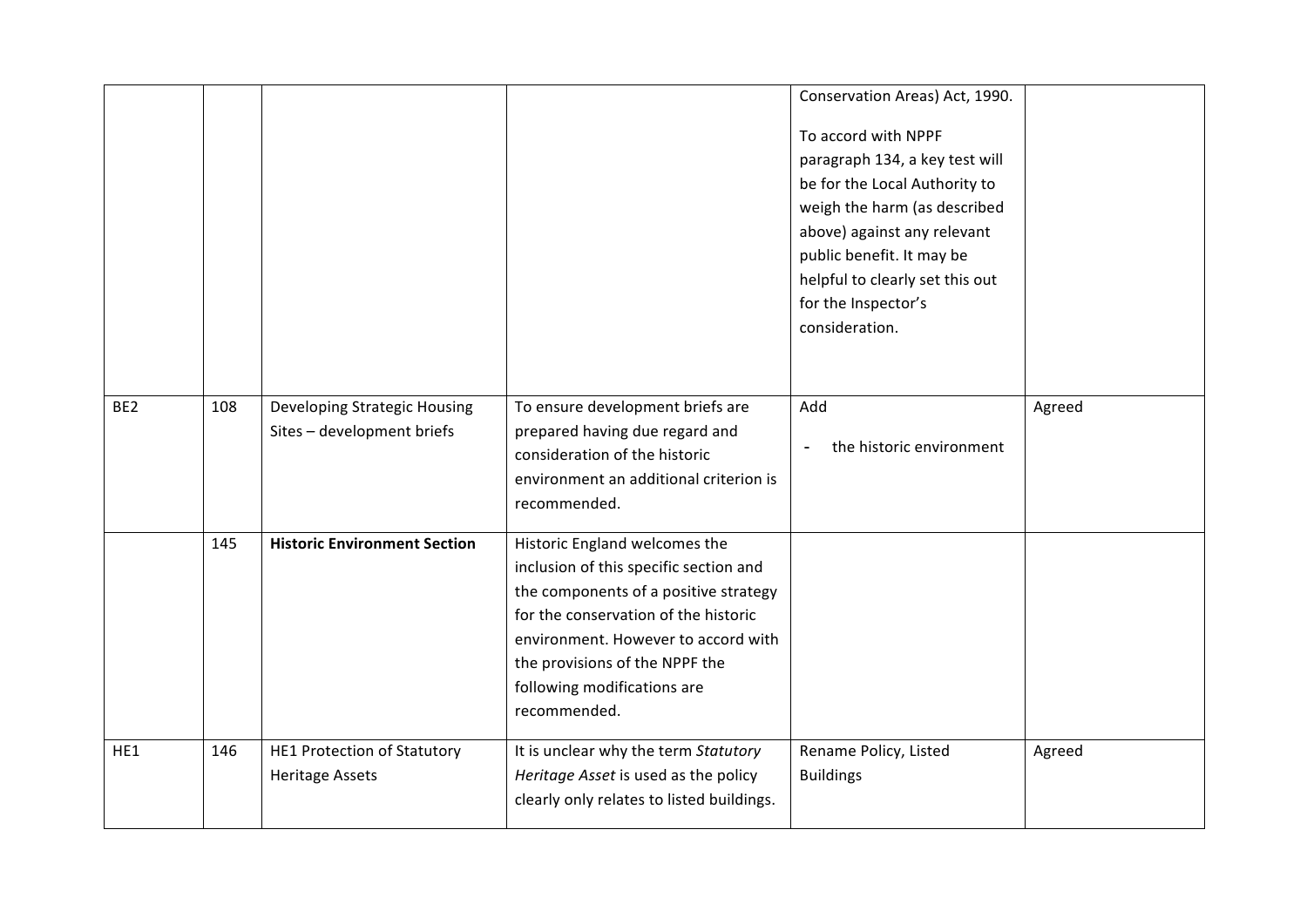|                 |     |                                     |                                           | Conservation Areas) Act, 1990.  |        |
|-----------------|-----|-------------------------------------|-------------------------------------------|---------------------------------|--------|
|                 |     |                                     |                                           | To accord with NPPF             |        |
|                 |     |                                     |                                           | paragraph 134, a key test will  |        |
|                 |     |                                     |                                           | be for the Local Authority to   |        |
|                 |     |                                     |                                           | weigh the harm (as described    |        |
|                 |     |                                     |                                           | above) against any relevant     |        |
|                 |     |                                     |                                           | public benefit. It may be       |        |
|                 |     |                                     |                                           | helpful to clearly set this out |        |
|                 |     |                                     |                                           | for the Inspector's             |        |
|                 |     |                                     |                                           | consideration.                  |        |
|                 |     |                                     |                                           |                                 |        |
|                 |     |                                     |                                           |                                 |        |
| BE <sub>2</sub> | 108 | Developing Strategic Housing        | To ensure development briefs are          | Add                             | Agreed |
|                 |     | Sites - development briefs          | prepared having due regard and            |                                 |        |
|                 |     |                                     | consideration of the historic             | the historic environment        |        |
|                 |     |                                     | environment an additional criterion is    |                                 |        |
|                 |     |                                     | recommended.                              |                                 |        |
|                 | 145 | <b>Historic Environment Section</b> | Historic England welcomes the             |                                 |        |
|                 |     |                                     | inclusion of this specific section and    |                                 |        |
|                 |     |                                     | the components of a positive strategy     |                                 |        |
|                 |     |                                     | for the conservation of the historic      |                                 |        |
|                 |     |                                     | environment. However to accord with       |                                 |        |
|                 |     |                                     | the provisions of the NPPF the            |                                 |        |
|                 |     |                                     | following modifications are               |                                 |        |
|                 |     |                                     | recommended.                              |                                 |        |
| HE1             | 146 | <b>HE1 Protection of Statutory</b>  | It is unclear why the term Statutory      | Rename Policy, Listed           | Agreed |
|                 |     | <b>Heritage Assets</b>              | Heritage Asset is used as the policy      | <b>Buildings</b>                |        |
|                 |     |                                     | clearly only relates to listed buildings. |                                 |        |
|                 |     |                                     |                                           |                                 |        |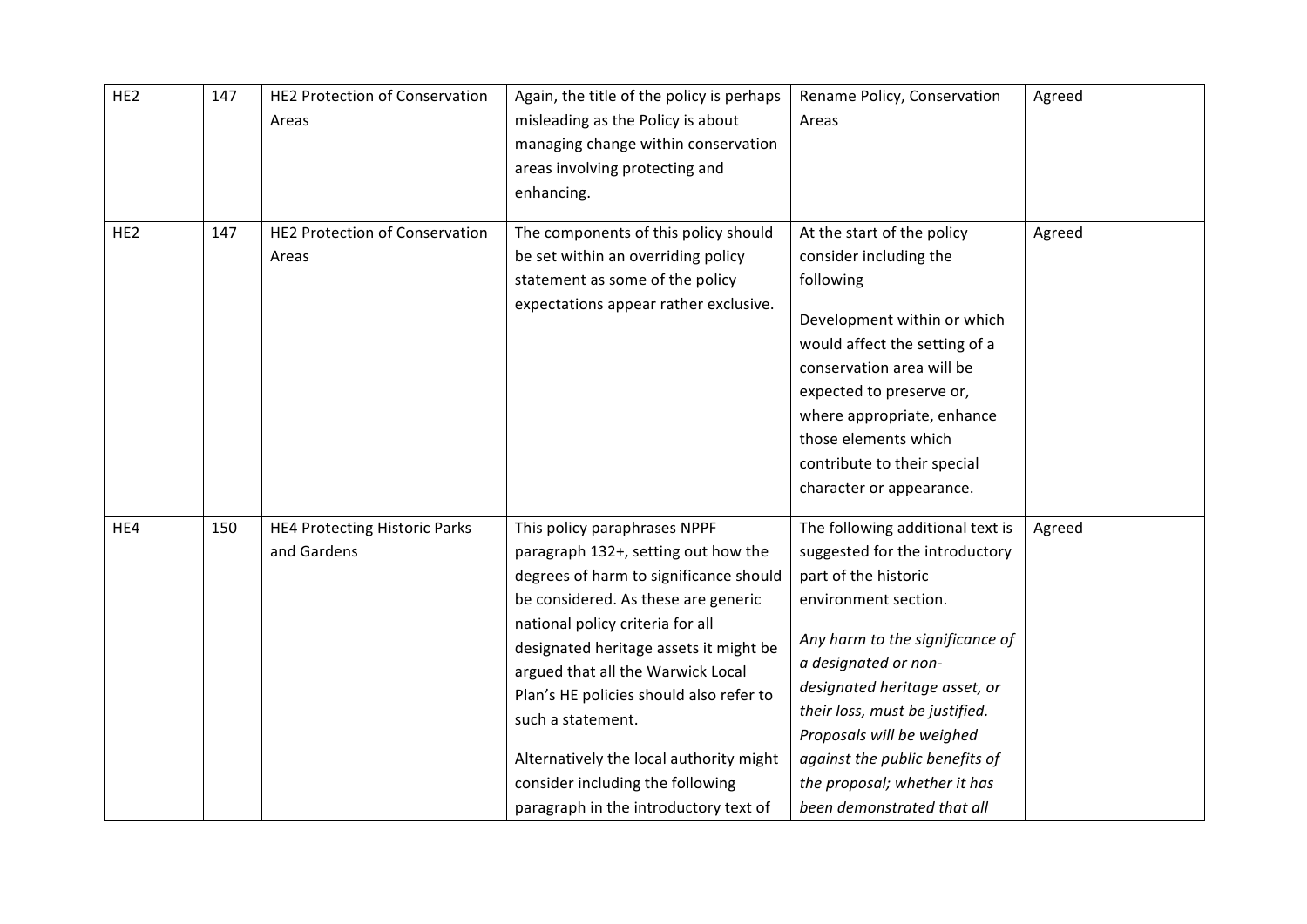| HE <sub>2</sub> | 147 | <b>HE2 Protection of Conservation</b><br>Areas | Again, the title of the policy is perhaps<br>misleading as the Policy is about<br>managing change within conservation<br>areas involving protecting and<br>enhancing.                                                                                                                                                                                                                                                                                           | Rename Policy, Conservation<br>Areas                                                                                                                                                                                                                                                                                                                                          | Agreed |
|-----------------|-----|------------------------------------------------|-----------------------------------------------------------------------------------------------------------------------------------------------------------------------------------------------------------------------------------------------------------------------------------------------------------------------------------------------------------------------------------------------------------------------------------------------------------------|-------------------------------------------------------------------------------------------------------------------------------------------------------------------------------------------------------------------------------------------------------------------------------------------------------------------------------------------------------------------------------|--------|
| HE <sub>2</sub> | 147 | <b>HE2 Protection of Conservation</b><br>Areas | The components of this policy should<br>be set within an overriding policy<br>statement as some of the policy<br>expectations appear rather exclusive.                                                                                                                                                                                                                                                                                                          | At the start of the policy<br>consider including the<br>following<br>Development within or which<br>would affect the setting of a<br>conservation area will be<br>expected to preserve or,<br>where appropriate, enhance<br>those elements which<br>contribute to their special<br>character or appearance.                                                                   | Agreed |
| HE4             | 150 | HE4 Protecting Historic Parks<br>and Gardens   | This policy paraphrases NPPF<br>paragraph 132+, setting out how the<br>degrees of harm to significance should<br>be considered. As these are generic<br>national policy criteria for all<br>designated heritage assets it might be<br>argued that all the Warwick Local<br>Plan's HE policies should also refer to<br>such a statement.<br>Alternatively the local authority might<br>consider including the following<br>paragraph in the introductory text of | The following additional text is<br>suggested for the introductory<br>part of the historic<br>environment section.<br>Any harm to the significance of<br>a designated or non-<br>designated heritage asset, or<br>their loss, must be justified.<br>Proposals will be weighed<br>against the public benefits of<br>the proposal; whether it has<br>been demonstrated that all | Agreed |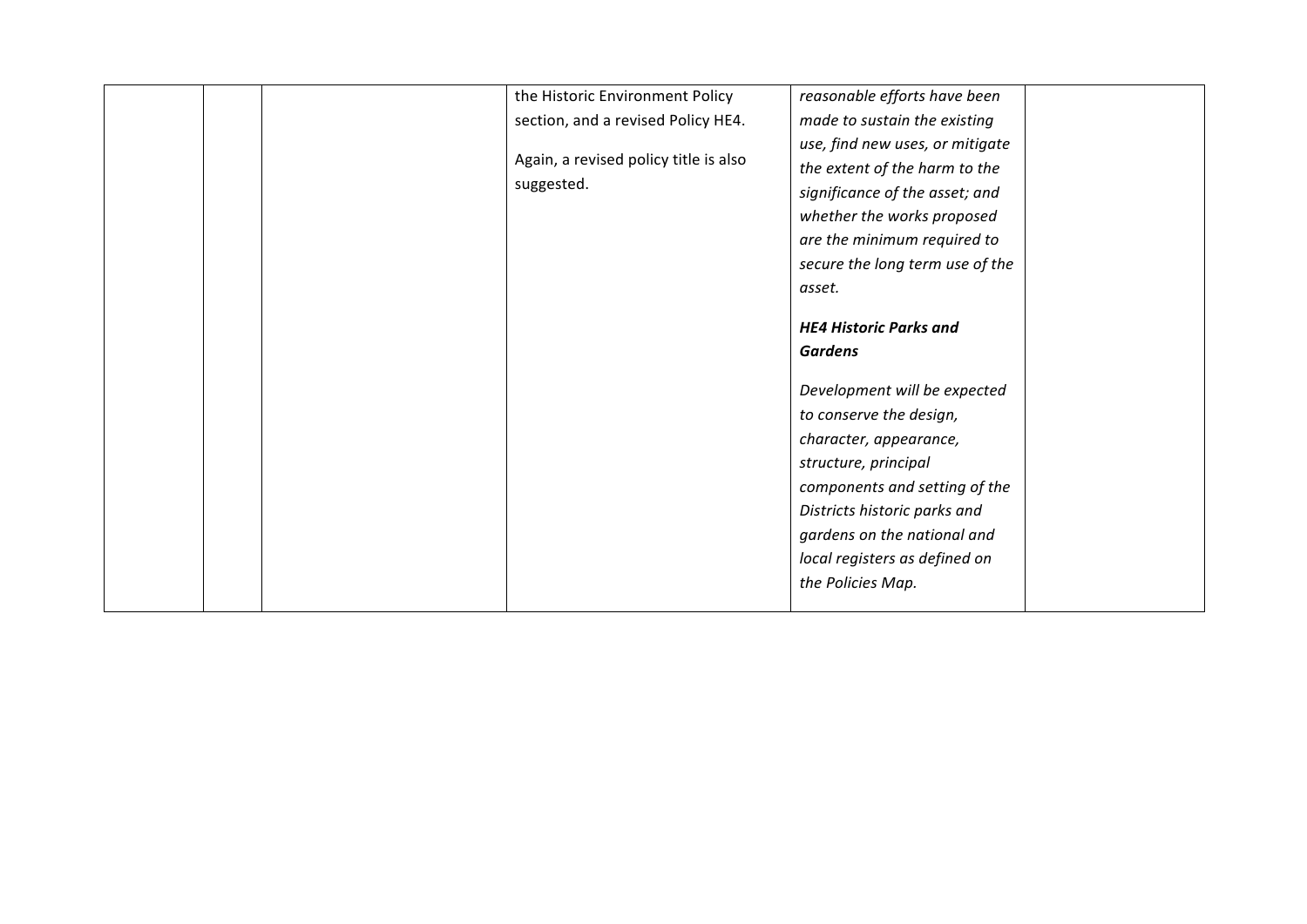|  |  | the Historic Environment Policy<br>section, and a revised Policy HE4.<br>Again, a revised policy title is also<br>suggested. | reasonable efforts have been<br>made to sustain the existing<br>use, find new uses, or mitigate<br>the extent of the harm to the<br>significance of the asset; and<br>whether the works proposed<br>are the minimum required to<br>secure the long term use of the<br>asset.<br><b>HE4 Historic Parks and</b><br><b>Gardens</b><br>Development will be expected<br>to conserve the design,<br>character, appearance,<br>structure, principal<br>components and setting of the<br>Districts historic parks and<br>gardens on the national and<br>local registers as defined on<br>the Policies Map. |  |
|--|--|------------------------------------------------------------------------------------------------------------------------------|----------------------------------------------------------------------------------------------------------------------------------------------------------------------------------------------------------------------------------------------------------------------------------------------------------------------------------------------------------------------------------------------------------------------------------------------------------------------------------------------------------------------------------------------------------------------------------------------------|--|
|--|--|------------------------------------------------------------------------------------------------------------------------------|----------------------------------------------------------------------------------------------------------------------------------------------------------------------------------------------------------------------------------------------------------------------------------------------------------------------------------------------------------------------------------------------------------------------------------------------------------------------------------------------------------------------------------------------------------------------------------------------------|--|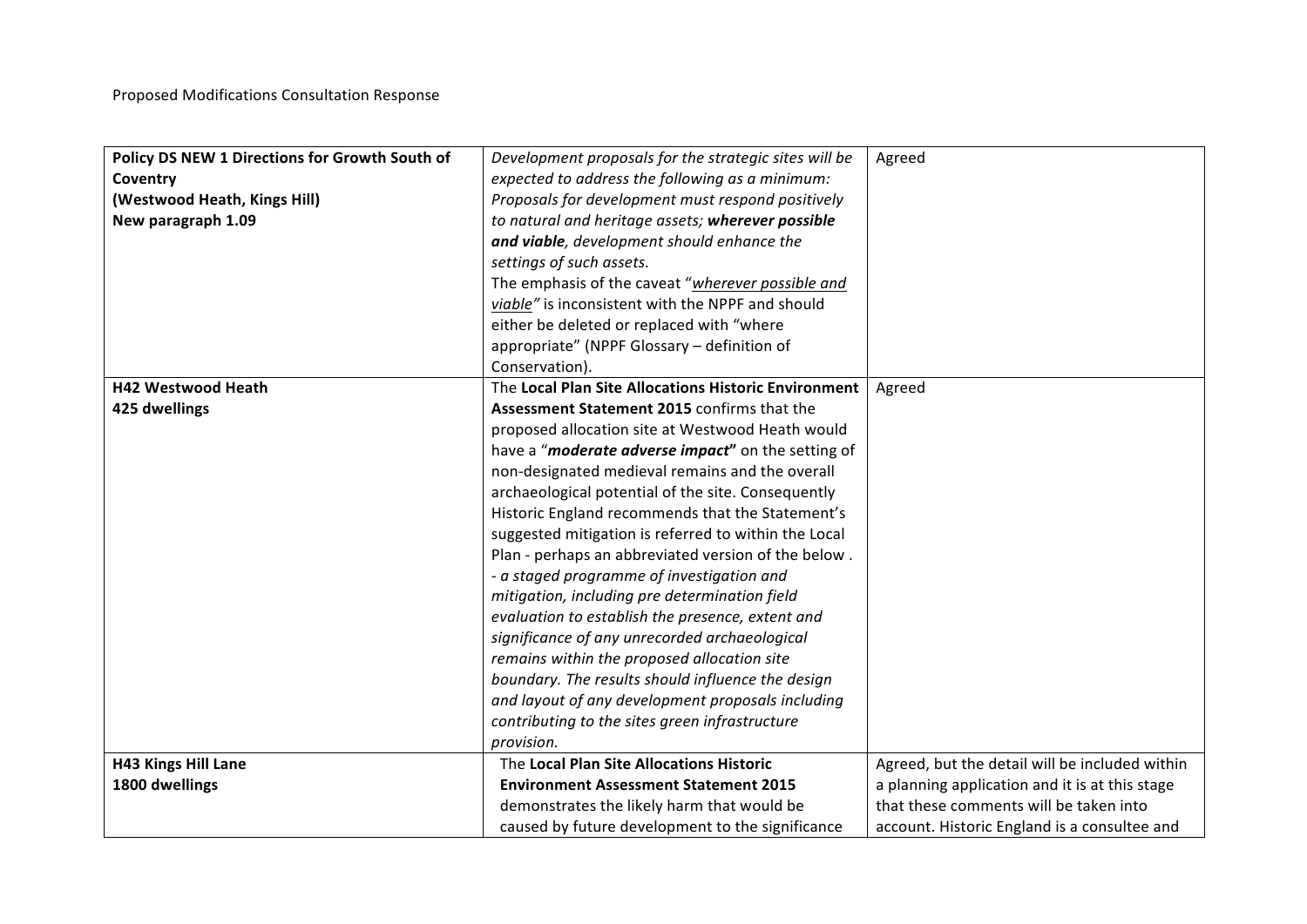| Policy DS NEW 1 Directions for Growth South of | Development proposals for the strategic sites will be | Agreed                                         |
|------------------------------------------------|-------------------------------------------------------|------------------------------------------------|
| Coventry                                       | expected to address the following as a minimum:       |                                                |
| (Westwood Heath, Kings Hill)                   | Proposals for development must respond positively     |                                                |
| New paragraph 1.09                             | to natural and heritage assets; wherever possible     |                                                |
|                                                | and viable, development should enhance the            |                                                |
|                                                | settings of such assets.                              |                                                |
|                                                | The emphasis of the caveat "wherever possible and     |                                                |
|                                                | viable" is inconsistent with the NPPF and should      |                                                |
|                                                | either be deleted or replaced with "where             |                                                |
|                                                | appropriate" (NPPF Glossary - definition of           |                                                |
|                                                | Conservation).                                        |                                                |
| <b>H42 Westwood Heath</b>                      | The Local Plan Site Allocations Historic Environment  | Agreed                                         |
| 425 dwellings                                  | Assessment Statement 2015 confirms that the           |                                                |
|                                                | proposed allocation site at Westwood Heath would      |                                                |
|                                                | have a "moderate adverse impact" on the setting of    |                                                |
|                                                | non-designated medieval remains and the overall       |                                                |
|                                                | archaeological potential of the site. Consequently    |                                                |
|                                                | Historic England recommends that the Statement's      |                                                |
|                                                | suggested mitigation is referred to within the Local  |                                                |
|                                                | Plan - perhaps an abbreviated version of the below.   |                                                |
|                                                | - a staged programme of investigation and             |                                                |
|                                                | mitigation, including pre determination field         |                                                |
|                                                | evaluation to establish the presence, extent and      |                                                |
|                                                | significance of any unrecorded archaeological         |                                                |
|                                                | remains within the proposed allocation site           |                                                |
|                                                | boundary. The results should influence the design     |                                                |
|                                                | and layout of any development proposals including     |                                                |
|                                                | contributing to the sites green infrastructure        |                                                |
|                                                | provision.                                            |                                                |
| <b>H43 Kings Hill Lane</b>                     | The Local Plan Site Allocations Historic              | Agreed, but the detail will be included within |
| 1800 dwellings                                 | <b>Environment Assessment Statement 2015</b>          | a planning application and it is at this stage |
|                                                | demonstrates the likely harm that would be            | that these comments will be taken into         |
|                                                | caused by future development to the significance      | account. Historic England is a consultee and   |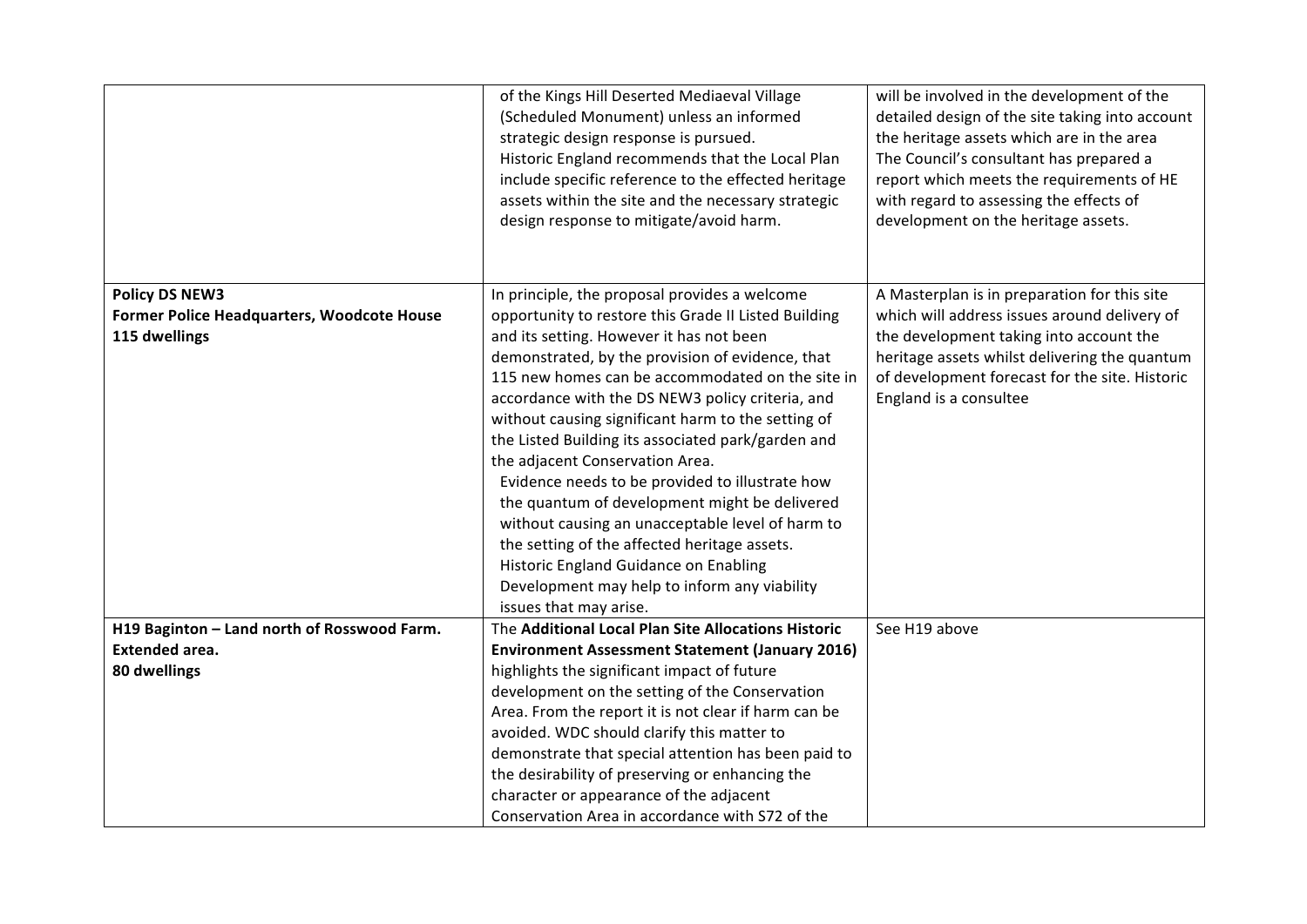|                                             | of the Kings Hill Deserted Mediaeval Village           | will be involved in the development of the      |
|---------------------------------------------|--------------------------------------------------------|-------------------------------------------------|
|                                             | (Scheduled Monument) unless an informed                | detailed design of the site taking into account |
|                                             | strategic design response is pursued.                  | the heritage assets which are in the area       |
|                                             | Historic England recommends that the Local Plan        | The Council's consultant has prepared a         |
|                                             | include specific reference to the effected heritage    | report which meets the requirements of HE       |
|                                             | assets within the site and the necessary strategic     | with regard to assessing the effects of         |
|                                             | design response to mitigate/avoid harm.                | development on the heritage assets.             |
|                                             |                                                        |                                                 |
|                                             |                                                        |                                                 |
| <b>Policy DS NEW3</b>                       | In principle, the proposal provides a welcome          | A Masterplan is in preparation for this site    |
| Former Police Headquarters, Woodcote House  | opportunity to restore this Grade II Listed Building   | which will address issues around delivery of    |
| 115 dwellings                               | and its setting. However it has not been               | the development taking into account the         |
|                                             | demonstrated, by the provision of evidence, that       | heritage assets whilst delivering the quantum   |
|                                             | 115 new homes can be accommodated on the site in       | of development forecast for the site. Historic  |
|                                             | accordance with the DS NEW3 policy criteria, and       | England is a consultee                          |
|                                             | without causing significant harm to the setting of     |                                                 |
|                                             | the Listed Building its associated park/garden and     |                                                 |
|                                             | the adjacent Conservation Area.                        |                                                 |
|                                             | Evidence needs to be provided to illustrate how        |                                                 |
|                                             | the quantum of development might be delivered          |                                                 |
|                                             | without causing an unacceptable level of harm to       |                                                 |
|                                             | the setting of the affected heritage assets.           |                                                 |
|                                             | Historic England Guidance on Enabling                  |                                                 |
|                                             | Development may help to inform any viability           |                                                 |
|                                             | issues that may arise.                                 |                                                 |
| H19 Baginton - Land north of Rosswood Farm. | The Additional Local Plan Site Allocations Historic    | See H19 above                                   |
| <b>Extended area.</b>                       | <b>Environment Assessment Statement (January 2016)</b> |                                                 |
| 80 dwellings                                | highlights the significant impact of future            |                                                 |
|                                             | development on the setting of the Conservation         |                                                 |
|                                             | Area. From the report it is not clear if harm can be   |                                                 |
|                                             | avoided. WDC should clarify this matter to             |                                                 |
|                                             | demonstrate that special attention has been paid to    |                                                 |
|                                             | the desirability of preserving or enhancing the        |                                                 |
|                                             | character or appearance of the adjacent                |                                                 |
|                                             | Conservation Area in accordance with S72 of the        |                                                 |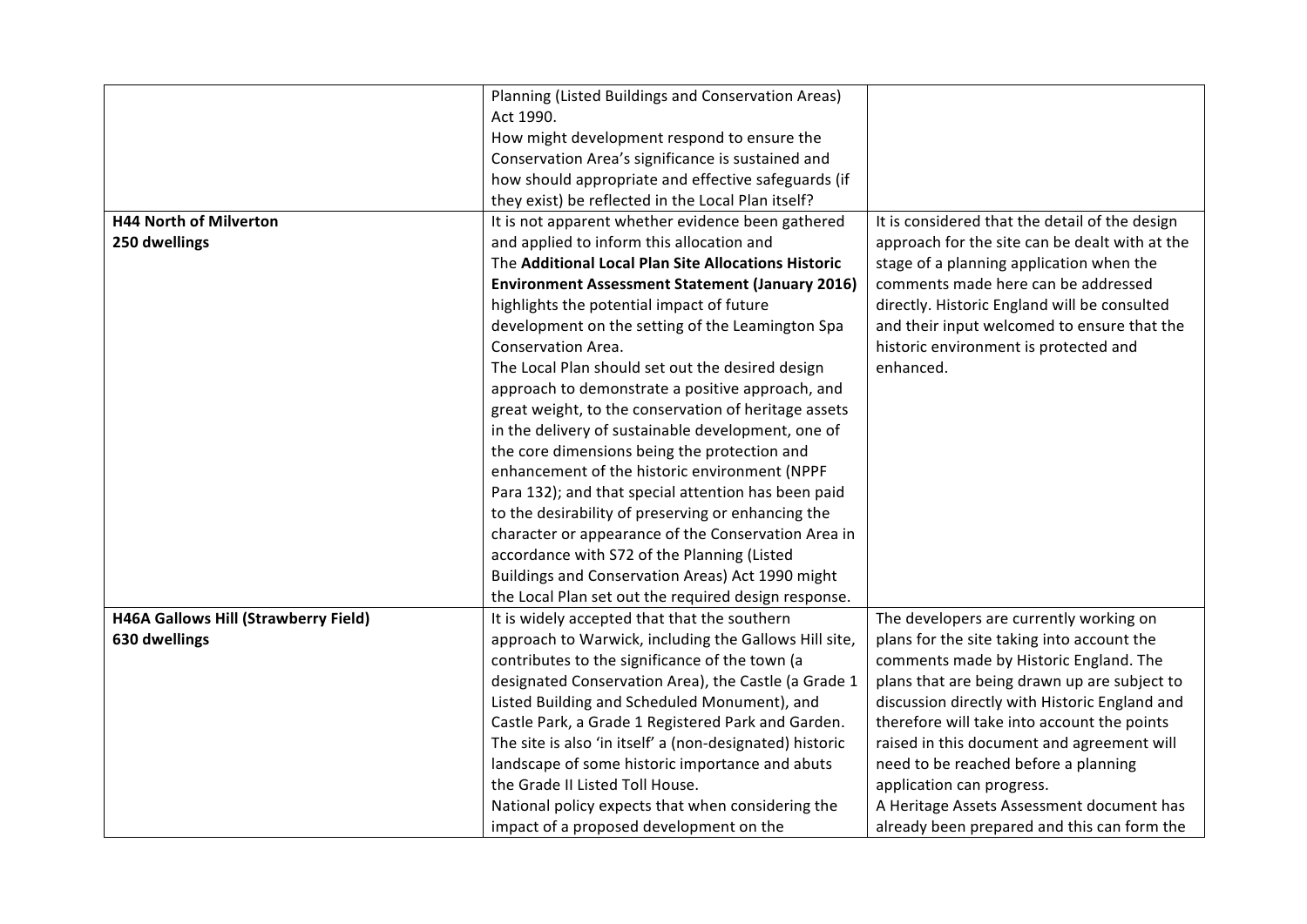|                                             | Planning (Listed Buildings and Conservation Areas)       |                                                |
|---------------------------------------------|----------------------------------------------------------|------------------------------------------------|
|                                             | Act 1990.                                                |                                                |
|                                             | How might development respond to ensure the              |                                                |
|                                             | Conservation Area's significance is sustained and        |                                                |
|                                             | how should appropriate and effective safeguards (if      |                                                |
|                                             | they exist) be reflected in the Local Plan itself?       |                                                |
| <b>H44 North of Milverton</b>               | It is not apparent whether evidence been gathered        | It is considered that the detail of the design |
| 250 dwellings                               | and applied to inform this allocation and                | approach for the site can be dealt with at the |
|                                             | The Additional Local Plan Site Allocations Historic      | stage of a planning application when the       |
|                                             | <b>Environment Assessment Statement (January 2016)</b>   | comments made here can be addressed            |
|                                             | highlights the potential impact of future                | directly. Historic England will be consulted   |
|                                             | development on the setting of the Leamington Spa         | and their input welcomed to ensure that the    |
|                                             | Conservation Area.                                       | historic environment is protected and          |
|                                             | The Local Plan should set out the desired design         | enhanced.                                      |
|                                             | approach to demonstrate a positive approach, and         |                                                |
|                                             | great weight, to the conservation of heritage assets     |                                                |
|                                             | in the delivery of sustainable development, one of       |                                                |
|                                             | the core dimensions being the protection and             |                                                |
|                                             | enhancement of the historic environment (NPPF            |                                                |
|                                             | Para 132); and that special attention has been paid      |                                                |
|                                             | to the desirability of preserving or enhancing the       |                                                |
|                                             | character or appearance of the Conservation Area in      |                                                |
|                                             | accordance with S72 of the Planning (Listed              |                                                |
|                                             | Buildings and Conservation Areas) Act 1990 might         |                                                |
|                                             | the Local Plan set out the required design response.     |                                                |
| <b>H46A Gallows Hill (Strawberry Field)</b> | It is widely accepted that that the southern             | The developers are currently working on        |
| 630 dwellings                               | approach to Warwick, including the Gallows Hill site,    | plans for the site taking into account the     |
|                                             | contributes to the significance of the town (a           | comments made by Historic England. The         |
|                                             | designated Conservation Area), the Castle (a Grade 1     | plans that are being drawn up are subject to   |
|                                             | Listed Building and Scheduled Monument), and             | discussion directly with Historic England and  |
|                                             | Castle Park, a Grade 1 Registered Park and Garden.       | therefore will take into account the points    |
|                                             | The site is also 'in itself' a (non-designated) historic | raised in this document and agreement will     |
|                                             | landscape of some historic importance and abuts          | need to be reached before a planning           |
|                                             | the Grade II Listed Toll House.                          | application can progress.                      |
|                                             | National policy expects that when considering the        | A Heritage Assets Assessment document has      |
|                                             | impact of a proposed development on the                  | already been prepared and this can form the    |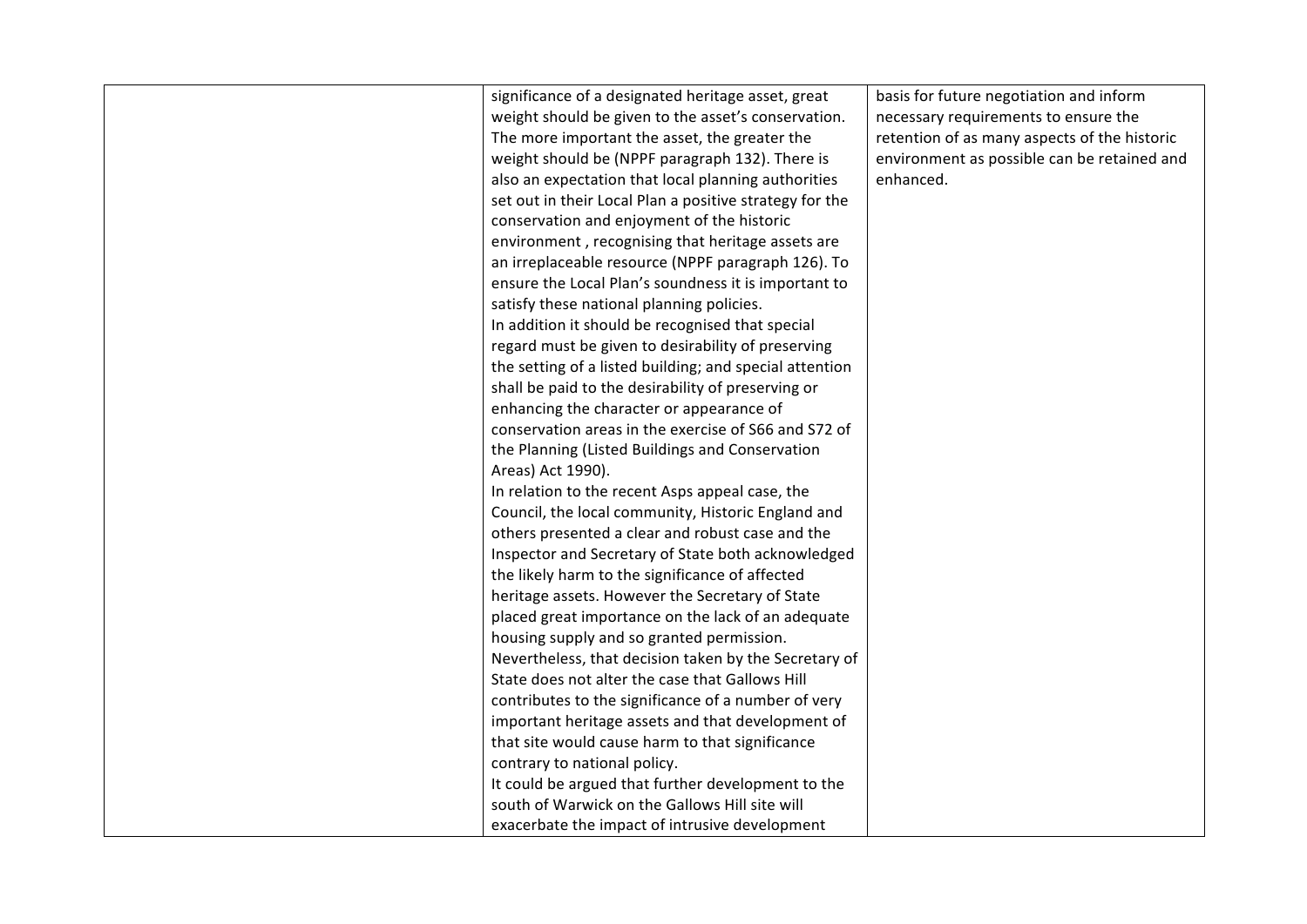| significance of a designated heritage asset, great      | basis for future negotiation and inform      |
|---------------------------------------------------------|----------------------------------------------|
| weight should be given to the asset's conservation.     | necessary requirements to ensure the         |
| The more important the asset, the greater the           | retention of as many aspects of the historic |
| weight should be (NPPF paragraph 132). There is         | environment as possible can be retained and  |
| also an expectation that local planning authorities     | enhanced.                                    |
| set out in their Local Plan a positive strategy for the |                                              |
| conservation and enjoyment of the historic              |                                              |
| environment, recognising that heritage assets are       |                                              |
| an irreplaceable resource (NPPF paragraph 126). To      |                                              |
| ensure the Local Plan's soundness it is important to    |                                              |
| satisfy these national planning policies.               |                                              |
| In addition it should be recognised that special        |                                              |
| regard must be given to desirability of preserving      |                                              |
| the setting of a listed building; and special attention |                                              |
| shall be paid to the desirability of preserving or      |                                              |
| enhancing the character or appearance of                |                                              |
| conservation areas in the exercise of S66 and S72 of    |                                              |
| the Planning (Listed Buildings and Conservation         |                                              |
| Areas) Act 1990).                                       |                                              |
| In relation to the recent Asps appeal case, the         |                                              |
| Council, the local community, Historic England and      |                                              |
| others presented a clear and robust case and the        |                                              |
| Inspector and Secretary of State both acknowledged      |                                              |
| the likely harm to the significance of affected         |                                              |
| heritage assets. However the Secretary of State         |                                              |
| placed great importance on the lack of an adequate      |                                              |
| housing supply and so granted permission.               |                                              |
| Nevertheless, that decision taken by the Secretary of   |                                              |
| State does not alter the case that Gallows Hill         |                                              |
| contributes to the significance of a number of very     |                                              |
| important heritage assets and that development of       |                                              |
| that site would cause harm to that significance         |                                              |
| contrary to national policy.                            |                                              |
| It could be argued that further development to the      |                                              |
| south of Warwick on the Gallows Hill site will          |                                              |
| exacerbate the impact of intrusive development          |                                              |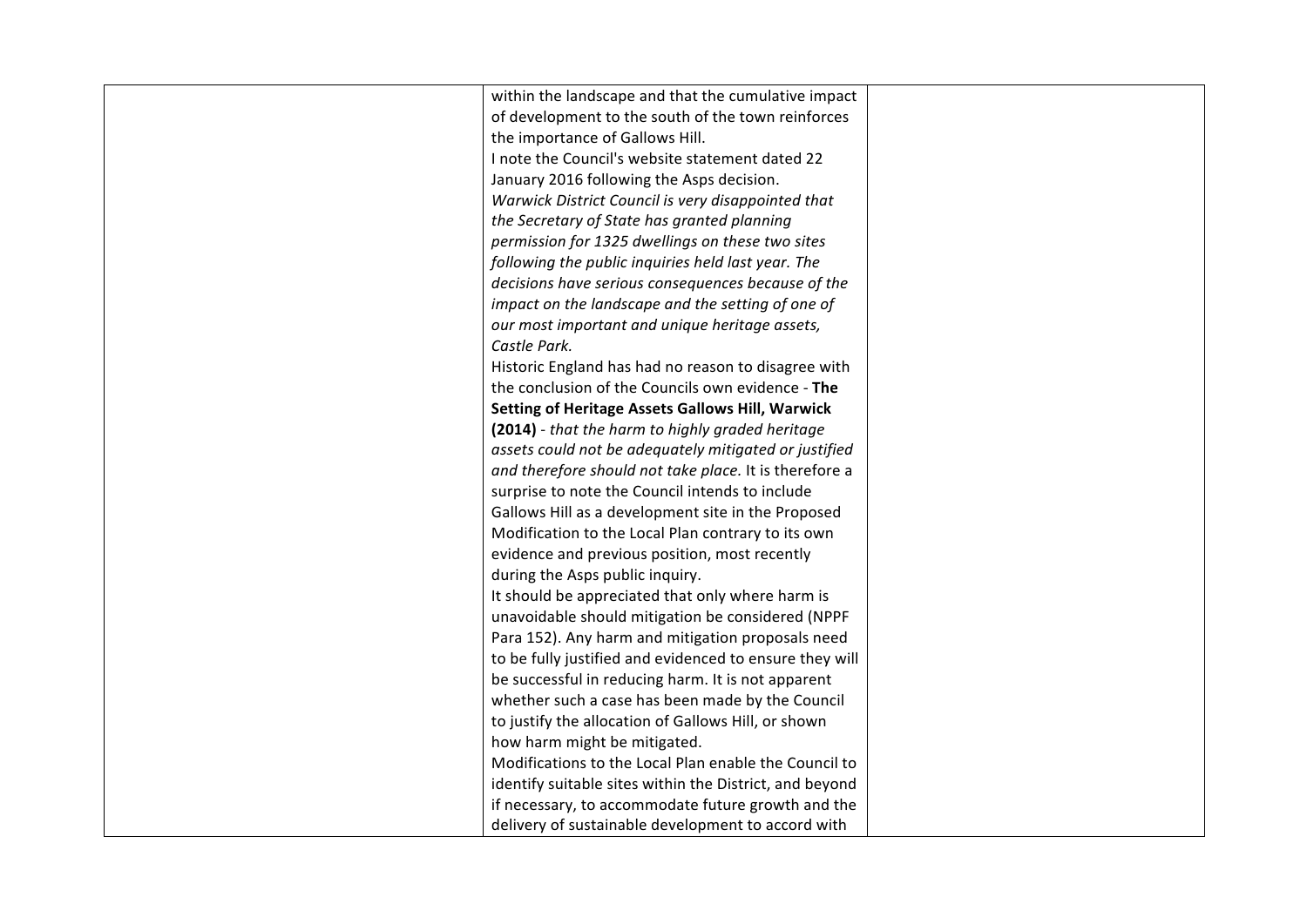| within the landscape and that the cumulative impact     |  |
|---------------------------------------------------------|--|
| of development to the south of the town reinforces      |  |
| the importance of Gallows Hill.                         |  |
| I note the Council's website statement dated 22         |  |
| January 2016 following the Asps decision.               |  |
| Warwick District Council is very disappointed that      |  |
| the Secretary of State has granted planning             |  |
| permission for 1325 dwellings on these two sites        |  |
| following the public inquiries held last year. The      |  |
| decisions have serious consequences because of the      |  |
| impact on the landscape and the setting of one of       |  |
| our most important and unique heritage assets,          |  |
| Castle Park.                                            |  |
| Historic England has had no reason to disagree with     |  |
| the conclusion of the Councils own evidence - The       |  |
| <b>Setting of Heritage Assets Gallows Hill, Warwick</b> |  |
| (2014) - that the harm to highly graded heritage        |  |
| assets could not be adequately mitigated or justified   |  |
| and therefore should not take place. It is therefore a  |  |
| surprise to note the Council intends to include         |  |
| Gallows Hill as a development site in the Proposed      |  |
| Modification to the Local Plan contrary to its own      |  |
| evidence and previous position, most recently           |  |
| during the Asps public inquiry.                         |  |
| It should be appreciated that only where harm is        |  |
| unavoidable should mitigation be considered (NPPF       |  |
| Para 152). Any harm and mitigation proposals need       |  |
| to be fully justified and evidenced to ensure they will |  |
| be successful in reducing harm. It is not apparent      |  |
| whether such a case has been made by the Council        |  |
| to justify the allocation of Gallows Hill, or shown     |  |
| how harm might be mitigated.                            |  |
| Modifications to the Local Plan enable the Council to   |  |
| identify suitable sites within the District, and beyond |  |
| if necessary, to accommodate future growth and the      |  |
| delivery of sustainable development to accord with      |  |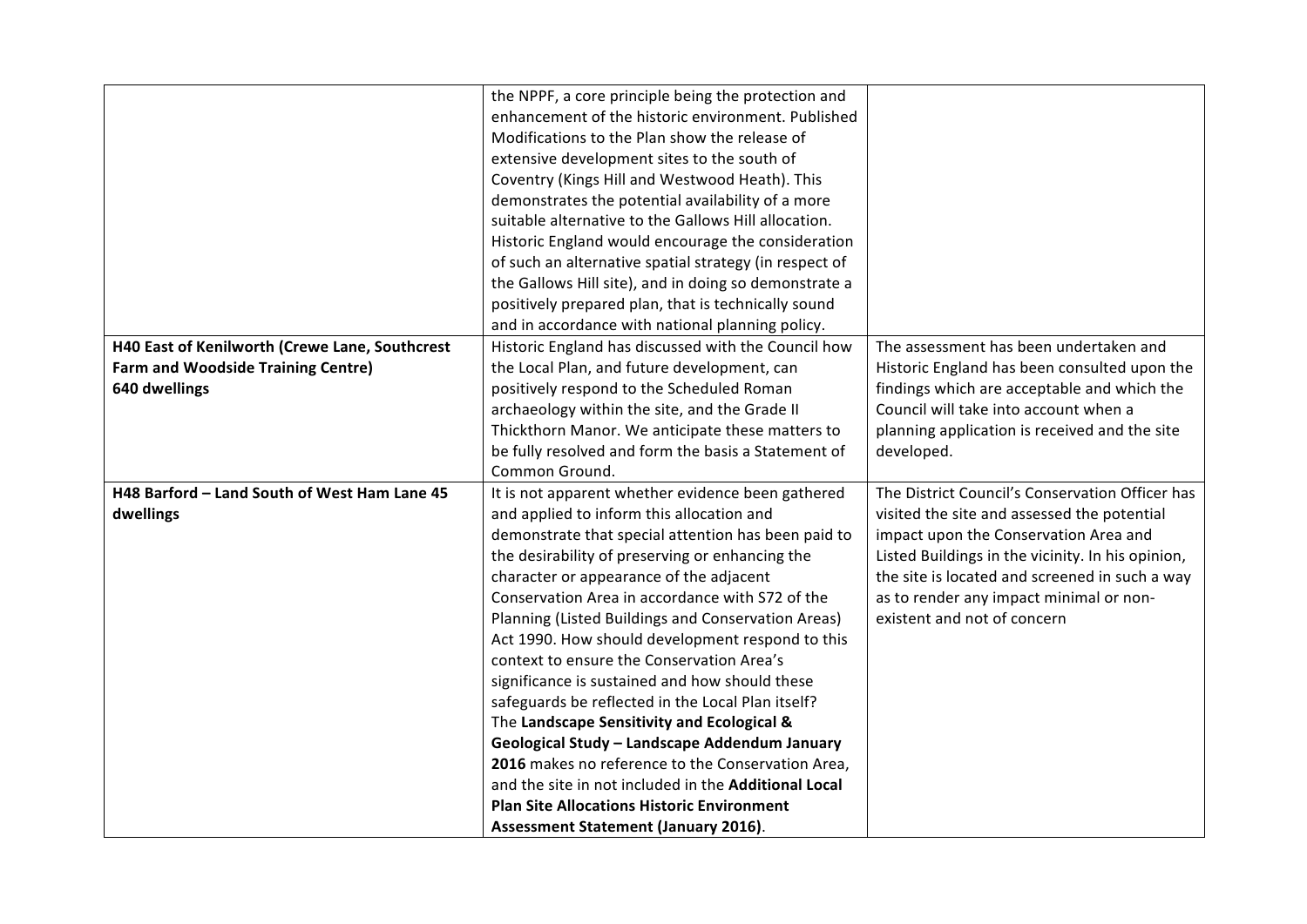|                                                | the NPPF, a core principle being the protection and    |                                                   |
|------------------------------------------------|--------------------------------------------------------|---------------------------------------------------|
|                                                | enhancement of the historic environment. Published     |                                                   |
|                                                | Modifications to the Plan show the release of          |                                                   |
|                                                | extensive development sites to the south of            |                                                   |
|                                                | Coventry (Kings Hill and Westwood Heath). This         |                                                   |
|                                                | demonstrates the potential availability of a more      |                                                   |
|                                                | suitable alternative to the Gallows Hill allocation.   |                                                   |
|                                                | Historic England would encourage the consideration     |                                                   |
|                                                | of such an alternative spatial strategy (in respect of |                                                   |
|                                                | the Gallows Hill site), and in doing so demonstrate a  |                                                   |
|                                                | positively prepared plan, that is technically sound    |                                                   |
|                                                | and in accordance with national planning policy.       |                                                   |
| H40 East of Kenilworth (Crewe Lane, Southcrest | Historic England has discussed with the Council how    | The assessment has been undertaken and            |
| <b>Farm and Woodside Training Centre)</b>      | the Local Plan, and future development, can            | Historic England has been consulted upon the      |
| 640 dwellings                                  | positively respond to the Scheduled Roman              | findings which are acceptable and which the       |
|                                                | archaeology within the site, and the Grade II          | Council will take into account when a             |
|                                                | Thickthorn Manor. We anticipate these matters to       | planning application is received and the site     |
|                                                | be fully resolved and form the basis a Statement of    | developed.                                        |
|                                                | Common Ground.                                         |                                                   |
| H48 Barford - Land South of West Ham Lane 45   | It is not apparent whether evidence been gathered      | The District Council's Conservation Officer has   |
| dwellings                                      | and applied to inform this allocation and              | visited the site and assessed the potential       |
|                                                | demonstrate that special attention has been paid to    | impact upon the Conservation Area and             |
|                                                | the desirability of preserving or enhancing the        | Listed Buildings in the vicinity. In his opinion, |
|                                                | character or appearance of the adjacent                | the site is located and screened in such a way    |
|                                                | Conservation Area in accordance with S72 of the        | as to render any impact minimal or non-           |
|                                                | Planning (Listed Buildings and Conservation Areas)     | existent and not of concern                       |
|                                                | Act 1990. How should development respond to this       |                                                   |
|                                                | context to ensure the Conservation Area's              |                                                   |
|                                                | significance is sustained and how should these         |                                                   |
|                                                | safeguards be reflected in the Local Plan itself?      |                                                   |
|                                                | The Landscape Sensitivity and Ecological &             |                                                   |
|                                                | Geological Study - Landscape Addendum January          |                                                   |
|                                                | 2016 makes no reference to the Conservation Area,      |                                                   |
|                                                | and the site in not included in the Additional Local   |                                                   |
|                                                | <b>Plan Site Allocations Historic Environment</b>      |                                                   |
|                                                | Assessment Statement (January 2016).                   |                                                   |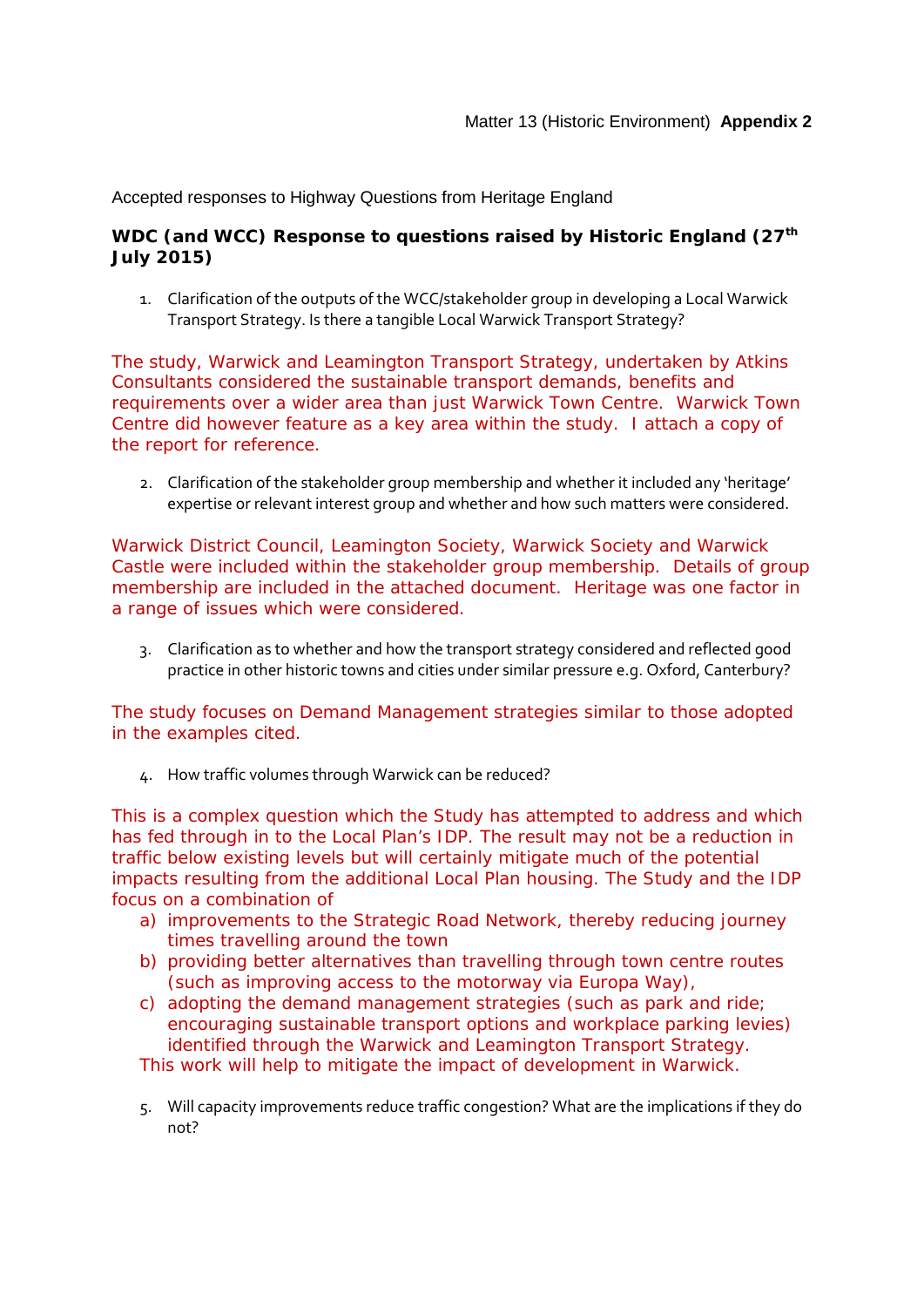Accepted responses to Highway Questions from Heritage England

#### WDC (and WCC) Response to questions raised by Historic England (27<sup>th</sup>) **July 2015)**

1. Clarification of the outputs of the WCC/stakeholder group in developing a Local Warwick Transport Strategy. Is there a tangible Local Warwick Transport Strategy?

The study, Warwick and Leamington Transport Strategy, undertaken by Atkins Consultants considered the sustainable transport demands, benefits and requirements over a wider area than just Warwick Town Centre. Warwick Town Centre did however feature as a key area within the study. I attach a copy of the report for reference.

2. Clarification of the stakeholder group membership and whether it included any 'heritage' expertise or relevant interest group and whether and how such matters were considered.

Warwick District Council, Leamington Society, Warwick Society and Warwick Castle were included within the stakeholder group membership. Details of group membership are included in the attached document. Heritage was one factor in a range of issues which were considered.

3. Clarification as to whether and how the transport strategy considered and reflected good practice in other historic towns and cities under similar pressure e.g. Oxford, Canterbury?

The study focuses on Demand Management strategies similar to those adopted in the examples cited.

4. How traffic volumes through Warwick can be reduced?

This is a complex question which the Study has attempted to address and which has fed through in to the Local Plan's IDP. The result may not be a reduction in traffic below existing levels but will certainly mitigate much of the potential impacts resulting from the additional Local Plan housing. The Study and the IDP focus on a combination of

- a) improvements to the Strategic Road Network, thereby reducing journey times travelling around the town
- b) providing better alternatives than travelling through town centre routes (such as improving access to the motorway via Europa Way),
- c) adopting the demand management strategies (such as park and ride; encouraging sustainable transport options and workplace parking levies) identified through the Warwick and Leamington Transport Strategy.

This work will help to mitigate the impact of development in Warwick.

5. Will capacity improvements reduce traffic congestion? What are the implications if they do not?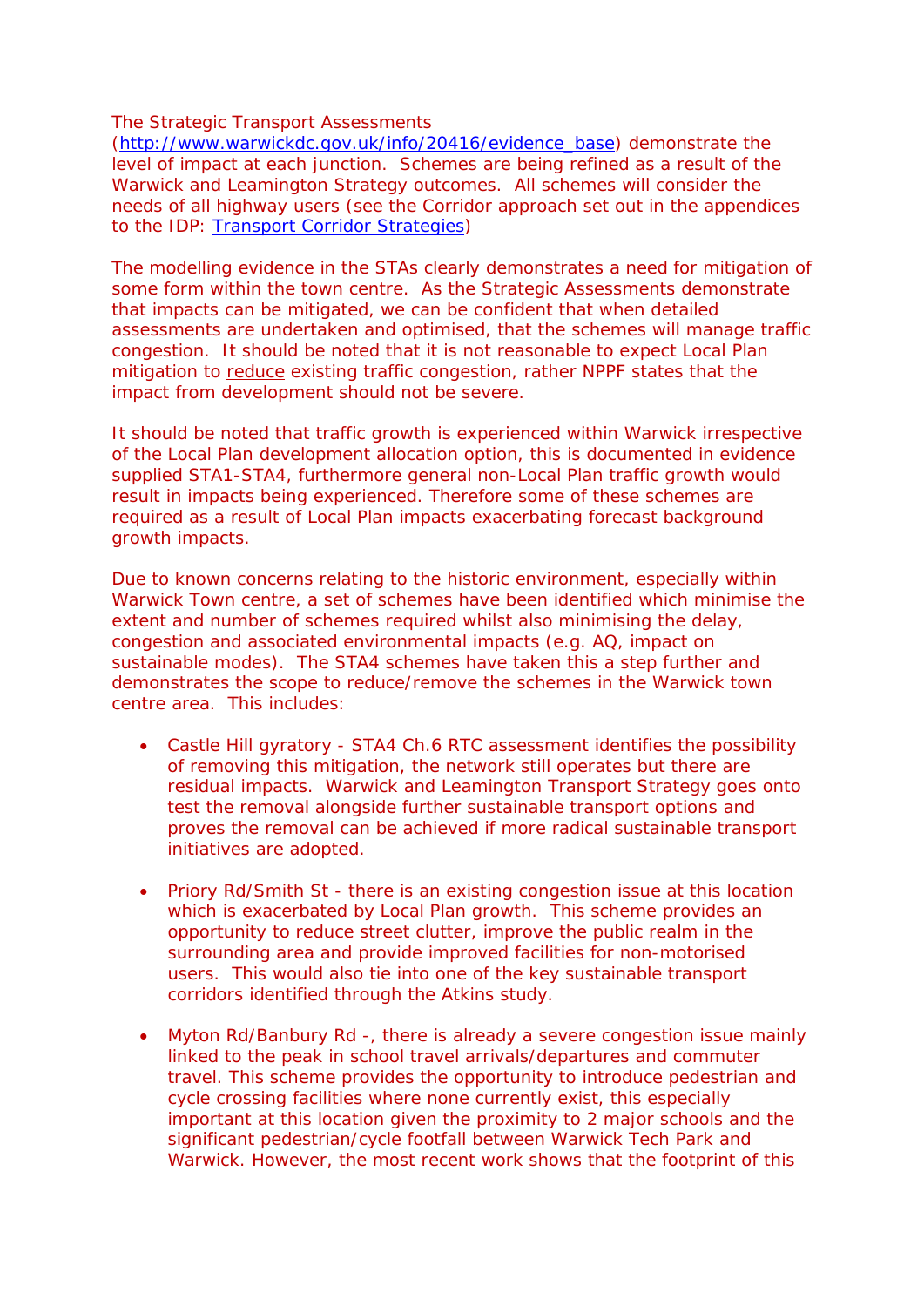The Strategic Transport Assessments

[\(http://www.warwickdc.gov.uk/info/20416/evidence\\_base\)](http://www.warwickdc.gov.uk/info/20416/evidence_base) demonstrate the level of impact at each junction. Schemes are being refined as a result of the Warwick and Leamington Strategy outcomes. All schemes will consider the needs of all highway users (see the Corridor approach set out in the appendices to the IDP: [Transport Corridor Strategies\)](http://www.warwickdc.gov.uk/downloads/file/2234/in03_-_draft_infrastructure_delivery_plan_appendix_a_-_transport_corridor_strategies)

The modelling evidence in the STAs clearly demonstrates a need for mitigation of some form within the town centre. As the Strategic Assessments demonstrate that impacts can be mitigated, we can be confident that when detailed assessments are undertaken and optimised, that the schemes will manage traffic congestion. It should be noted that it is not reasonable to expect Local Plan mitigation to reduce existing traffic congestion, rather NPPF states that the impact from development should not be severe.

It should be noted that traffic growth is experienced within Warwick irrespective of the Local Plan development allocation option, this is documented in evidence supplied STA1-STA4, furthermore general non-Local Plan traffic growth would result in impacts being experienced. Therefore some of these schemes are required as a result of Local Plan impacts exacerbating forecast background growth impacts.

Due to known concerns relating to the historic environment, especially within Warwick Town centre, a set of schemes have been identified which minimise the extent and number of schemes required whilst also minimising the delay, congestion and associated environmental impacts (e.g. AQ, impact on sustainable modes). The STA4 schemes have taken this a step further and demonstrates the scope to reduce/remove the schemes in the Warwick town centre area. This includes:

- Castle Hill gyratory STA4 Ch.6 RTC assessment identifies the possibility of removing this mitigation, the network still operates but there are residual impacts. Warwick and Leamington Transport Strategy goes onto test the removal alongside further sustainable transport options and proves the removal can be achieved if more radical sustainable transport initiatives are adopted.
- Priory Rd/Smith St there is an existing congestion issue at this location which is exacerbated by Local Plan growth. This scheme provides an opportunity to reduce street clutter, improve the public realm in the surrounding area and provide improved facilities for non-motorised users. This would also tie into one of the key sustainable transport corridors identified through the Atkins study.
- Myton Rd/Banbury Rd -, there is already a severe congestion issue mainly linked to the peak in school travel arrivals/departures and commuter travel. This scheme provides the opportunity to introduce pedestrian and cycle crossing facilities where none currently exist, this especially important at this location given the proximity to 2 major schools and the significant pedestrian/cycle footfall between Warwick Tech Park and Warwick. However, the most recent work shows that the footprint of this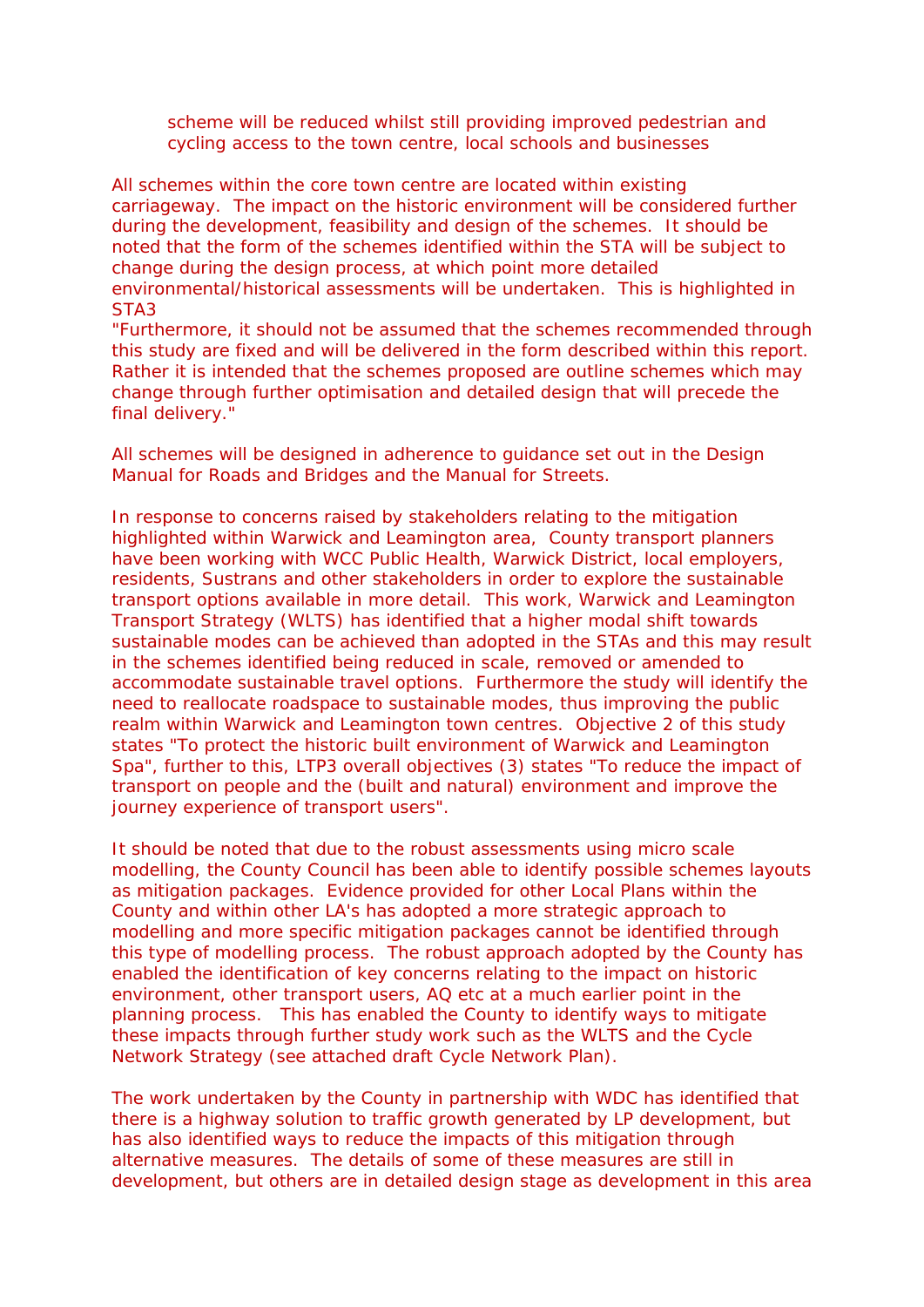scheme will be reduced whilst still providing improved pedestrian and cycling access to the town centre, local schools and businesses

All schemes within the core town centre are located within existing carriageway. The impact on the historic environment will be considered further during the development, feasibility and design of the schemes. It should be noted that the form of the schemes identified within the STA will be subject to change during the design process, at which point more detailed environmental/historical assessments will be undertaken. This is highlighted in STA3

*"Furthermore, it should not be assumed that the schemes recommended through this study are fixed and will be delivered in the form described within this report. Rather it is intended that the schemes proposed are outline schemes which may change through further optimisation and detailed design that will precede the final delivery."*

All schemes will be designed in adherence to guidance set out in the Design Manual for Roads and Bridges and the Manual for Streets.

In response to concerns raised by stakeholders relating to the mitigation highlighted within Warwick and Leamington area, County transport planners have been working with WCC Public Health, Warwick District, local employers, residents, Sustrans and other stakeholders in order to explore the sustainable transport options available in more detail. This work, Warwick and Leamington Transport Strategy (WLTS) has identified that a higher modal shift towards sustainable modes can be achieved than adopted in the STAs and this may result in the schemes identified being reduced in scale, removed or amended to accommodate sustainable travel options. Furthermore the study will identify the need to reallocate roadspace to sustainable modes, thus improving the public realm within Warwick and Leamington town centres. Objective 2 of this study states "To protect the historic built environment of Warwick and Leamington Spa", further to this, LTP3 overall objectives (3) states "To reduce the impact of transport on people and the (built and natural) environment and improve the journey experience of transport users".

It should be noted that due to the robust assessments using micro scale modelling, the County Council has been able to identify possible schemes layouts as mitigation packages. Evidence provided for other Local Plans within the County and within other LA's has adopted a more strategic approach to modelling and more specific mitigation packages cannot be identified through this type of modelling process. The robust approach adopted by the County has enabled the identification of key concerns relating to the impact on historic environment, other transport users, AQ etc at a much earlier point in the planning process. This has enabled the County to identify ways to mitigate these impacts through further study work such as the WLTS and the Cycle Network Strategy (see attached draft Cycle Network Plan).

The work undertaken by the County in partnership with WDC has identified that there is a highway solution to traffic growth generated by LP development, but has also identified ways to reduce the impacts of this mitigation through alternative measures. The details of some of these measures are still in development, but others are in detailed design stage as development in this area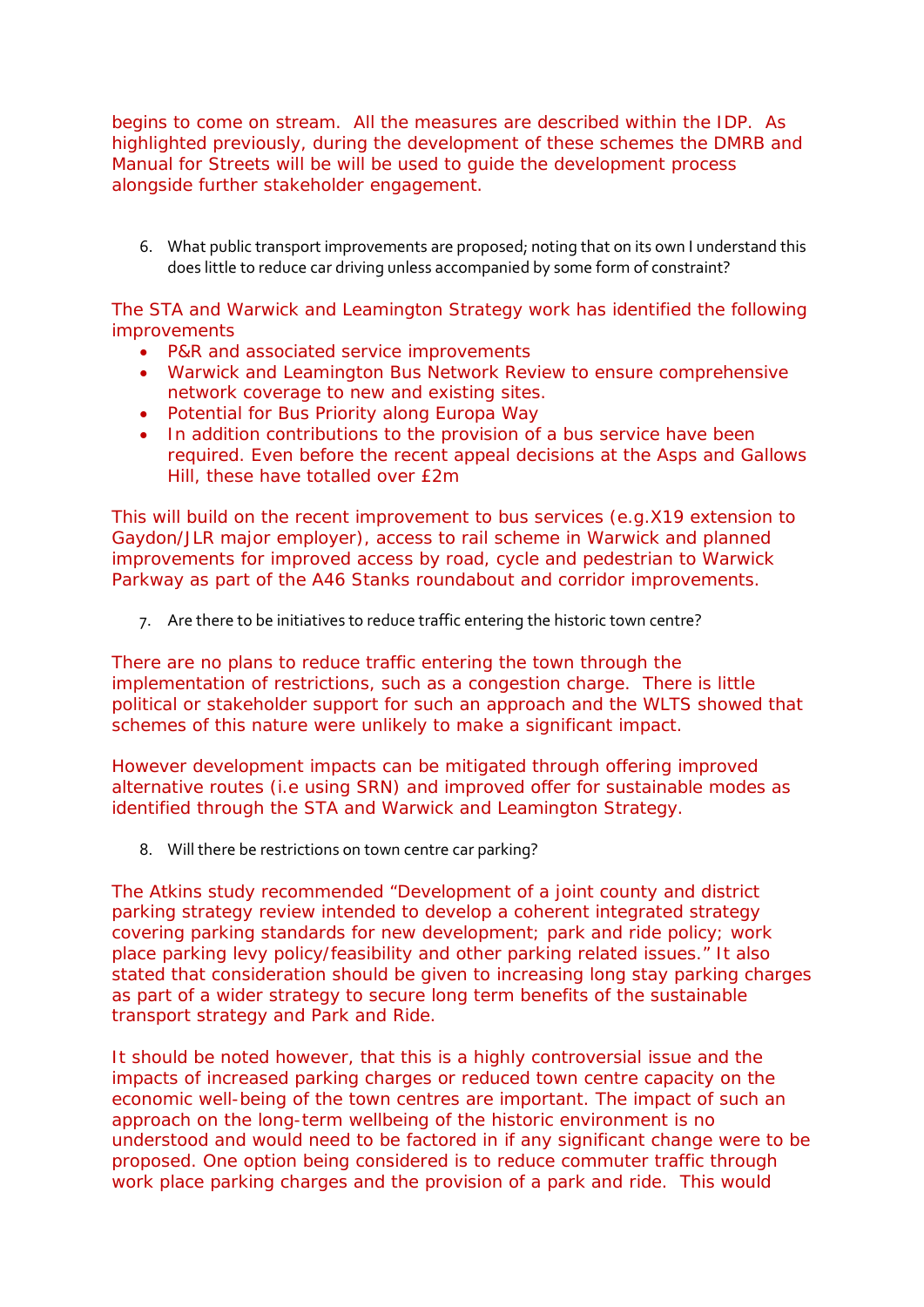begins to come on stream. All the measures are described within the IDP. As highlighted previously, during the development of these schemes the DMRB and Manual for Streets will be will be used to guide the development process alongside further stakeholder engagement.

6. What public transport improvements are proposed; noting that on its own I understand this does little to reduce car driving unless accompanied by some form of constraint?

The STA and Warwick and Leamington Strategy work has identified the following improvements

- P&R and associated service improvements
- Warwick and Leamington Bus Network Review to ensure comprehensive network coverage to new and existing sites.
- Potential for Bus Priority along Europa Way
- In addition contributions to the provision of a bus service have been required. Even before the recent appeal decisions at the Asps and Gallows Hill, these have totalled over £2m

This will build on the recent improvement to bus services (e.g.X19 extension to Gaydon/JLR major employer), access to rail scheme in Warwick and planned improvements for improved access by road, cycle and pedestrian to Warwick Parkway as part of the A46 Stanks roundabout and corridor improvements.

7. Are there to be initiatives to reduce traffic entering the historic town centre?

There are no plans to reduce traffic entering the town through the implementation of restrictions, such as a congestion charge. There is little political or stakeholder support for such an approach and the WLTS showed that schemes of this nature were unlikely to make a significant impact.

However development impacts can be mitigated through offering improved alternative routes (i.e using SRN) and improved offer for sustainable modes as identified through the STA and Warwick and Leamington Strategy.

8. Will there be restrictions on town centre car parking?

The Atkins study recommended "Development of a joint county and district parking strategy review intended to develop a coherent integrated strategy covering parking standards for new development; park and ride policy; work place parking levy policy/feasibility and other parking related issues." It also stated that consideration should be given to increasing long stay parking charges as part of a wider strategy to secure long term benefits of the sustainable transport strategy and Park and Ride.

It should be noted however, that this is a highly controversial issue and the impacts of increased parking charges or reduced town centre capacity on the economic well-being of the town centres are important. The impact of such an approach on the long-term wellbeing of the historic environment is no understood and would need to be factored in if any significant change were to be proposed. One option being considered is to reduce commuter traffic through work place parking charges and the provision of a park and ride. This would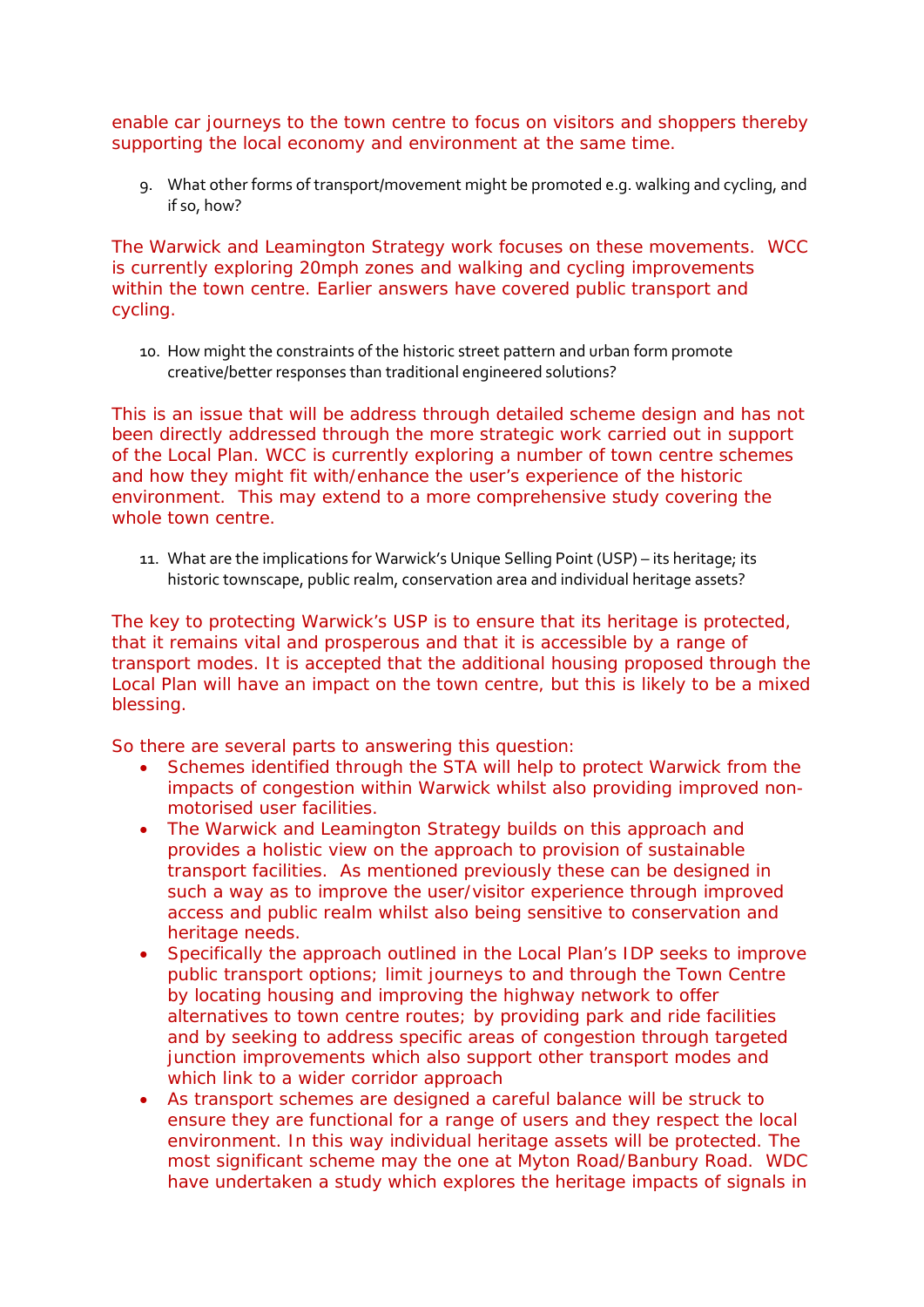enable car journeys to the town centre to focus on visitors and shoppers thereby supporting the local economy and environment at the same time.

9. What other forms of transport/movement might be promoted e.g. walking and cycling, and if so, how?

The Warwick and Leamington Strategy work focuses on these movements. WCC is currently exploring 20mph zones and walking and cycling improvements within the town centre. Earlier answers have covered public transport and cycling.

10. How might the constraints of the historic street pattern and urban form promote creative/better responses than traditional engineered solutions?

This is an issue that will be address through detailed scheme design and has not been directly addressed through the more strategic work carried out in support of the Local Plan. WCC is currently exploring a number of town centre schemes and how they might fit with/enhance the user's experience of the historic environment. This may extend to a more comprehensive study covering the whole town centre.

11. What are the implications for Warwick's Unique Selling Point (USP) – its heritage; its historic townscape, public realm, conservation area and individual heritage assets?

The key to protecting Warwick's USP is to ensure that its heritage is protected, that it remains vital and prosperous and that it is accessible by a range of transport modes. It is accepted that the additional housing proposed through the Local Plan will have an impact on the town centre, but this is likely to be a mixed blessing.

So there are several parts to answering this question:

- Schemes identified through the STA will help to protect Warwick from the impacts of congestion within Warwick whilst also providing improved nonmotorised user facilities.
- The Warwick and Leamington Strategy builds on this approach and provides a holistic view on the approach to provision of sustainable transport facilities. As mentioned previously these can be designed in such a way as to improve the user/visitor experience through improved access and public realm whilst also being sensitive to conservation and heritage needs.
- Specifically the approach outlined in the Local Plan's IDP seeks to improve public transport options; limit journeys to and through the Town Centre by locating housing and improving the highway network to offer alternatives to town centre routes; by providing park and ride facilities and by seeking to address specific areas of congestion through targeted junction improvements which also support other transport modes and which link to a wider corridor approach
- As transport schemes are designed a careful balance will be struck to ensure they are functional for a range of users and they respect the local environment. In this way individual heritage assets will be protected. The most significant scheme may the one at Myton Road/Banbury Road. WDC have undertaken a study which explores the heritage impacts of signals in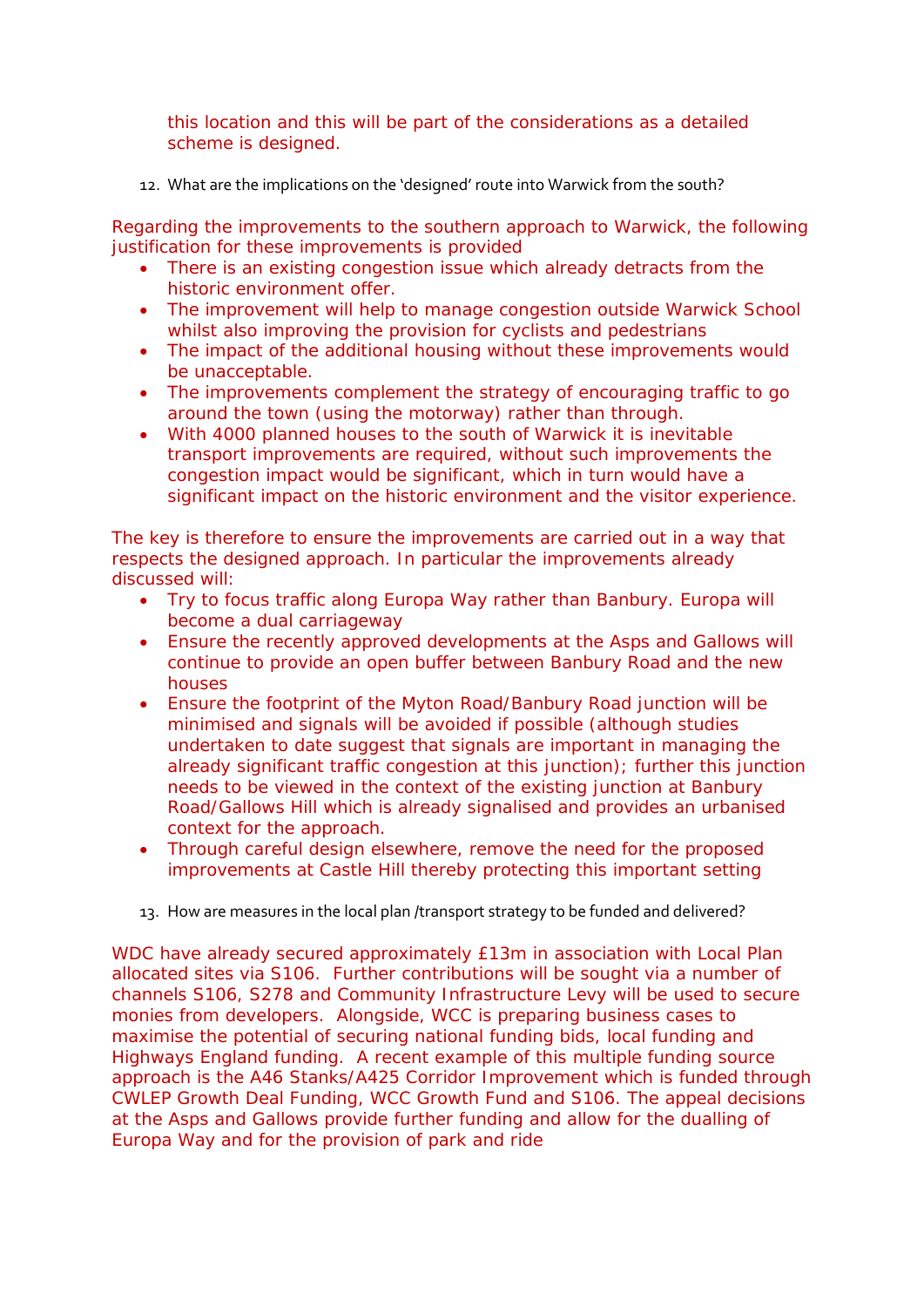this location and this will be part of the considerations as a detailed scheme is designed.

12. What are the implications on the 'designed' route into Warwick from the south?

Regarding the improvements to the southern approach to Warwick, the following justification for these improvements is provided

- There is an existing congestion issue which already detracts from the historic environment offer.
- The improvement will help to manage congestion outside Warwick School whilst also improving the provision for cyclists and pedestrians
- The impact of the additional housing without these improvements would be unacceptable.
- The improvements complement the strategy of encouraging traffic to go around the town (using the motorway) rather than through.
- With 4000 planned houses to the south of Warwick it is inevitable transport improvements are required, without such improvements the congestion impact would be significant, which in turn would have a significant impact on the historic environment and the visitor experience.

The key is therefore to ensure the improvements are carried out in a way that respects the designed approach. In particular the improvements already discussed will:

- Try to focus traffic along Europa Way rather than Banbury. Europa will become a dual carriageway
- Ensure the recently approved developments at the Asps and Gallows will continue to provide an open buffer between Banbury Road and the new houses
- Ensure the footprint of the Myton Road/Banbury Road junction will be minimised and signals will be avoided if possible (although studies undertaken to date suggest that signals are important in managing the already significant traffic congestion at this junction); further this junction needs to be viewed in the context of the existing junction at Banbury Road/Gallows Hill which is already signalised and provides an urbanised context for the approach.
- Through careful design elsewhere, remove the need for the proposed improvements at Castle Hill thereby protecting this important setting
- 13. How are measures in the local plan /transport strategy to be funded and delivered?

WDC have already secured approximately £13m in association with Local Plan allocated sites via S106. Further contributions will be sought via a number of channels S106, S278 and Community Infrastructure Levy will be used to secure monies from developers. Alongside, WCC is preparing business cases to maximise the potential of securing national funding bids, local funding and Highways England funding. A recent example of this multiple funding source approach is the A46 Stanks/A425 Corridor Improvement which is funded through CWLEP Growth Deal Funding, WCC Growth Fund and S106. The appeal decisions at the Asps and Gallows provide further funding and allow for the dualling of Europa Way and for the provision of park and ride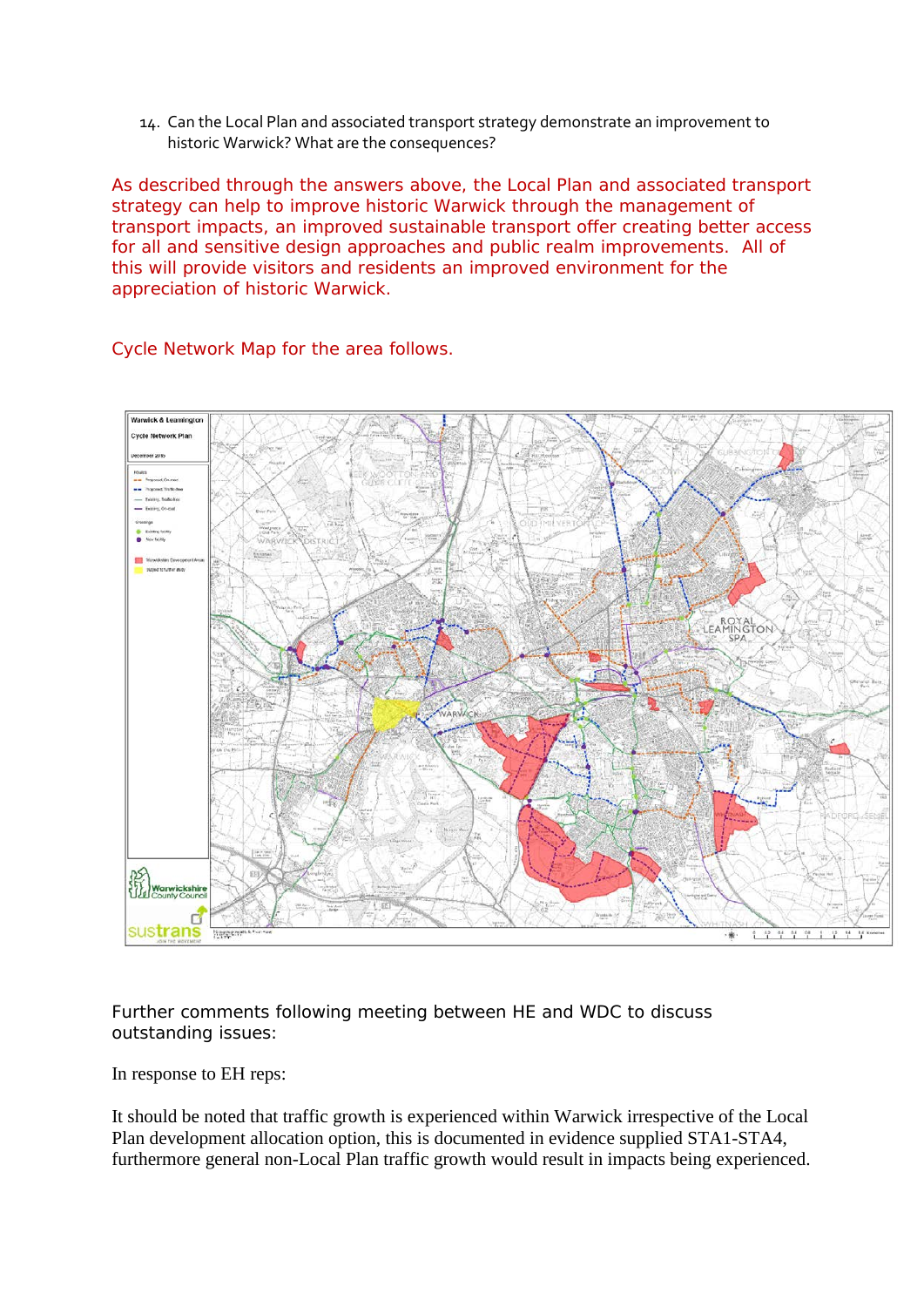14. Can the Local Plan and associated transport strategy demonstrate an improvement to historic Warwick? What are the consequences?

As described through the answers above, the Local Plan and associated transport strategy can help to improve historic Warwick through the management of transport impacts, an improved sustainable transport offer creating better access for all and sensitive design approaches and public realm improvements. All of this will provide visitors and residents an improved environment for the appreciation of historic Warwick.

Cycle Network Map for the area follows.



Further comments following meeting between HE and WDC to discuss outstanding issues:

In response to EH reps:

It should be noted that traffic growth is experienced within Warwick irrespective of the Local Plan development allocation option, this is documented in evidence supplied STA1-STA4, furthermore general non-Local Plan traffic growth would result in impacts being experienced.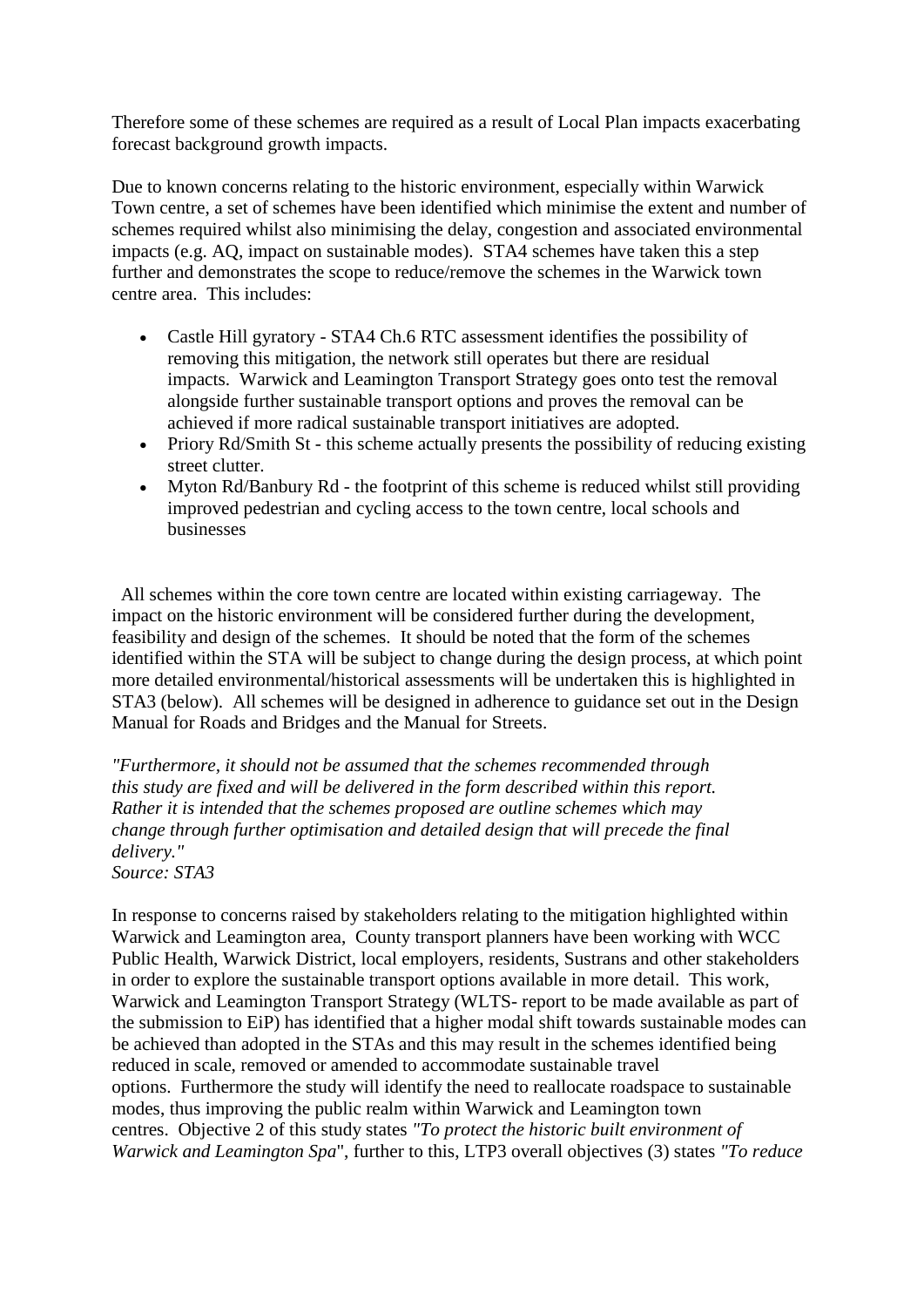Therefore some of these schemes are required as a result of Local Plan impacts exacerbating forecast background growth impacts.

Due to known concerns relating to the historic environment, especially within Warwick Town centre, a set of schemes have been identified which minimise the extent and number of schemes required whilst also minimising the delay, congestion and associated environmental impacts (e.g. AQ, impact on sustainable modes). STA4 schemes have taken this a step further and demonstrates the scope to reduce/remove the schemes in the Warwick town centre area. This includes:

- Castle Hill gyratory STA4 Ch.6 RTC assessment identifies the possibility of removing this mitigation, the network still operates but there are residual impacts. Warwick and Leamington Transport Strategy goes onto test the removal alongside further sustainable transport options and proves the removal can be achieved if more radical sustainable transport initiatives are adopted.
- Priory Rd/Smith St this scheme actually presents the possibility of reducing existing street clutter.
- Myton Rd/Banbury Rd the footprint of this scheme is reduced whilst still providing improved pedestrian and cycling access to the town centre, local schools and businesses

All schemes within the core town centre are located within existing carriageway. The impact on the historic environment will be considered further during the development, feasibility and design of the schemes. It should be noted that the form of the schemes identified within the STA will be subject to change during the design process, at which point more detailed environmental/historical assessments will be undertaken this is highlighted in STA3 (below). All schemes will be designed in adherence to guidance set out in the Design Manual for Roads and Bridges and the Manual for Streets.

*"Furthermore, it should not be assumed that the schemes recommended through this study are fixed and will be delivered in the form described within this report. Rather it is intended that the schemes proposed are outline schemes which may change through further optimisation and detailed design that will precede the final delivery." Source: STA3*

In response to concerns raised by stakeholders relating to the mitigation highlighted within

Warwick and Leamington area, County transport planners have been working with WCC Public Health, Warwick District, local employers, residents, Sustrans and other stakeholders in order to explore the sustainable transport options available in more detail. This work, Warwick and Leamington Transport Strategy (WLTS- report to be made available as part of the submission to EiP) has identified that a higher modal shift towards sustainable modes can be achieved than adopted in the STAs and this may result in the schemes identified being reduced in scale, removed or amended to accommodate sustainable travel options. Furthermore the study will identify the need to reallocate roadspace to sustainable modes, thus improving the public realm within Warwick and Leamington town centres. Objective 2 of this study states *"To protect the historic built environment of Warwick and Leamington Spa*", further to this, LTP3 overall objectives (3) states *"To reduce*